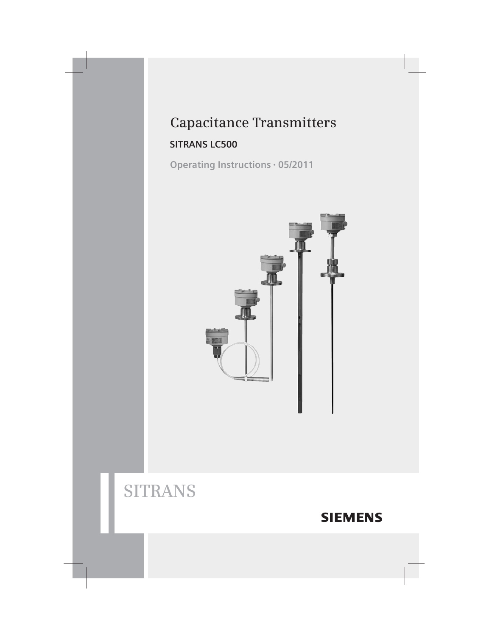# **Capacitance Transmitters**

### **SITRANS LC500**

Operating Instructions · 05/2011



# **SITRANS**

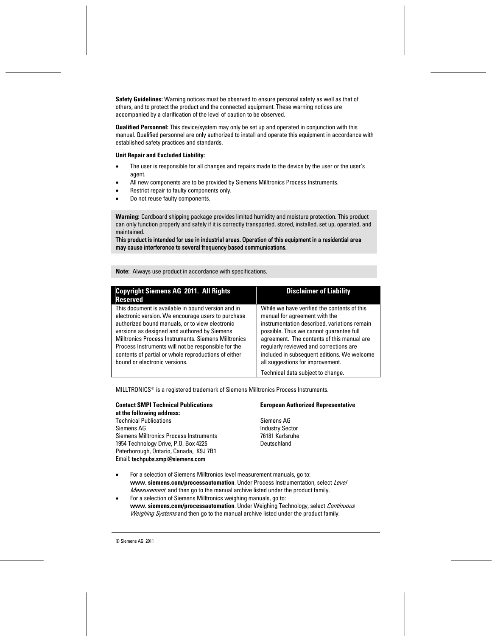**Safety Guidelines:** Warning notices must be observed to ensure personal safety as well as that of others, and to protect the product and the connected equipment. These warning notices are accompanied by a clarification of the level of caution to be observed.

**Qualified Personnel:** This device/system may only be set up and operated in conjunction with this manual. Qualified personnel are only authorized to install and operate this equipment in accordance with established safety practices and standards.

#### **Unit Repair and Excluded Liability:**

- The user is responsible for all changes and repairs made to the device by the user or the user's agent.
- All new components are to be provided by Siemens Milltronics Process Instruments.
- Restrict repair to faulty components only.
- Do not reuse faulty components.

**Warning:** Cardboard shipping package provides limited humidity and moisture protection. This product can only function properly and safely if it is correctly transported, stored, installed, set up, operated, and maintained.

This product is intended for use in industrial areas. Operation of this equipment in a residential area may cause interference to several frequency based communications.

**Note:** Always use product in accordance with specifications.

| <b>Copyright Siemens AG 2011. All Rights</b><br><b>Reserved</b>                                                                                                                                                                                                                                                                                                                                                     | <b>Disclaimer of Liability</b>                                                                                                                                                                                                                                                                                                                     |
|---------------------------------------------------------------------------------------------------------------------------------------------------------------------------------------------------------------------------------------------------------------------------------------------------------------------------------------------------------------------------------------------------------------------|----------------------------------------------------------------------------------------------------------------------------------------------------------------------------------------------------------------------------------------------------------------------------------------------------------------------------------------------------|
| This document is available in bound version and in<br>electronic version. We encourage users to purchase<br>authorized bound manuals, or to view electronic<br>versions as designed and authored by Siemens<br>Milltronics Process Instruments, Siemens Milltronics<br>Process Instruments will not be responsible for the<br>contents of partial or whole reproductions of either<br>bound or electronic versions. | While we have verified the contents of this<br>manual for agreement with the<br>instrumentation described, variations remain<br>possible. Thus we cannot quarantee full<br>agreement. The contents of this manual are<br>regularly reviewed and corrections are<br>included in subsequent editions. We welcome<br>all suggestions for improvement. |
|                                                                                                                                                                                                                                                                                                                                                                                                                     | Technical data subject to change.                                                                                                                                                                                                                                                                                                                  |

MILLTRONICS<sup>®</sup> is a registered trademark of Siemens Milltronics Process Instruments.

**Contact SMPI Technical Publications European Authorized Representative at the following address:** Technical Publications **Sigment** Siemens AG Siemens AG **Industry Sector** Siemens Milltronics Process Instruments 76181 Karlsruhe 1954 Technology Drive, P.O. Box 4225 Deutschland Peterborough, Ontario, Canada, K9J 7B1 Email: techpubs.smpi@siemens.com

- 
- For a selection of Siemens Milltronics level measurement manuals, go to: www. siemens.com/processautomation. Under Process Instrumentation, select Level *Measurement* and then go to the manual archive listed under the product family.
- For a selection of Siemens Milltronics weighing manuals, go to: **www. siemens.com/processautomation**. Under Weighing Technology, select Continuous Weighing Systems and then go to the manual archive listed under the product family.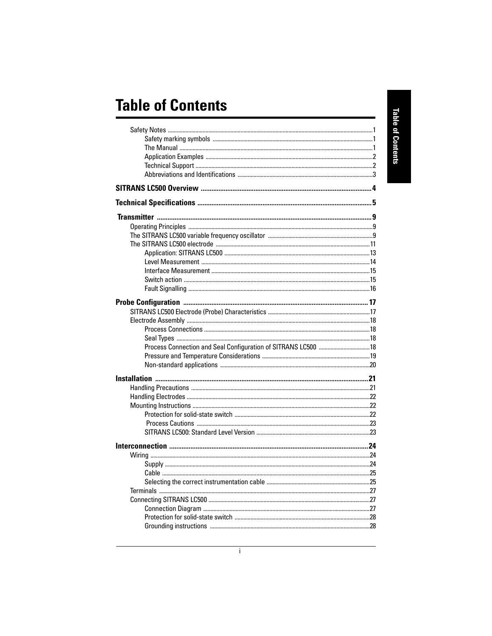# **Table of Contents**

| Process Connection and Seal Configuration of SITRANS LC500  18 |  |
|----------------------------------------------------------------|--|
|                                                                |  |
|                                                                |  |
|                                                                |  |
|                                                                |  |
|                                                                |  |
|                                                                |  |
|                                                                |  |
|                                                                |  |
|                                                                |  |
|                                                                |  |
|                                                                |  |
|                                                                |  |
|                                                                |  |
|                                                                |  |
|                                                                |  |
|                                                                |  |
|                                                                |  |
|                                                                |  |
|                                                                |  |
|                                                                |  |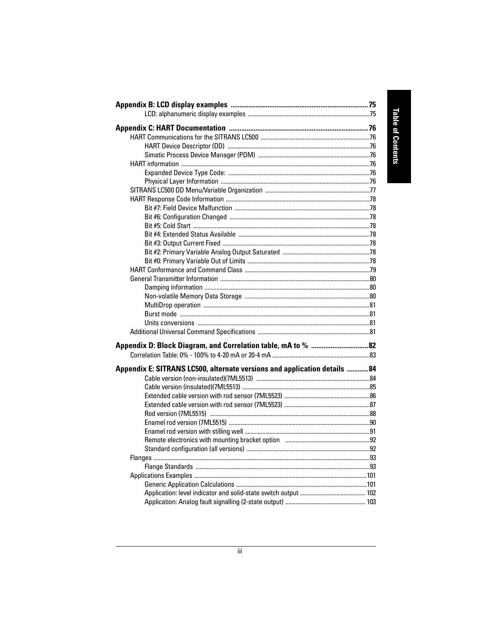| Appendix E: SITRANS LC500, alternate versions and application details  84 |  |
|---------------------------------------------------------------------------|--|
|                                                                           |  |
|                                                                           |  |
|                                                                           |  |
|                                                                           |  |
|                                                                           |  |
|                                                                           |  |
|                                                                           |  |
|                                                                           |  |
|                                                                           |  |
|                                                                           |  |
|                                                                           |  |
|                                                                           |  |
|                                                                           |  |
|                                                                           |  |
|                                                                           |  |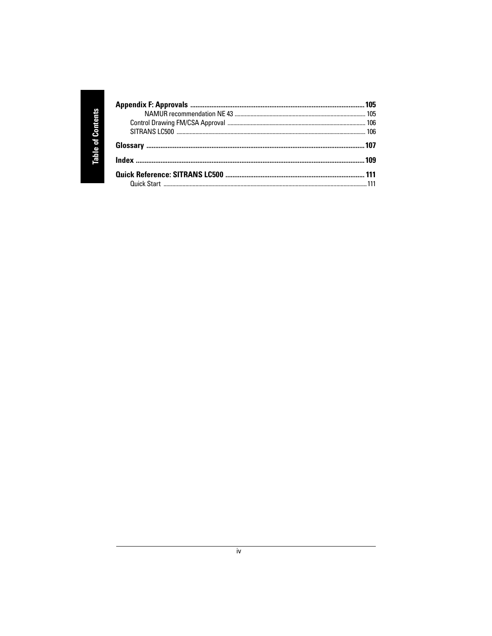| h |   |
|---|---|
|   |   |
|   |   |
|   | G |
|   |   |
|   |   |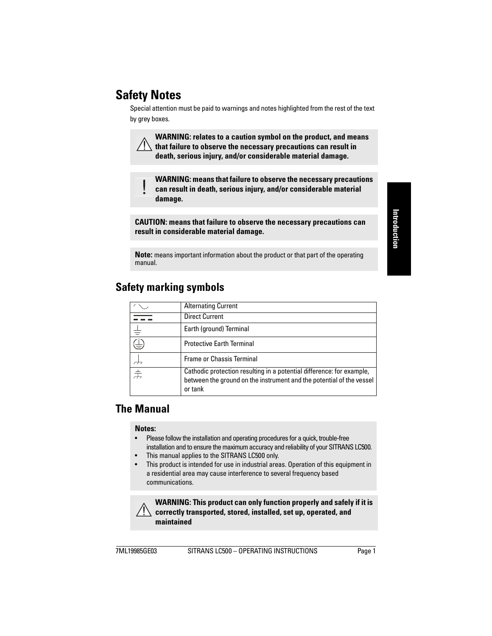# <span id="page-6-0"></span>**Safety Notes**

V

Special attention must be paid to warnings and notes highlighted from the rest of the text by grey boxes.

**WARNING: relates to a caution symbol on the product, and means that failure to observe the necessary precautions can result in death, serious injury, and/or considerable material damage.**

**WARNING: means that failure to observe the necessary precautions can result in death, serious injury, and/or considerable material damage.**

**CAUTION: means that failure to observe the necessary precautions can result in considerable material damage.**

**Note:** means important information about the product or that part of the operating manual.

|   | <b>Alternating Current</b>                                                                                                                               |
|---|----------------------------------------------------------------------------------------------------------------------------------------------------------|
|   | <b>Direct Current</b>                                                                                                                                    |
|   | Earth (ground) Terminal                                                                                                                                  |
| ₹ | <b>Protective Earth Terminal</b>                                                                                                                         |
|   | <b>Frame or Chassis Terminal</b>                                                                                                                         |
| 士 | Cathodic protection resulting in a potential difference: for example,<br>between the ground on the instrument and the potential of the vessel<br>or tank |

# <span id="page-6-1"></span>**Safety marking symbols**

# <span id="page-6-2"></span>**The Manual**

### **Notes:**

- Please follow the installation and operating procedures for a quick, trouble-free installation and to ensure the maximum accuracy and reliability of your SITRANS LC500.
- This manual applies to the SITRANS LC500 only.
- This product is intended for use in industrial areas. Operation of this equipment in a residential area may cause interference to several frequency based communications.

**WARNING: This product can only function properly and safely if it is correctly transported, stored, installed, set up, operated, and maintained**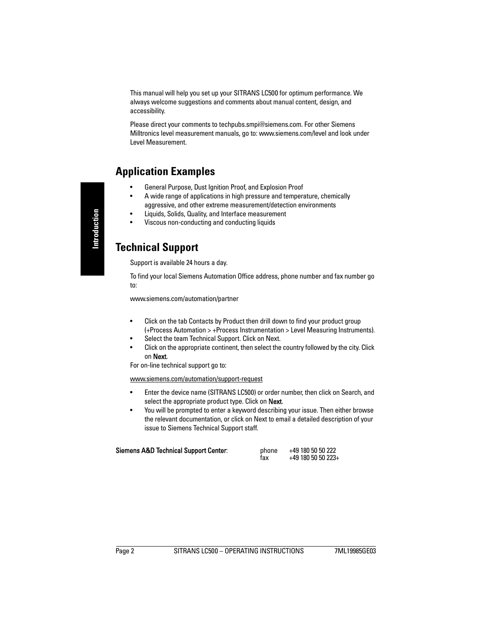This manual will help you set up your SITRANS LC500 for optimum performance. We always welcome suggestions and comments about manual content, design, and accessibility.

Please direct your comments to techpubs.smpi@siemens.com. For other Siemens Milltronics level measurement manuals, go to: www.siemens.com/level and look under Level Measurement.

## <span id="page-7-0"></span>**Application Examples**

- General Purpose, Dust Ignition Proof, and Explosion Proof
- A wide range of applications in high pressure and temperature, chemically aggressive, and other extreme measurement/detection environments
- Liquids, Solids, Quality, and Interface measurement
- Viscous non-conducting and conducting liquids

## <span id="page-7-1"></span>**Technical Support**

Support is available 24 hours a day.

To find your local Siemens Automation Office address, phone number and fax number go to:

www.siemens.com/automation/partner

- Click on the tab Contacts by Product then drill down to find your product group (+Process Automation > +Process Instrumentation > Level Measuring Instruments).
- Select the team Technical Support. Click on Next.
- Click on the appropriate continent, then select the country followed by the city. Click on Next.

For on-line technical support go to:

#### www.siemens.com/automation/support-request

- Enter the device name (SITRANS LC500) or order number, then click on Search, and select the appropriate product type. Click on Next.
- You will be prompted to enter a keyword describing your issue. Then either browse the relevant documentation, or click on Next to email a detailed description of your issue to Siemens Technical Support staff.

| Siemens A&D Technical Support Center: | phone<br>fax | +49 180 50 50 222<br>$+49$ 180 50 50 223+ |
|---------------------------------------|--------------|-------------------------------------------|
|                                       |              |                                           |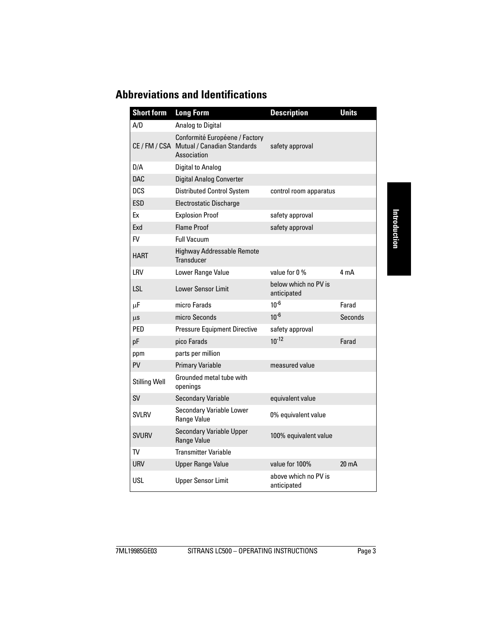# <span id="page-8-0"></span>**Abbreviations and Identifications**

| <b>Short form</b>    | <b>Long Form</b>                                                                           | <b>Description</b>                  | <b>Units</b>    |
|----------------------|--------------------------------------------------------------------------------------------|-------------------------------------|-----------------|
| A/D                  | Analog to Digital                                                                          |                                     |                 |
|                      | Conformité Européene / Factory<br>CE / FM / CSA Mutual / Canadian Standards<br>Association | safety approval                     |                 |
| D/A                  | Digital to Analog                                                                          |                                     |                 |
| <b>DAC</b>           | <b>Digital Analog Converter</b>                                                            |                                     |                 |
| <b>DCS</b>           | <b>Distributed Control System</b>                                                          | control room apparatus              |                 |
| ESD                  | <b>Electrostatic Discharge</b>                                                             |                                     |                 |
| Ex                   | <b>Explosion Proof</b>                                                                     | safety approval                     |                 |
| Exd                  | <b>Flame Proof</b>                                                                         | safety approval                     |                 |
| <b>FV</b>            | <b>Full Vacuum</b>                                                                         |                                     |                 |
| <b>HART</b>          | <b>Highway Addressable Remote</b><br>Transducer                                            |                                     |                 |
| LRV                  | Lower Range Value                                                                          | value for 0 %                       | 4 mA            |
| LSL                  | <b>Lower Sensor Limit</b>                                                                  | below which no PV is<br>anticipated |                 |
| μF                   | micro Farads                                                                               | $10^{-6}$                           | Farad           |
| μs                   | micro Seconds                                                                              | $10^{-6}$                           | Seconds         |
| <b>PFD</b>           | <b>Pressure Equipment Directive</b>                                                        | safety approval                     |                 |
| pF                   | pico Farads                                                                                | $10^{-12}$                          | Farad           |
| ppm                  | parts per million                                                                          |                                     |                 |
| PV                   | <b>Primary Variable</b>                                                                    | measured value                      |                 |
| <b>Stilling Well</b> | Grounded metal tube with<br>openings                                                       |                                     |                 |
| <b>SV</b>            | <b>Secondary Variable</b>                                                                  | equivalent value                    |                 |
| <b>SVLRV</b>         | <b>Secondary Variable Lower</b><br>Range Value                                             | 0% equivalent value                 |                 |
| <b>SVURV</b>         | <b>Secondary Variable Upper</b><br>Range Value                                             | 100% equivalent value               |                 |
| TV                   | <b>Transmitter Variable</b>                                                                |                                     |                 |
| <b>URV</b>           | <b>Upper Range Value</b>                                                                   | value for 100%                      | $20 \text{ mA}$ |
| USL                  | <b>Upper Sensor Limit</b>                                                                  | above which no PV is<br>anticipated |                 |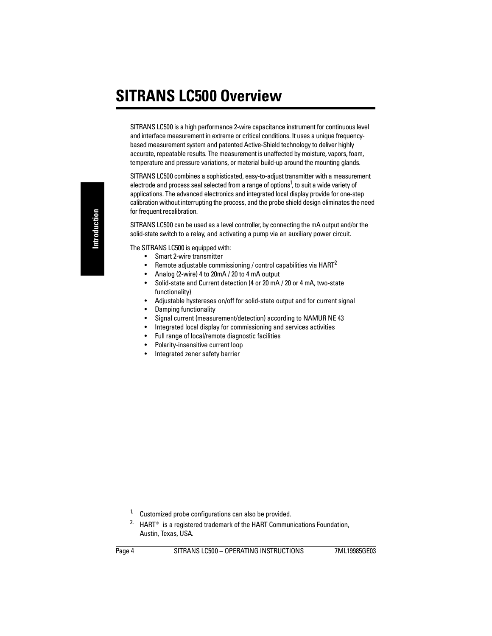# <span id="page-9-0"></span>**SITRANS LC500 Overview**

SITRANS LC500 is a high performance 2-wire capacitance instrument for continuous level and interface measurement in extreme or critical conditions. It uses a unique frequencybased measurement system and patented Active-Shield technology to deliver highly accurate, repeatable results. The measurement is unaffected by moisture, vapors, foam, temperature and pressure variations, or material build-up around the mounting glands.

SITRANS LC500 combines a sophisticated, easy-to-adjust transmitter with a measurement electrode and process seal selected from a range of options<sup>1</sup>, to suit a wide variety of applications. The advanced electronics and integrated local display provide for one-step calibration without interrupting the process, and the probe shield design eliminates the need for frequent recalibration.

SITRANS LC500 can be used as a level controller, by connecting the mA output and/or the solid-state switch to a relay, and activating a pump via an auxiliary power circuit.

The SITRANS LC500 is equipped with:

- Smart 2-wire transmitter
- Remote adjustable commissioning / control capabilities via HART<sup>2</sup>
- Analog (2-wire) 4 to 20mA / 20 to 4 mA output
- Solid-state and Current detection (4 or 20 mA / 20 or 4 mA, two-state functionality)
- Adjustable hystereses on/off for solid-state output and for current signal
- Damping functionality
- Signal current (measurement/detection) according to NAMUR NE 43
- Integrated local display for commissioning and services activities
- Full range of local/remote diagnostic facilities
- Polarity-insensitive current loop
- Integrated zener safety barrier

 $1.$  Customized probe configurations can also be provided.

<sup>&</sup>lt;sup>2.</sup> HART<sup>®</sup> is a registered trademark of the HART Communications Foundation, Austin, Texas, USA.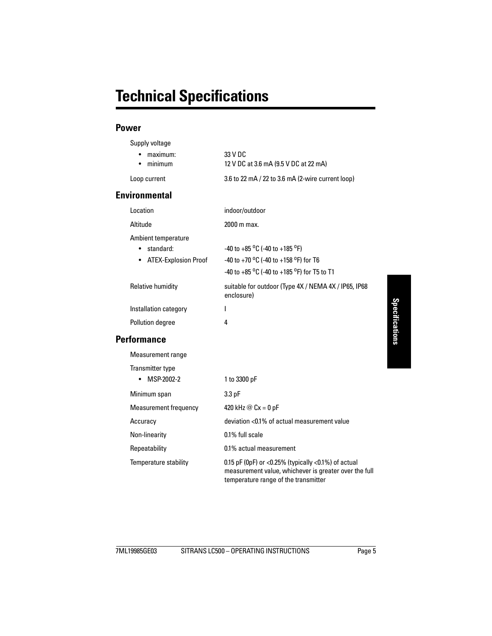### <span id="page-10-0"></span>**Power**

Supply voltage

| <b>Environmental</b>                    |                                                     |
|-----------------------------------------|-----------------------------------------------------|
| Loop current                            | 3.6 to 22 mA $/$ 22 to 3.6 mA (2-wire current loop) |
| $\bullet$ maximum:<br>$\bullet$ minimum | 33 V DC<br>12 V DC at 3.6 mA (9.5 V DC at 22 mA)    |
|                                         |                                                     |

| indoor/outdoor                                                                                                                                                                                  |
|-------------------------------------------------------------------------------------------------------------------------------------------------------------------------------------------------|
| 2000 m max.                                                                                                                                                                                     |
| -40 to +85 <sup>o</sup> C (-40 to +185 <sup>o</sup> F)<br>-40 to +70 <sup>o</sup> C (-40 to +158 <sup>o</sup> F) for T6<br>-40 to +85 $\mathrm{^0C}$ (-40 to +185 $\mathrm{^0F}$ ) for T5 to T1 |
| suitable for outdoor (Type 4X / NEMA 4X / IP65, IP68<br>enclosure)                                                                                                                              |
| I                                                                                                                                                                                               |
| 4                                                                                                                                                                                               |
|                                                                                                                                                                                                 |
|                                                                                                                                                                                                 |
|                                                                                                                                                                                                 |
| 1 to 3300 pF                                                                                                                                                                                    |
| $3.3$ pF                                                                                                                                                                                        |
| 420 kHz $@$ Cx = 0 pF                                                                                                                                                                           |
| deviation <0.1% of actual measurement value                                                                                                                                                     |
| 0.1% full scale                                                                                                                                                                                 |
|                                                                                                                                                                                                 |

Temperature stability 0.15 pF (0pF) or <0.25% (typically <0.1%) of actual

measurement value, whichever is greater over the full

temperature range of the transmitter

Repeatability 0.1% actual measurement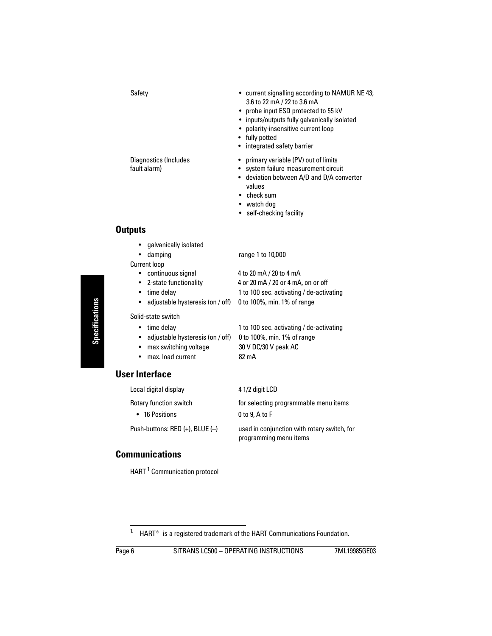- Safety  **Current signalling according to NAMUR NE 43;** 3.6 to 22 mA / 22 to 3.6 mA
	- probe input ESD protected to 55 kV
	- inputs/outputs fully galvanically isolated
	- polarity-insensitive current loop
	- fully potted
	- integrated safety barrier
- Diagnostics (Includes primary variable (PV) out of limits
- fault alarm) **•** system failure measurement circuit
	- deviation between A/D and D/A converter values
	- check sum
	- watch dog
	- self-checking facility

- **Outputs** 
	- galvanically isolated
	- damping range 1 to 10,000
	- Current loop
		- continuous signal 4 to 20 mA / 20 to 4 mA
		- 2-state functionality 4 or 20 mA / 20 or 4 mA, on or off
		- time delay 1 to 100 sec. activating / de-activating
		- adjustable hysteresis (on / off) 0 to 100%, min. 1% of range

Solid-state switch

- 
- adjustable hysteresis (on / off) 0 to 100%, min. 1% of range
- max switching voltage 30 V DC/30 V peak AC
- 

• time delay 1 to 100 sec. activating / de-activating

• max. load current 82 mA

### **User Interface**

Local digital display 4 1/2 digit LCD

• 16 Positions 0 to 9, A to F

programming menu items

Rotary function switch for selecting programmable menu items

Push-buttons: RED (+), BLUE (–) used in conjunction with rotary switch, for

### **Communications**

HART<sup>1</sup> Communication protocol

<sup>&</sup>lt;sup>1.</sup> HART<sup>®</sup> is a registered trademark of the HART Communications Foundation.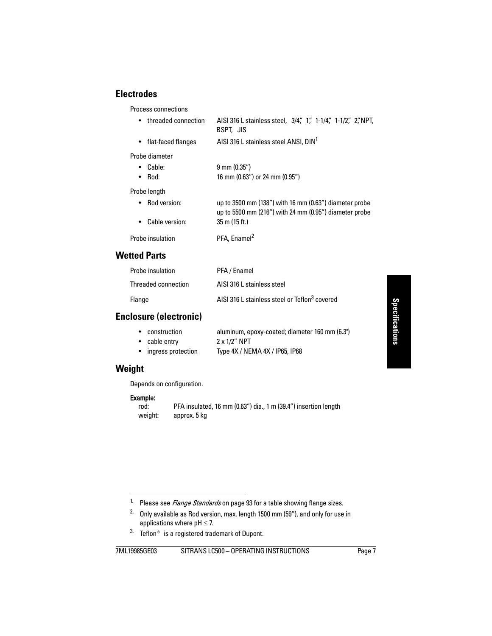# **Specifications Specifications**

### **Electrodes**

Process connections

| • threaded connection | AISI 316 L stainless steel, 3/4", 1", 1-1/4", 1-1/2", 2", NPT,<br>BSPT, JIS                                            |
|-----------------------|------------------------------------------------------------------------------------------------------------------------|
| flat-faced flanges    | AISI 316 L stainless steel ANSI, DIN <sup>1</sup>                                                                      |
| Probe diameter        |                                                                                                                        |
| $\bullet$ Cable:      | $9 \text{ mm} (0.35")$                                                                                                 |
| Rod:                  | 16 mm (0.63") or 24 mm (0.95")                                                                                         |
| Probe length          |                                                                                                                        |
| • Rod version:        | up to $3500$ mm $(138n)$ with 16 mm $(0.63n)$ diameter probe<br>up to 5500 mm (216") with 24 mm (0.95") diameter probe |
| Cable version:        | $35 \text{ m}$ (15 ft.)                                                                                                |
| Probe insulation      | PFA, Enamel <sup>2</sup>                                                                                               |
| <b>Wetted Parts</b>   |                                                                                                                        |

| Probe insulation    | PFA / Enamel                                              |
|---------------------|-----------------------------------------------------------|
| Threaded connection | AISI 316 L stainless steel                                |
| Flange              | AISI 316 L stainless steel or Teflon <sup>3</sup> covered |

### **Enclosure (electronic)**

| • construction       | aluminum, epoxy-coated; diameter 160 mm (6.3") |
|----------------------|------------------------------------------------|
| • cable entry        | $2 \times 1/2$ " NPT                           |
| • ingress protection | Type 4X / NEMA 4X / IP65, IP68                 |

### **Weight**

Depends on configuration.

# **Example:**<br>rod:

PFA insulated, 16 mm (0.63") dia., 1 m (39.4") insertion length weight: approx. 5 kg

<sup>1.</sup> Please see *[Flange Standards](#page-98-2)* on [page 93](#page-98-2) for a table showing flange sizes.

<sup>&</sup>lt;sup>2.</sup> Only available as Rod version, max. length 1500 mm (59"), and only for use in applications where  $pH \leq 7$ .

 $3.$  Teflon<sup>®</sup> is a registered trademark of Dupont.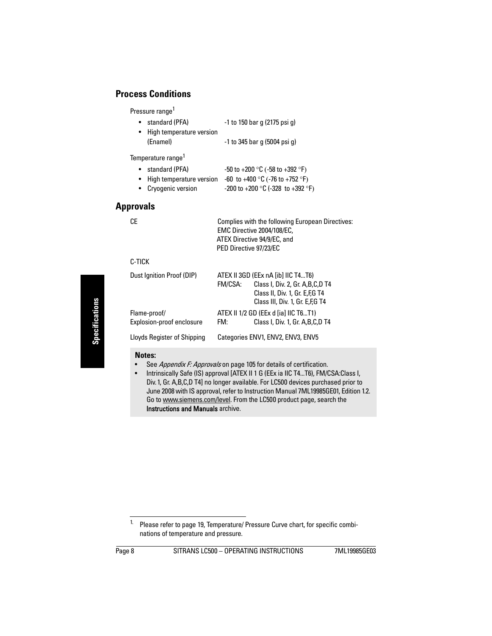### **Process Conditions**

Pressure range<sup>1</sup>

• standard (PFA)  $-1$  to 150 bar g (2175 psi g) • High temperature version (Enamel) -1 to 345 bar g (5004 psi g)

Temperature range<sup>1</sup>

- standard (PFA)  $-50$  to  $+200$  °C ( $-58$  to  $+392$  °F)
- High temperature version  $-60$  to  $+400$  °C ( $-76$  to  $+752$  °F)
- Cryogenic version  $-200$  to  $+200$  °C (-328 to  $+392$  °F)

### **Approvals**

| ×<br>۰. |  |
|---------|--|

| Complies with the following European Directives: |
|--------------------------------------------------|
| EMC Directive 2004/108/EC.                       |
| ATEX Directive 94/9/EC, and                      |
| PED Directive 97/23/EC                           |
|                                                  |

### C-TICK

| Dust Ignition Proof (DIP)                 | FM/CSA: | ATEX II 3GD (EEx nA [ib] IIC T4T6)<br>Class I, Div. 2, Gr. A, B, C, D T4<br>Class II, Div. 1, Gr. E, F, GT4<br>Class III, Div. 1, Gr. E, F, G T4 |
|-------------------------------------------|---------|--------------------------------------------------------------------------------------------------------------------------------------------------|
| Flame-proof/<br>Explosion-proof enclosure | FM:     | ATEX II 1/2 GD (EEx d [ia] IIC T6T1)<br>Class I, Div. 1, Gr. A, B, C, D T4                                                                       |
| <b>Lloyds Register of Shipping</b>        |         | Categories ENV1, ENV2, ENV3, ENV5                                                                                                                |

### **Notes:**

- See [Appendix F: Approvals](#page-110-2) on [page 105](#page-110-2) for details of certification.
- Intrinsically Safe (IS) approval [ATEX II 1 G (EEx ia IIC T4...T6), FM/CSA:Class I, Div. 1, Gr. A,B,C,D T4] no longer available. For LC500 devices purchased prior to June 2008 with IS approval, refer to Instruction Manual 7ML19985GE01, Edition 1.2. Go to www.siemens.com/level. From the LC500 product page, search the Instructions and Manuals archive.

<sup>&</sup>lt;sup>1.</sup> Please refer to [page 19,](#page-24-1) Temperature/ Pressure Curve chart, for specific combinations of temperature and pressure.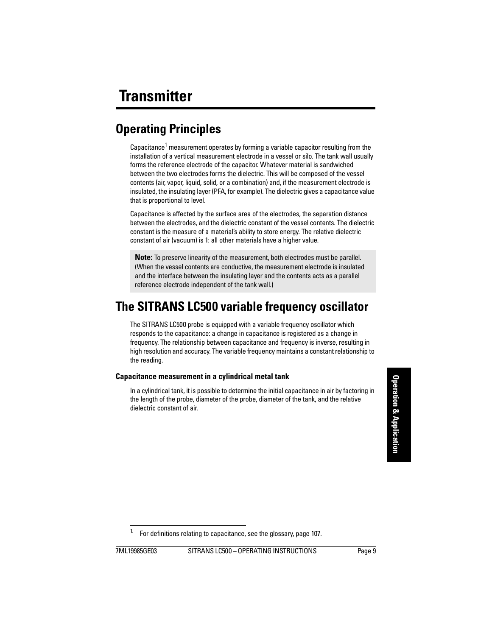# <span id="page-14-1"></span><span id="page-14-0"></span>**Operating Principles**

Capacitance<sup>1</sup> measurement operates by forming a variable capacitor resulting from the installation of a vertical measurement electrode in a vessel or silo. The tank wall usually forms the reference electrode of the capacitor. Whatever material is sandwiched between the two electrodes forms the dielectric. This will be composed of the vessel contents (air, vapor, liquid, solid, or a combination) and, if the measurement electrode is insulated, the insulating layer (PFA, for example). The dielectric gives a capacitance value that is proportional to level.

Capacitance is affected by the surface area of the electrodes, the separation distance between the electrodes, and the dielectric constant of the vessel contents. The dielectric constant is the measure of a material's ability to store energy. The relative dielectric constant of air (vacuum) is 1: all other materials have a higher value.

**Note:** To preserve linearity of the measurement, both electrodes must be parallel. (When the vessel contents are conductive, the measurement electrode is insulated and the interface between the insulating layer and the contents acts as a parallel reference electrode independent of the tank wall.)

# <span id="page-14-2"></span>**The SITRANS LC500 variable frequency oscillator**

The SITRANS LC500 probe is equipped with a variable frequency oscillator which responds to the capacitance: a change in capacitance is registered as a change in frequency. The relationship between capacitance and frequency is inverse, resulting in high resolution and accuracy. The variable frequency maintains a constant relationship to the reading.

### **Capacitance measurement in a cylindrical metal tank**

In a cylindrical tank, it is possible to determine the initial capacitance in air by factoring in the length of the probe, diameter of the probe, diameter of the tank, and the relative dielectric constant of air.

<sup>&</sup>lt;sup>1.</sup> For definitions relating to capacitance, see the glossary, page [107.](#page-112-1)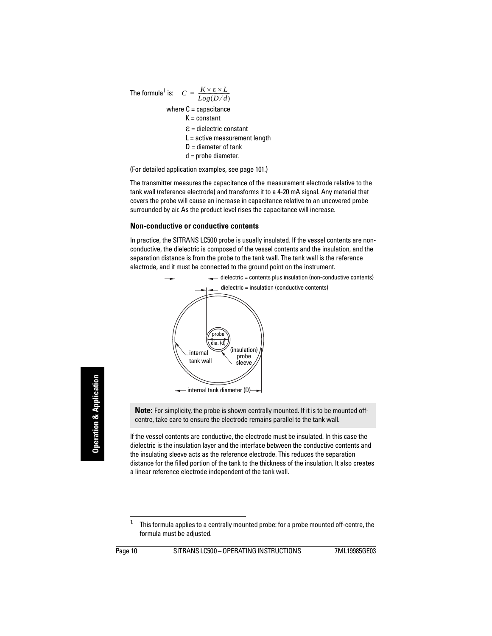The formula<sup>1</sup> is: 
$$
C = \frac{K \times \varepsilon \times L}{Log(D/d)}
$$
  
where C = capacitance  
 $K = \text{constant}$   
 $\varepsilon = \text{dielectric constant}$   
 $L = \text{active measurement length}$   
 $D = \text{diameter of tank}$   
 $d = \text{probe diameter.}$ 

(For detailed application examples, see [page 101](#page-106-2).)

The transmitter measures the capacitance of the measurement electrode relative to the tank wall (reference electrode) and transforms it to a 4-20 mA signal. Any material that covers the probe will cause an increase in capacitance relative to an uncovered probe surrounded by air. As the product level rises the capacitance will increase.

#### **Non-conductive or conductive contents**

In practice, the SITRANS LC500 probe is usually insulated. If the vessel contents are nonconductive, the dielectric is composed of the vessel contents and the insulation, and the separation distance is from the probe to the tank wall. The tank wall is the reference electrode, and it must be connected to the ground point on the instrument.



**Note:** For simplicity, the probe is shown centrally mounted. If it is to be mounted offcentre, take care to ensure the electrode remains parallel to the tank wall.

If the vessel contents are conductive, the electrode must be insulated. In this case the dielectric is the insulation layer and the interface between the conductive contents and the insulating sleeve acts as the reference electrode. This reduces the separation distance for the filled portion of the tank to the thickness of the insulation. It also creates a linear reference electrode independent of the tank wall.

<sup>&</sup>lt;sup>1.</sup> This formula applies to a centrally mounted probe: for a probe mounted off-centre, the formula must be adjusted.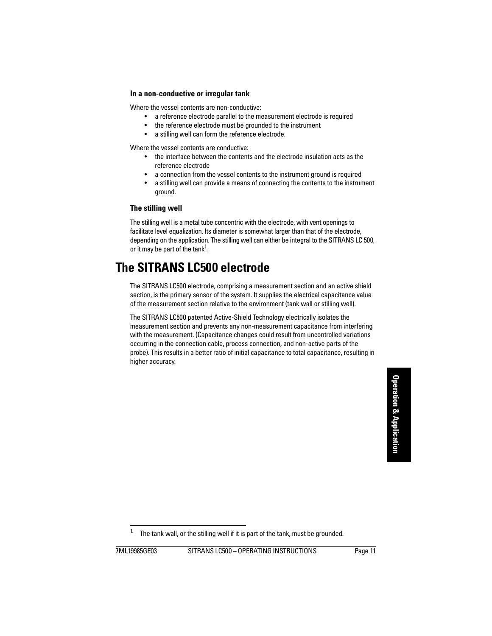### **In a non-conductive or irregular tank**

Where the vessel contents are non-conductive:

- a reference electrode parallel to the measurement electrode is required
- the reference electrode must be grounded to the instrument
- a stilling well can form the reference electrode.

Where the vessel contents are conductive:

- the interface between the contents and the electrode insulation acts as the reference electrode
- a connection from the vessel contents to the instrument ground is required
- a stilling well can provide a means of connecting the contents to the instrument ground.

### **The stilling well**

The stilling well is a metal tube concentric with the electrode, with vent openings to facilitate level equalization. Its diameter is somewhat larger than that of the electrode, depending on the application. The stilling well can either be integral to the SITRANS LC 500, or it may be part of the tank<sup>1</sup>.

# <span id="page-16-0"></span>**The SITRANS LC500 electrode**

The SITRANS LC500 electrode, comprising a measurement section and an active shield section, is the primary sensor of the system. It supplies the electrical capacitance value of the measurement section relative to the environment (tank wall or stilling well).

The SITRANS LC500 patented Active-Shield Technology electrically isolates the measurement section and prevents any non-measurement capacitance from interfering with the measurement. (Capacitance changes could result from uncontrolled variations occurring in the connection cable, process connection, and non-active parts of the probe). This results in a better ratio of initial capacitance to total capacitance, resulting in higher accuracy.

The tank wall, or the stilling well if it is part of the tank, must be grounded.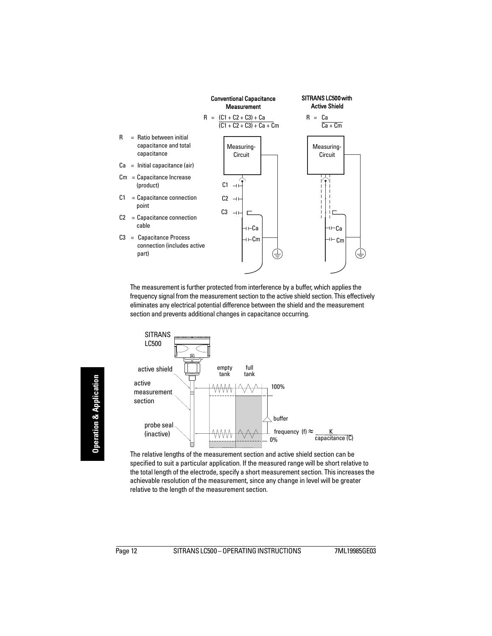

The measurement is further protected from interference by a buffer, which applies the frequency signal from the measurement section to the active shield section. This effectively eliminates any electrical potential difference between the shield and the measurement section and prevents additional changes in capacitance occurring.



The relative lengths of the measurement section and active shield section can be specified to suit a particular application. If the measured range will be short relative to the total length of the electrode, specify a short measurement section. This increases the achievable resolution of the measurement, since any change in level will be greater relative to the length of the measurement section.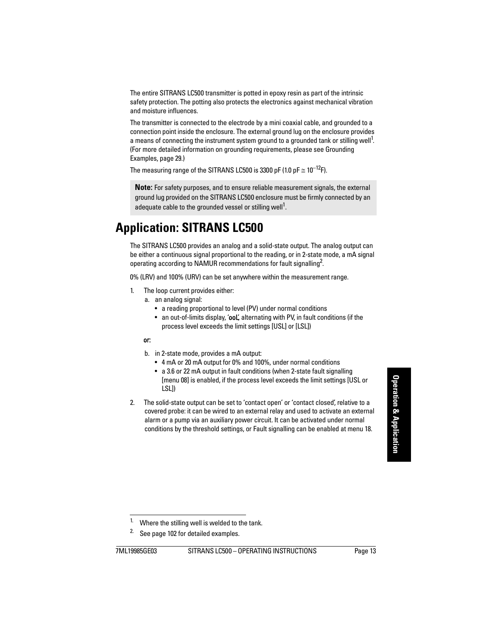The entire SITRANS LC500 transmitter is potted in epoxy resin as part of the intrinsic safety protection. The potting also protects the electronics against mechanical vibration and moisture influences.

The transmitter is connected to the electrode by a mini coaxial cable, and grounded to a connection point inside the enclosure. The external ground lug on the enclosure provides a means of connecting the instrument system ground to a grounded tank or stilling well<sup>1</sup>. (For more detailed information on grounding requirements, please see Grounding Examples, [page 29.](#page-34-3))

The measuring range of the SITRANS LC500 is 3300 pF (1.0 pF  $\approx$  10<sup>-12</sup>F).

**Note:** For safety purposes, and to ensure reliable measurement signals, the external ground lug provided on the SITRANS LC500 enclosure must be firmly connected by an adequate cable to the grounded vessel or stilling well<sup>[1](#page-18-1)</sup>.

# <span id="page-18-0"></span>**Application: SITRANS LC500**

The SITRANS LC500 provides an analog and a solid-state output. The analog output can be either a continuous signal proportional to the reading, or in 2-state mode, a mA signal operating according to NAMUR recommendations for fault signalling<sup>2</sup>.

0% (LRV) and 100% (URV) can be set anywhere within the measurement range.

- 1. The loop current provides either:
	- a. an analog signal:
		- a reading proportional to level (PV) under normal conditions
		- an out-of-limits display, 'ool', alternating with PV, in fault conditions (if the process level exceeds the limit settings [USL] or [LSL])

### or:

- b. in 2-state mode, provides a mA output:
	- 4 mA or 20 mA output for 0% and 100%, under normal conditions
	- a 3.6 or 22 mA output in fault conditions (when 2-state fault signalling [menu 08] is enabled, if the process level exceeds the limit settings [USL or LSL])
- 2. The solid-state output can be set to 'contact open' or 'contact closed', relative to a covered probe: it can be wired to an external relay and used to activate an external alarm or a pump via an auxiliary power circuit. It can be activated under normal conditions by the threshold settings, or Fault signalling can be enabled at menu 18.

<sup>2.</sup> See [page 102](#page-107-1) for detailed examples.

<span id="page-18-1"></span><sup>&</sup>lt;sup>1.</sup> Where the stilling well is welded to the tank.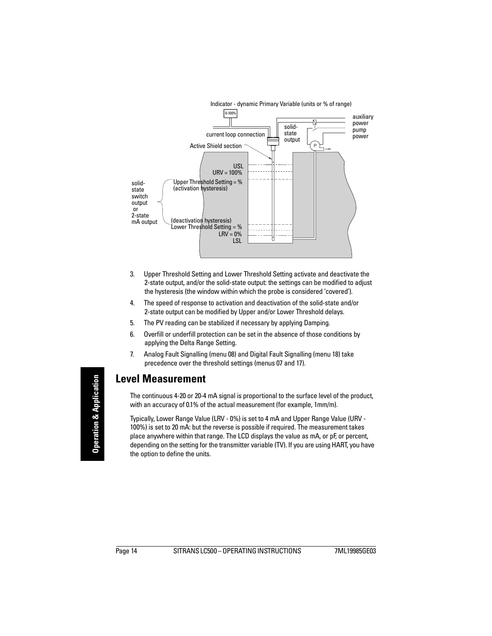

- 3. Upper Threshold Setting and Lower Threshold Setting activate and deactivate the 2-state output, and/or the solid-state output: the settings can be modified to adjust the hysteresis (the window within which the probe is considered 'covered').
- 4. The speed of response to activation and deactivation of the solid-state and/or 2-state output can be modified by Upper and/or Lower Threshold delays.
- 5. The PV reading can be stabilized if necessary by applying Damping.
- 6. Overfill or underfill protection can be set in the absence of those conditions by applying the Delta Range Setting.
- 7. Analog Fault Signalling (menu 08) and Digital Fault Signalling (menu 18) take precedence over the threshold settings (menus 07 and 17).

## <span id="page-19-0"></span>**Level Measurement**

The continuous 4-20 or 20-4 mA signal is proportional to the surface level of the product, with an accuracy of 0.1% of the actual measurement (for example, 1mm/m).

Typically, Lower Range Value (LRV - 0%) is set to 4 mA and Upper Range Value (URV - 100%) is set to 20 mA: but the reverse is possible if required. The measurement takes place anywhere within that range. The LCD displays the value as mA, or pF, or percent, depending on the setting for the transmitter variable (TV). If you are using HART, you have the option to define the units.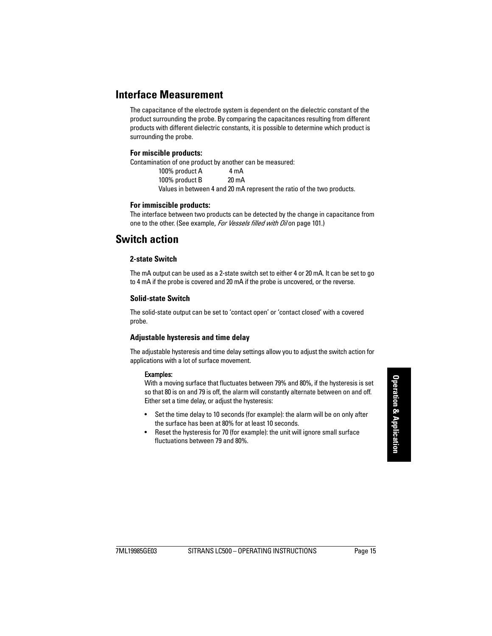### <span id="page-20-0"></span>**Interface Measurement**

The capacitance of the electrode system is dependent on the dielectric constant of the product surrounding the probe. By comparing the capacitances resulting from different products with different dielectric constants, it is possible to determine which product is surrounding the probe.

#### **For miscible products:**

Contamination of one product by another can be measured:

100% product A 4 mA 100% product B 20 mA Values in between 4 and 20 mA represent the ratio of the two products.

#### **For immiscible products:**

The interface between two products can be detected by the change in capacitance from one to the other. (See example, For Vessels filled with Oil on [page 101](#page-106-3).)

### <span id="page-20-1"></span>**Switch action**

### **2-state Switch**

The mA output can be used as a 2-state switch set to either 4 or 20 mA. It can be set to go to 4 mA if the probe is covered and 20 mA if the probe is uncovered, or the reverse.

#### **Solid-state Switch**

The solid-state output can be set to 'contact open' or 'contact closed' with a covered probe.

### **Adjustable hysteresis and time delay**

The adjustable hysteresis and time delay settings allow you to adjust the switch action for applications with a lot of surface movement.

#### Examples:

With a moving surface that fluctuates between 79% and 80%, if the hysteresis is set so that 80 is on and 79 is off, the alarm will constantly alternate between on and off. Either set a time delay, or adjust the hysteresis:

- Set the time delay to 10 seconds (for example): the alarm will be on only after the surface has been at 80% for at least 10 seconds.
- Reset the hysteresis for 70 (for example): the unit will ignore small surface fluctuations between 79 and 80%.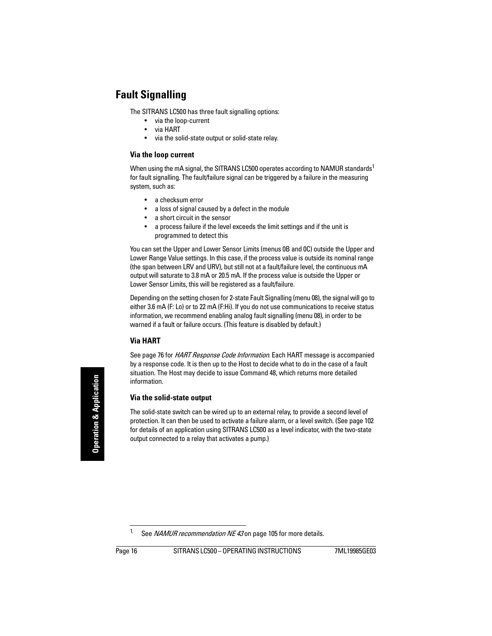# <span id="page-21-0"></span>**Fault Signalling**

The SITRANS LC500 has three fault signalling options:

- via the loop-current
- via HART
- via the solid-state output or solid-state relay.

### **Via the loop current**

When using the mA signal, the SITRANS LC500 operates according to NAMUR standards<sup>1</sup> for fault signalling. The fault/failure signal can be triggered by a failure in the measuring system, such as:

- a checksum error
- a loss of signal caused by a defect in the module
- a short circuit in the sensor
- a process failure if the level exceeds the limit settings and if the unit is programmed to detect this

You can set the Upper and Lower Sensor Limits (menus 0B and 0C) outside the Upper and Lower Range Value settings. In this case, if the process value is outside its nominal range (the span between LRV and URV), but still not at a fault/failure level, the continuous mA output will saturate to 3.8 mA or 20.5 mA. If the process value is outside the Upper or Lower Sensor Limits, this will be registered as a fault/failure.

Depending on the setting chosen for 2-state Fault Signalling (menu 08), the signal will go to either 3.6 mA (F: Lo) or to 22 mA (F:Hi). If you do not use communications to receive status information, we recommend enabling analog fault signalling (menu 08), in order to be warned if a fault or failure occurs. (This feature is disabled by default.)

### **Via HART**

See [page 76](#page-81-7) for *[HART Response Code Information](#page-83-8)*. Each HART message is accompanied by a response code. It is then up to the Host to decide what to do in the case of a fault situation. The Host may decide to issue Command 48, which returns more detailed information.

### **Via the solid-state output**

The solid-state switch can be wired up to an external relay, to provide a second level of protection. It can then be used to activate a failure alarm, or a level switch. (See [page 102](#page-107-1) for details of an application using SITRANS LC500 as a level indicator, with the two-state output connected to a relay that activates a pump.)

<sup>&</sup>lt;sup>1.</sup> See *[NAMUR recommendation NE 43](#page-110-3)* on [page 105](#page-110-3) for more details.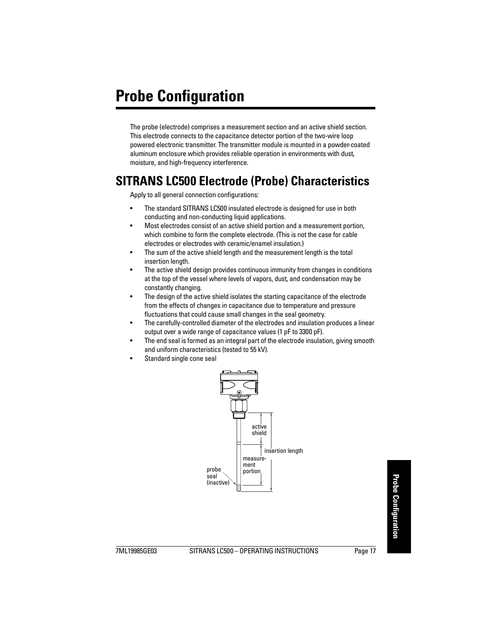<span id="page-22-0"></span>The probe (electrode) comprises a measurement section and an active shield section. This electrode connects to the capacitance detector portion of the two-wire loop powered electronic transmitter. The transmitter module is mounted in a powder-coated aluminum enclosure which provides reliable operation in environments with dust, moisture, and high-frequency interference.

# <span id="page-22-1"></span>**SITRANS LC500 Electrode (Probe) Characteristics**

Apply to all general connection configurations:

- The standard SITRANS LC500 insulated electrode is designed for use in both conducting and non-conducting liquid applications.
- Most electrodes consist of an active shield portion and a measurement portion, which combine to form the complete electrode. (This is not the case for cable electrodes or electrodes with ceramic/enamel insulation.)
- The sum of the active shield length and the measurement length is the total insertion length.
- The active shield design provides continuous immunity from changes in conditions at the top of the vessel where levels of vapors, dust, and condensation may be constantly changing.
- The design of the active shield isolates the starting capacitance of the electrode from the effects of changes in capacitance due to temperature and pressure fluctuations that could cause small changes in the seal geometry.
- The carefully-controlled diameter of the electrodes and insulation produces a linear output over a wide range of capacitance values (1 pF to 3300 pF).
- The end seal is formed as an integral part of the electrode insulation, giving smooth and uniform characteristics (tested to 55 kV).
- Standard single cone seal

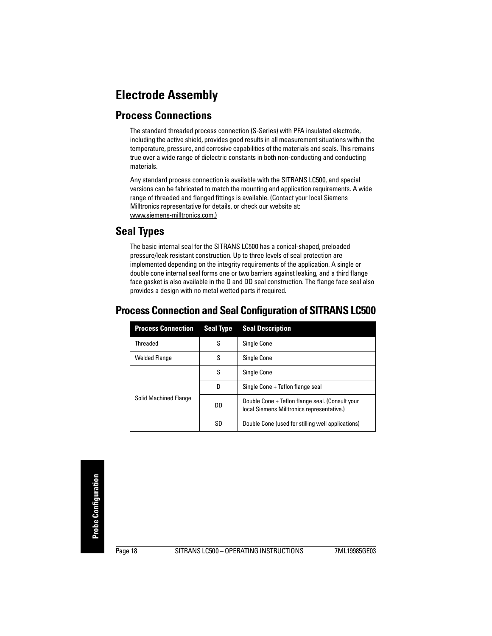# <span id="page-23-0"></span>**Electrode Assembly**

## <span id="page-23-1"></span>**Process Connections**

The standard threaded process connection (S-Series) with PFA insulated electrode, including the active shield, provides good results in all measurement situations within the temperature, pressure, and corrosive capabilities of the materials and seals. This remains true over a wide range of dielectric constants in both non-conducting and conducting materials.

Any standard process connection is available with the SITRANS LC500, and special versions can be fabricated to match the mounting and application requirements. A wide range of threaded and flanged fittings is available. (Contact your local Siemens Milltronics representative for details, or check our website at: www.siemens-milltronics.com.)

# <span id="page-23-2"></span>**Seal Types**

The basic internal seal for the SITRANS LC500 has a conical-shaped, preloaded pressure/leak resistant construction. Up to three levels of seal protection are implemented depending on the integrity requirements of the application. A single or double cone internal seal forms one or two barriers against leaking, and a third flange face gasket is also available in the D and DD seal construction. The flange face seal also provides a design with no metal wetted parts if required.

| <b>Process Connection</b>    | <b>Seal Type</b> | <b>Seal Description</b>                                                                       |  |
|------------------------------|------------------|-----------------------------------------------------------------------------------------------|--|
| Threaded                     | S                | Single Cone                                                                                   |  |
| <b>Welded Flange</b>         | S                | Single Cone                                                                                   |  |
|                              | S                | Single Cone                                                                                   |  |
|                              | D                | Single Cone + Teflon flange seal                                                              |  |
| <b>Solid Machined Flange</b> | DD               | Double Cone + Teflon flange seal. (Consult your<br>local Siemens Milltronics representative.) |  |
|                              | SD               | Double Cone (used for stilling well applications)                                             |  |

# <span id="page-23-3"></span>**Process Connection and Seal Configuration of SITRANS LC500**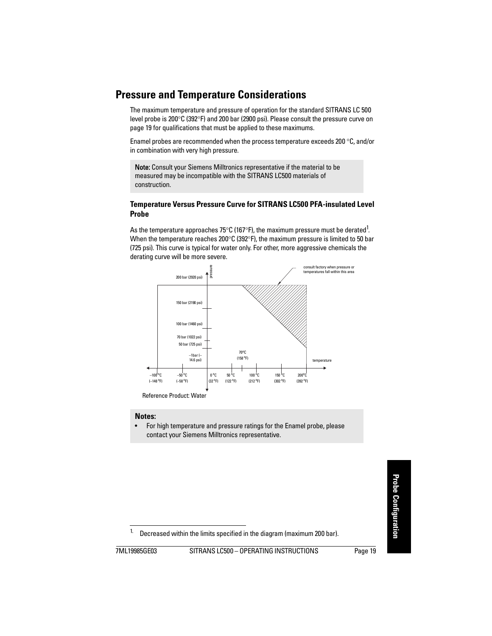# <span id="page-24-0"></span>**Pressure and Temperature Considerations**

The maximum temperature and pressure of operation for the standard SITRANS LC 500 level probe is 200 $\degree$ C (392 $\degree$ F) and 200 bar (2900 psi). Please consult the pressure curve on page 19 for qualifications that must be applied to these maximums.

Enamel probes are recommended when the process temperature exceeds 200 $^{\circ}$ C, and/or in combination with very high pressure.

Note: Consult your Siemens Milltronics representative if the material to be measured may be incompatible with the SITRANS LC500 materials of construction.

### <span id="page-24-1"></span>**Temperature Versus Pressure Curve for SITRANS LC500 PFA-insulated Level Probe**

As the temperature approaches 75°C (167°F), the maximum pressure must be derated $^1$ . When the temperature reaches 200 $\degree$ C (392 $\degree$ F), the maximum pressure is limited to 50 bar (725 psi). This curve is typical for water only. For other, more aggressive chemicals the derating curve will be more severe.



Reference Product: Water

#### **Notes:**

• For high temperature and pressure ratings for the Enamel probe, please contact your Siemens Milltronics representative.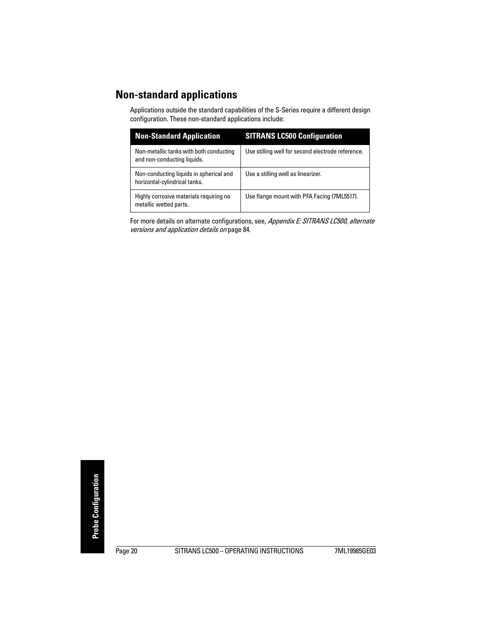# <span id="page-25-0"></span>**Non-standard applications**

Applications outside the standard capabilities of the S-Series require a different design configuration. These non-standard applications include:

| <b>Non-Standard Application</b>                                          | <b>SITRANS LC500 Configuration</b>                |
|--------------------------------------------------------------------------|---------------------------------------------------|
| Non-metallic tanks with both conducting<br>and non-conducting liquids.   | Use stilling well for second electrode reference. |
| Non-conducting liquids in spherical and<br>horizontal-cylindrical tanks. | Use a stilling well as linearizer.                |
| Highly corrosive materials requiring no<br>metallic wetted parts.        | Use flange mount with PFA Facing (7ML5517).       |

For more details on alternate configurations, see, Appendix E: SITRANS LC500, alternate [versions and application details](#page-89-2) on [page 84](#page-89-2).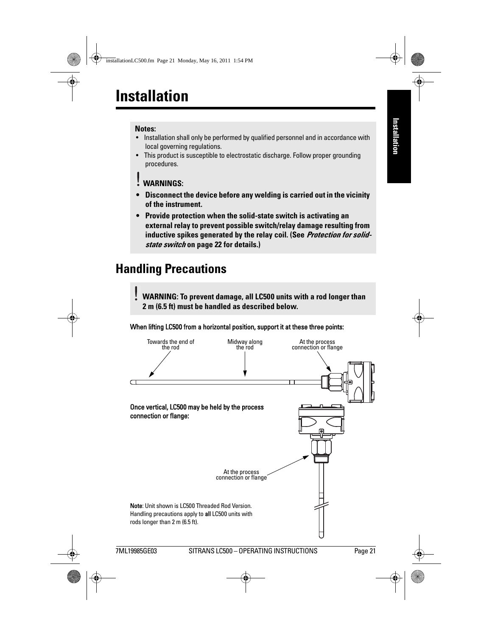#### <span id="page-26-0"></span>**Notes:**

- Installation shall only be performed by qualified personnel and in accordance with local governing regulations.
- This product is susceptible to electrostatic discharge. Follow proper grounding procedures.
- **WARNINGS:**
- **Disconnect the device before any welding is carried out in the vicinity of the instrument.**
- **Provide protection when the solid-state switch is activating an external relay to prevent possible switch/relay damage resulting from inductive spikes generated by the relay coil. (See [Protection for solid](#page-27-2)[state switch](#page-27-2) on page [22](#page-27-2) for details.)**

# <span id="page-26-1"></span>**Handling Precautions**

**WARNING: To prevent damage, all LC500 units with a rod longer than 2 m (6.5 ft) must be handled as described below.**

### When lifting LC500 from a horizontal position, support it at these three points:

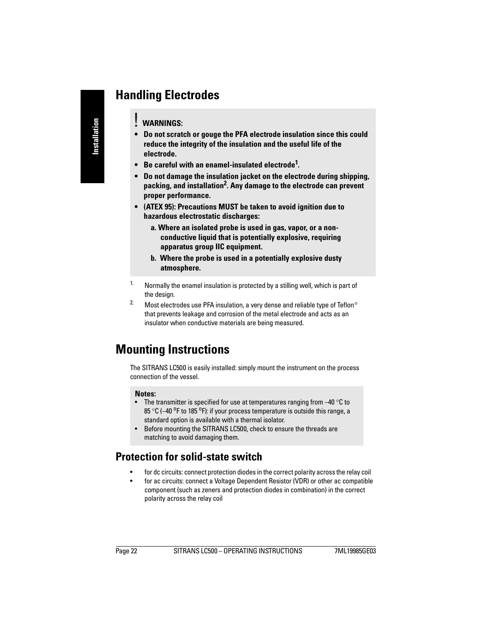# <span id="page-27-0"></span>**Handling Electrodes**

- **WARNINGS:**
- **Do not scratch or gouge the PFA electrode insulation since this could reduce the integrity of the insulation and the useful life of the electrode.**
- **Be careful with an enamel-insulated electrode1 .**
- **Do not damage the insulation jacket on the electrode during shipping, packing, and installation2 . Any damage to the electrode can prevent proper performance.**
- **(ATEX 95): Precautions MUST be taken to avoid ignition due to hazardous electrostatic discharges:**
	- **a. Where an isolated probe is used in gas, vapor, or a nonconductive liquid that is potentially explosive, requiring apparatus group IIC equipment.**
	- **b. Where the probe is used in a potentially explosive dusty atmosphere.**
- <sup>1.</sup> Normally the enamel insulation is protected by a stilling well, which is part of the design.
- <sup>2.</sup> Most electrodes use PFA insulation, a very dense and reliable type of Teflon<sup>®</sup> that prevents leakage and corrosion of the metal electrode and acts as an insulator when conductive materials are being measured.

# <span id="page-27-1"></span>**Mounting Instructions**

The SITRANS LC500 is easily installed: simply mount the instrument on the process connection of the vessel.

#### **Notes:**

- The transmitter is specified for use at temperatures ranging from  $-40$  °C to 85 °C (-40 °F to 185 °F): if your process temperature is outside this range, a standard option is available with a thermal isolator.
- Before mounting the SITRANS LC500, check to ensure the threads are matching to avoid damaging them.

### <span id="page-27-2"></span>**Protection for solid-state switch**

- for dc circuits: connect protection diodes in the correct polarity across the relay coil
- for ac circuits: connect a Voltage Dependent Resistor (VDR) or other ac compatible component (such as zeners and protection diodes in combination) in the correct polarity across the relay coil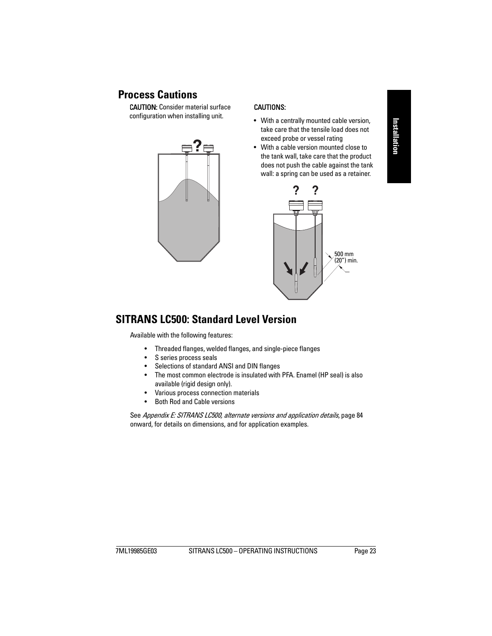# Installation **Installation**

# <span id="page-28-0"></span> **Process Cautions**

CAUTION: Consider material surface configuration when installing unit.



### CAUTIONS:

- With a centrally mounted cable version, take care that the tensile load does not exceed probe or vessel rating
- With a cable version mounted close to the tank wall, take care that the product does not push the cable against the tank wall: a spring can be used as a retainer.



## <span id="page-28-1"></span>**SITRANS LC500: Standard Level Version**

Available with the following features:

- Threaded flanges, welded flanges, and single-piece flanges
- S series process seals
- Selections of standard ANSI and DIN flanges
- The most common electrode is insulated with PFA. Enamel (HP seal) is also available (rigid design only).
- Various process connection materials
- Both Rod and Cable versions

See [Appendix E: SITRANS LC500, alternate versions and application details](#page-89-2), page 84 onward, for details on dimensions, and for application examples.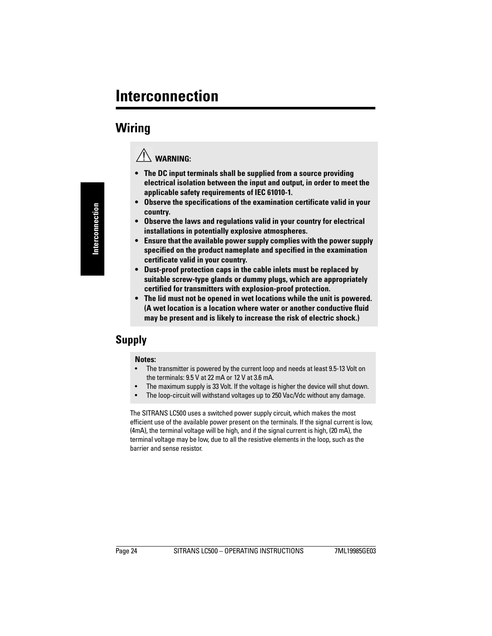# <span id="page-29-1"></span><span id="page-29-0"></span>**Wiring**



- **The DC input terminals shall be supplied from a source providing electrical isolation between the input and output, in order to meet the applicable safety requirements of IEC 61010-1.**
- **Observe the specifications of the examination certificate valid in your country.**
- **Observe the laws and regulations valid in your country for electrical installations in potentially explosive atmospheres.**
- **Ensure that the available power supply complies with the power supply specified on the product nameplate and specified in the examination certificate valid in your country.**
- **Dust-proof protection caps in the cable inlets must be replaced by suitable screw-type glands or dummy plugs, which are appropriately certified for transmitters with explosion-proof protection.**
- **The lid must not be opened in wet locations while the unit is powered. (A wet location is a location where water or another conductive fluid may be present and is likely to increase the risk of electric shock.)**

# <span id="page-29-2"></span>**Supply**

#### **Notes:**

- The transmitter is powered by the current loop and needs at least 9.5-13 Volt on the terminals: 9.5 V at 22 mA or 12 V at 3.6 mA.
- The maximum supply is 33 Volt. If the voltage is higher the device will shut down.
- The loop-circuit will withstand voltages up to 250 Vac/Vdc without any damage.

The SITRANS LC500 uses a switched power supply circuit, which makes the most efficient use of the available power present on the terminals. If the signal current is low, (4mA), the terminal voltage will be high, and if the signal current is high, (20 mA), the terminal voltage may be low, due to all the resistive elements in the loop, such as the barrier and sense resistor.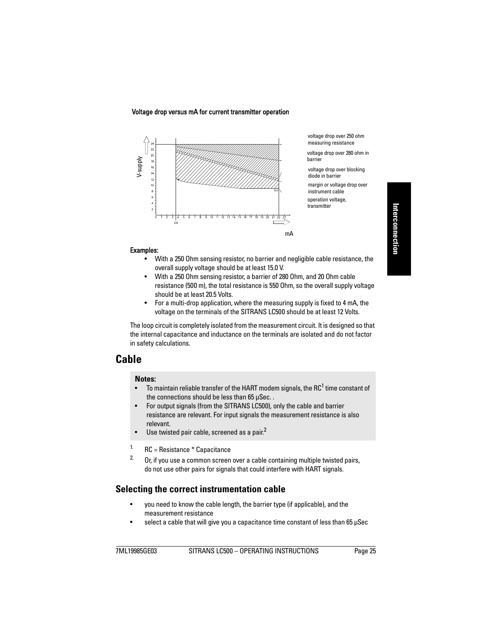Voltage drop versus mA for current transmitter operation



voltage drop over 250 ohm measuring resistance

voltage drop over 280 ohm in barrier

voltage drop over blocking diode in barrier

margin or voltage drop over instrument cable operation voltage,

transmitter

#### Examples:

- With a 250 Ohm sensing resistor, no barrier and negligible cable resistance, the overall supply voltage should be at least 15.0 V.
- With a 250 Ohm sensing resistor, a barrier of 280 Ohm, and 20 Ohm cable resistance (500 m), the total resistance is 550 Ohm, so the overall supply voltage should be at least 20.5 Volts.
- For a multi-drop application, where the measuring supply is fixed to 4 mA, the voltage on the terminals of the SITRANS LC500 should be at least 12 Volts.

The loop circuit is completely isolated from the measurement circuit. It is designed so that the internal capacitance and inductance on the terminals are isolated and do not factor in safety calculations.

### <span id="page-30-0"></span>**Cable**

#### **Notes:**

- $\bullet$   $\;$  To maintain reliable transfer of the HART modem signals, the RC $^1$  time constant of the connections should be less than 65 μSec. .
- For output signals (from the SITRANS LC500), only the cable and barrier resistance are relevant. For input signals the measurement resistance is also relevant.
- Use twisted pair cable, screened as a pair. $2$
- <sup>1.</sup> RC = Resistance  $*$  Capacitance
- $2.$  Or, if you use a common screen over a cable containing multiple twisted pairs, do not use other pairs for signals that could interfere with HART signals.

### <span id="page-30-1"></span>**Selecting the correct instrumentation cable**

- you need to know the cable length, the barrier type (if applicable), and the measurement resistance
- select a cable that will give you a capacitance time constant of less than 65 μSec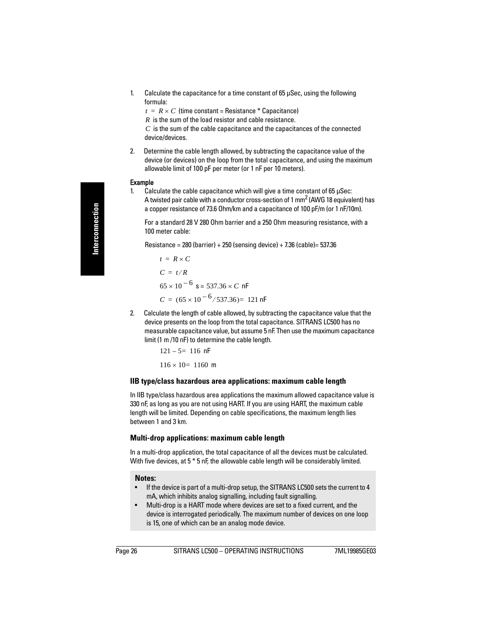1. Calculate the capacitance for a time constant of 65 μSec, using the following formula:

 $t = R \times C$  (time constant = Resistance  $*$  Capacitance)

R is the sum of the load resistor and cable resistance.

 $C$  is the sum of the cable capacitance and the capacitances of the connected device/devices.

2. Determine the cable length allowed, by subtracting the capacitance value of the device (or devices) on the loop from the total capacitance, and using the maximum allowable limit of 100 pF per meter (or 1 nF per 10 meters).

#### Example

1. Calculate the cable capacitance which will give a time constant of 65 μSec: A twisted pair cable with a conductor cross-section of 1 mm<sup>2</sup> (AWG 18 equivalent) has a copper resistance of 73.6 Ohm/km and a capacitance of 100 pF/m (or 1 nF/10m).

For a standard 28 V 280 Ohm barrier and a 250 Ohm measuring resistance, with a 100 meter cable:

Resistance =  $280$  (barrier) +  $250$  (sensing device) +  $7.36$  (cable)=  $537.36$ 

$$
t = R \times C
$$
  
\n
$$
C = t/R
$$
  
\n
$$
65 \times 10^{-6} \text{ s} = 537.36 \times C \text{ nF}
$$
  
\n
$$
C = (65 \times 10^{-6} / 537.36) = 121 \text{ nF}
$$

2. Calculate the length of cable allowed, by subtracting the capacitance value that the device presents on the loop from the total capacitance. SITRANS LC500 has no measurable capacitance value, but assume 5 nF. Then use the maximum capacitance limit (1 m /10 nF) to determine the cable length.

$$
121 - 5 = 116 \text{ nF}
$$

$$
116 \times 10 = 1160 \text{ m}
$$

### **IIB type/class hazardous area applications: maximum cable length**

In IIB type/class hazardous area applications the maximum allowed capacitance value is 330 nF, as long as you are not using HART. If you are using HART, the maximum cable length will be limited. Depending on cable specifications, the maximum length lies between 1 and 3 km.

### **Multi-drop applications: maximum cable length**

In a multi-drop application, the total capacitance of all the devices must be calculated. With five devices, at  $5 * 5$  nF, the allowable cable length will be considerably limited.

### **Notes:**

- If the device is part of a multi-drop setup, the SITRANS LC500 sets the current to 4 mA, which inhibits analog signalling, including fault signalling.
- Multi-drop is a HART mode where devices are set to a fixed current, and the device is interrogated periodically. The maximum number of devices on one loop is 15, one of which can be an analog mode device.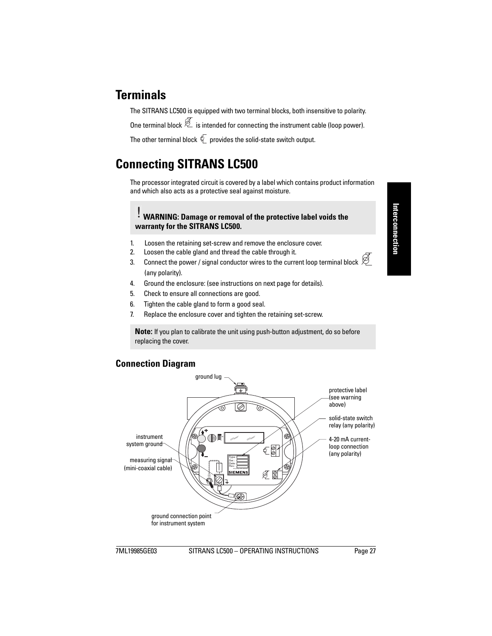# <span id="page-32-0"></span>**Terminals**

The SITRANS LC500 is equipped with two terminal blocks, both insensitive to polarity.

One terminal block  $\bar{\mathcal{Z}}$  is intended for connecting the instrument cable (loop power).

The other terminal block  $\sqrt[k]{\overline{}}$  provides the solid-state switch output.

# <span id="page-32-1"></span>**Connecting SITRANS LC500**

The processor integrated circuit is covered by a label which contains product information and which also acts as a protective seal against moisture.

### **WARNING: Damage or removal of the protective label voids the warranty for the SITRANS LC500.**

- 1. Loosen the retaining set-screw and remove the enclosure cover.
- 2. Loosen the cable gland and thread the cable through it.
- 3. Connect the power / signal conductor wires to the current loop terminal block  $\bigotimes$ (any polarity).
- 4. Ground the enclosure: (see instructions on next page for details).
- 5. Check to ensure all connections are good.
- 6. Tighten the cable gland to form a good seal.
- 7. Replace the enclosure cover and tighten the retaining set-screw.

**Note:** If you plan to calibrate the unit using push-button adjustment, do so before replacing the cover.

### <span id="page-32-2"></span>**Connection Diagram**

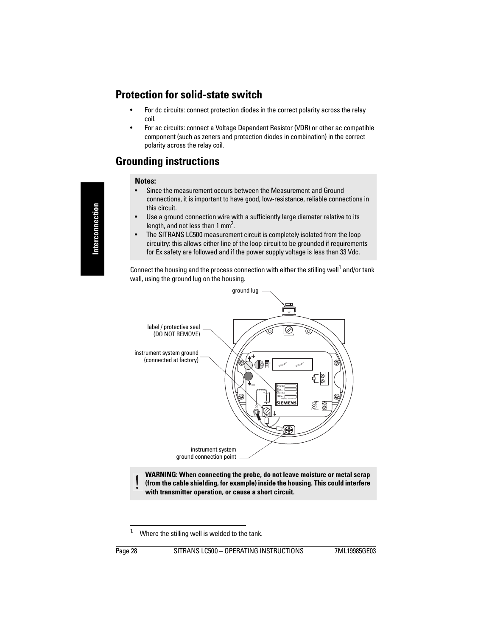# <span id="page-33-0"></span>**Protection for solid-state switch**

- For dc circuits: connect protection diodes in the correct polarity across the relay coil.
- For ac circuits: connect a Voltage Dependent Resistor (VDR) or other ac compatible component (such as zeners and protection diodes in combination) in the correct polarity across the relay coil.

# <span id="page-33-1"></span>**Grounding instructions**

#### **Notes:**

- Since the measurement occurs between the Measurement and Ground connections, it is important to have good, low-resistance, reliable connections in this circuit.
- Use a ground connection wire with a sufficiently large diameter relative to its length, and not less than 1 mm<sup>2</sup>.
- The SITRANS LC500 measurement circuit is completely isolated from the loop circuitry: this allows either line of the loop circuit to be grounded if requirements for Ex safety are followed and if the power supply voltage is less than 33 Vdc.

Connect the housing and the process connection with either the stilling well<sup>1</sup> and/or tank wall, using the ground lug on the housing.



**WARNING: When connecting the probe, do not leave moisture or metal scrap (from the cable shielding, for example) inside the housing. This could interfere with transmitter operation, or cause a short circuit.** 

<sup>&</sup>lt;sup>1.</sup> Where the stilling well is welded to the tank.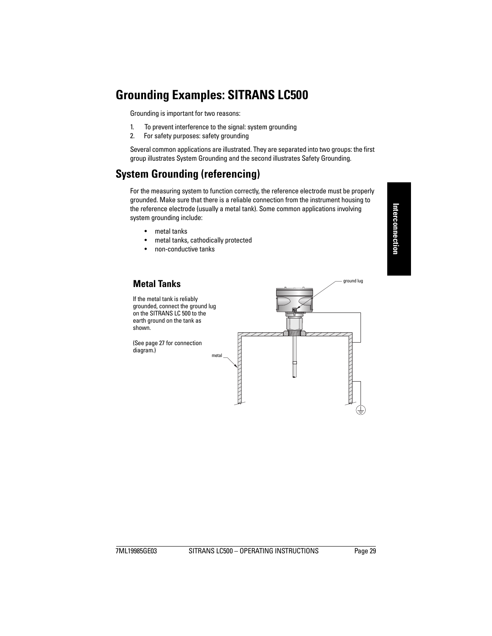# <span id="page-34-3"></span><span id="page-34-0"></span>**Grounding Examples: SITRANS LC500**

Grounding is important for two reasons:

- 1. To prevent interference to the signal: system grounding
- 2. For safety purposes: safety grounding

Several common applications are illustrated. They are separated into two groups: the first group illustrates System Grounding and the second illustrates Safety Grounding.

# <span id="page-34-1"></span>**System Grounding (referencing)**

For the measuring system to function correctly, the reference electrode must be properly grounded. Make sure that there is a reliable connection from the instrument housing to the reference electrode (usually a metal tank). Some common applications involving system grounding include:

- metal tanks
- metal tanks, cathodically protected
- non-conductive tanks

<span id="page-34-2"></span>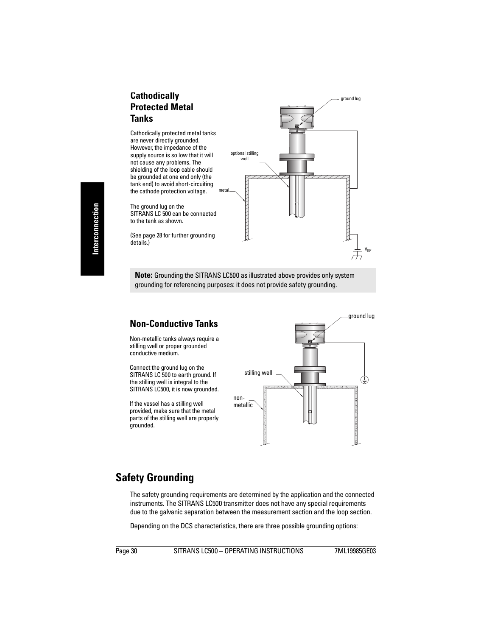### <span id="page-35-0"></span>**Cathodically Protected Metal Tanks**

Cathodically protected metal tanks are never directly grounded. However, the impedance of the supply source is so low that it will not cause any problems. The shielding of the loop cable should be grounded at one end only (the tank end) to avoid short-circuiting the cathode protection voltage.

The ground lug on the SITRANS LC 500 can be connected to the tank as shown.

(See [page 28](#page-33-1) for further grounding details.)



**Note:** Grounding the SITRANS LC500 as illustrated above provides only system grounding for referencing purposes: it does not provide safety grounding.

### <span id="page-35-1"></span>**Non-Conductive Tanks**

Non-metallic tanks always require a stilling well or proper grounded conductive medium.

Connect the ground lug on the SITRANS LC 500 to earth ground. If the stilling well is integral to the SITRANS LC500, it is now grounded.

If the vessel has a stilling well provided, make sure that the metal parts of the stilling well are properly grounded.



## <span id="page-35-2"></span>**Safety Grounding**

The safety grounding requirements are determined by the application and the connected instruments. The SITRANS LC500 transmitter does not have any special requirements due to the galvanic separation between the measurement section and the loop section.

Depending on the DCS characteristics, there are three possible grounding options: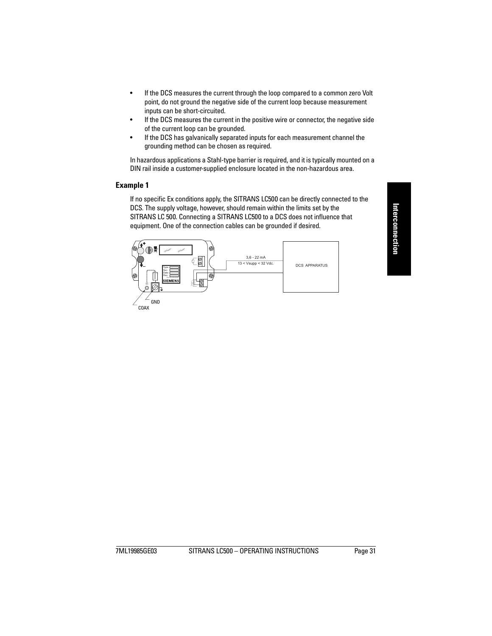- If the DCS measures the current through the loop compared to a common zero Volt point, do not ground the negative side of the current loop because measurement inputs can be short-circuited.
- If the DCS measures the current in the positive wire or connector, the negative side of the current loop can be grounded.
- If the DCS has galvanically separated inputs for each measurement channel the grounding method can be chosen as required.

In hazardous applications a Stahl-type barrier is required, and it is typically mounted on a DIN rail inside a customer-supplied enclosure located in the non-hazardous area.

### **Example 1**

If no specific Ex conditions apply, the SITRANS LC500 can be directly connected to the DCS. The supply voltage, however, should remain within the limits set by the SITRANS LC 500. Connecting a SITRANS LC500 to a DCS does not influence that equipment. One of the connection cables can be grounded if desired.

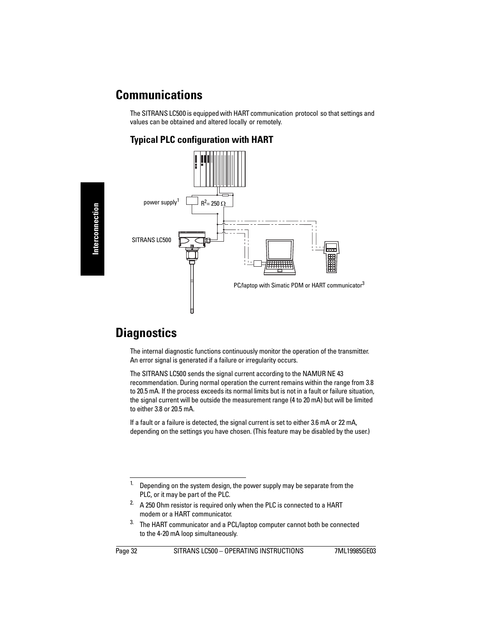# **Communications**

The SITRANS LC500 is equipped with HART communication protocol so that settings and values can be obtained and altered locally or remotely.

# <span id="page-37-0"></span>**Typical PLC configuration with HART**



# **Diagnostics**

The internal diagnostic functions continuously monitor the operation of the transmitter. An error signal is generated if a failure or irregularity occurs.

The SITRANS LC500 sends the signal current according to the NAMUR NE 43 recommendation. During normal operation the current remains within the range from 3.8 to 20.5 mA. If the process exceeds its normal limits but is not in a fault or failure situation, the signal current will be outside the measurement range (4 to 20 mA) but will be limited to either 3.8 or 20.5 mA.

If a fault or a failure is detected, the signal current is set to either 3.6 mA or 22 mA, depending on the settings you have chosen. (This feature may be disabled by the user.)

<sup>&</sup>lt;sup>1.</sup> Depending on the system design, the power supply may be separate from the PLC, or it may be part of the PLC.

 $2.$  A 250 Ohm resistor is required only when the PLC is connected to a HART modem or a HART communicator.

<sup>&</sup>lt;sup>3.</sup> The HART communicator and a PCL/laptop computer cannot both be connected to the 4-20 mA loop simultaneously.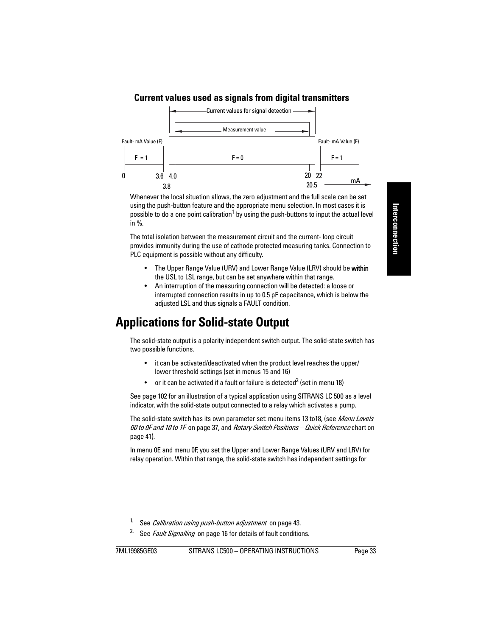# **Current values used as signals from digital transmitters**



Whenever the local situation allows, the zero adjustment and the full scale can be set using the push-button feature and the appropriate menu selection. In most cases it is possible to do a one point calibration<sup>1</sup> by using the push-buttons to input the actual level in %.

The total isolation between the measurement circuit and the current- loop circuit provides immunity during the use of cathode protected measuring tanks. Connection to PLC equipment is possible without any difficulty.

- The Upper Range Value (URV) and Lower Range Value (LRV) should be within the USL to LSL range, but can be set anywhere within that range.
- An interruption of the measuring connection will be detected: a loose or interrupted connection results in up to 0.5 pF capacitance, which is below the adjusted LSL and thus signals a FAULT condition.

# **Applications for Solid-state Output**

The solid-state output is a polarity independent switch output. The solid-state switch has two possible functions.

- it can be activated/deactivated when the product level reaches the upper/ lower threshold settings (set in menus 15 and 16)
- or it can be activated if a fault or failure is detected<sup>2</sup> (set in menu 18)

See [page 102](#page-107-0) for an illustration of a typical application using SITRANS LC 500 as a level indicator, with the solid-state output connected to a relay which activates a pump.

The solid-state switch has its own parameter set: menu items 13 to18, (see Menu Levels [00 to 0F and 10 to 1F](#page-42-0) on [page 37,](#page-42-0) and Rotary Switch Positions - Quick Reference chart on [page 41\)](#page-46-0).

In menu 0E and menu 0F, you set the Upper and Lower Range Values (URV and LRV) for relay operation. Within that range, the solid-state switch has independent settings for

<sup>&</sup>lt;sup>1.</sup> See *[Calibration using push-button adjustment](#page-48-0)* on [page 43.](#page-48-0)

<sup>&</sup>lt;sup>2</sup> See *[Fault Signalling](#page-21-0)* on [page 16](#page-21-0) for details of fault conditions.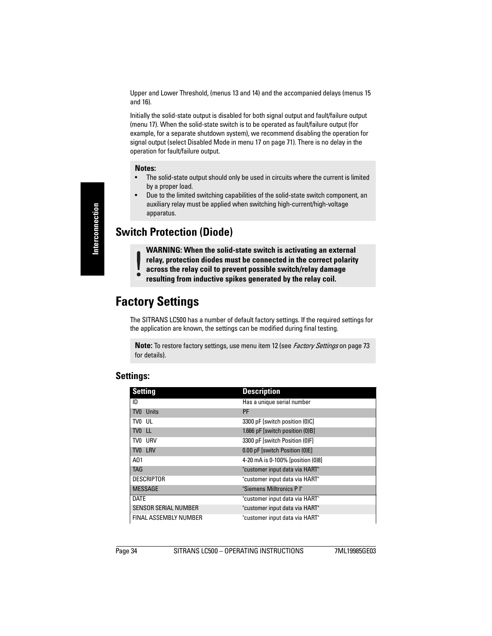Upper and Lower Threshold, (menus 13 and 14) and the accompanied delays (menus 15 and 16).

Initially the solid-state output is disabled for both signal output and fault/failure output (menu 17). When the solid-state switch is to be operated as fault/failure output (for example, for a separate shutdown system), we recommend disabling the operation for signal output (select Disabled Mode in menu 17 on [page 71\)](#page-76-0). There is no delay in the operation for fault/failure output.

#### **Notes:**

- The solid-state output should only be used in circuits where the current is limited by a proper load.
- Due to the limited switching capabilities of the solid-state switch component, an auxiliary relay must be applied when switching high-current/high-voltage apparatus.

# **Switch Protection (Diode)**

**WARNING: When the solid-state switch is activating an external relay, protection diodes must be connected in the correct polarity across the relay coil to prevent possible switch/relay damage resulting from inductive spikes generated by the relay coil.**

# **Factory Settings**

The SITRANS LC500 has a number of default factory settings. If the required settings for the application are known, the settings can be modified during final testing.

**Note:** To restore factory settings, use menu item 12 (see [Factory Settings](#page-78-0) on [page 73](#page-78-0) for details).

| <b>Setting</b>               | <b>Description</b>                |
|------------------------------|-----------------------------------|
| ID                           | Has a unique serial number        |
| TV0 Units                    | PF                                |
| TV0 UL                       | 3300 pF [switch position (0)C]    |
| TV0 LL                       | 1.666 pF [switch position (0)B]   |
| TVO URV                      | 3300 pF [switch Position (0)F]    |
| TV0 LRV                      | 0.00 pF [switch Position (0)E]    |
| A01                          | 4-20 mA is 0-100% [position (0)8] |
| <b>TAG</b>                   | "customer input data via HART"    |
| <b>DESCRIPTOR</b>            | "customer input data via HART"    |
| <b>MESSAGE</b>               | "Siemens Milltronics P I"         |
| <b>DATE</b>                  | "customer input data via HART"    |
| <b>SENSOR SERIAL NUMBER</b>  | "customer input data via HART"    |
| <b>FINAL ASSEMBLY NUMBER</b> | "customer input data via HART"    |

# **Settings:**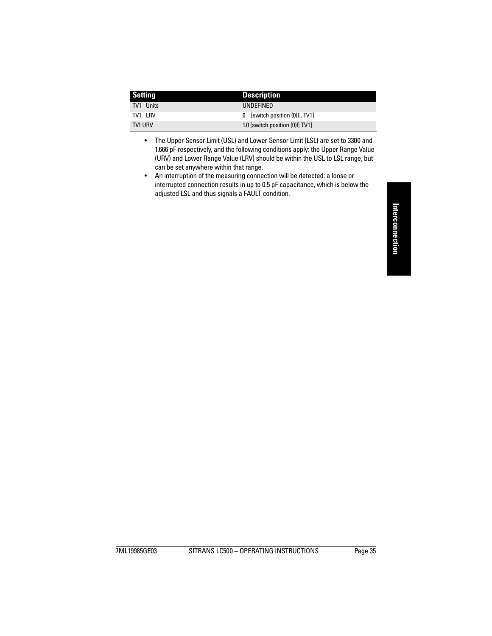| <b>Setting</b> | <b>Description</b>               |
|----------------|----------------------------------|
| TV1 Units      | UNDEFINED                        |
| <b>TV1 LRV</b> | 0 [switch position (0) E, TV1]   |
| <b>TV! URV</b> | 1.0 [switch position (0) F, TV1] |

- The Upper Sensor Limit (USL) and Lower Sensor Limit (LSL) are set to 3300 and 1.666 pF respectively, and the following conditions apply: the Upper Range Value (URV) and Lower Range Value (LRV) should be within the USL to LSL range, but can be set anywhere within that range.
- An interruption of the measuring connection will be detected: a loose or interrupted connection results in up to 0.5 pF capacitance, which is below the adjusted LSL and thus signals a FAULT condition.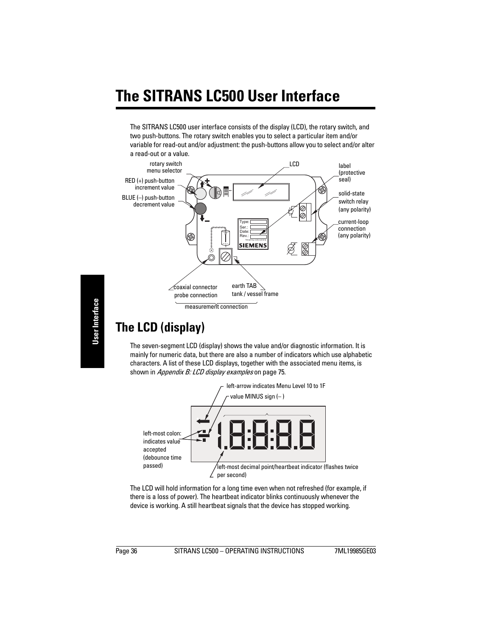# **The SITRANS LC500 User Interface**

The SITRANS LC500 user interface consists of the display (LCD), the rotary switch, and two push-buttons. The rotary switch enables you to select a particular item and/or variable for read-out and/or adjustment: the push-buttons allow you to select and/or alter a read-out or a value.



# **The LCD (display)**

The seven-segment LCD (display) shows the value and/or diagnostic information. It is mainly for numeric data, but there are also a number of indicators which use alphabetic characters. A list of these LCD displays, together with the associated menu items, is shown in [Appendix B: LCD display examples](#page-80-0) on [page 75](#page-80-0).



The LCD will hold information for a long time even when not refreshed (for example, if there is a loss of power). The heartbeat indicator blinks continuously whenever the device is working. A still heartbeat signals that the device has stopped working.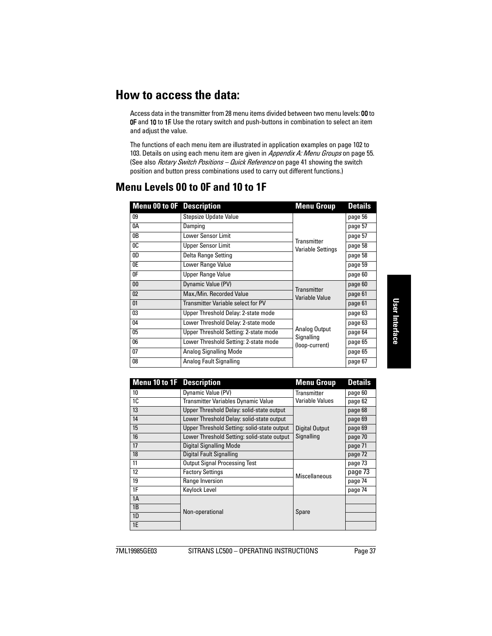# **How to access the data:**

Access data in the transmitter from 28 menu items divided between two menu levels: 00 to **OF** and 10 to 1F. Use the rotary switch and push-buttons in combination to select an item and adjust the value.

The functions of each menu item are illustrated in application examples on [page 102](#page-107-0) to [103](#page-108-0). Details on using each menu item are given in [Appendix A: Menu Groups](#page-60-0) on [page 55](#page-60-0). (See also *[Rotary Switch Positions – Quick Reference](#page-46-0)* on [page 41](#page-46-0) showing the switch position and button press combinations used to carry out different functions.)

| <b>Menu 00 to 0F</b> Description |                                                                      | <b>Menu Group</b>  | <b>Details</b> |
|----------------------------------|----------------------------------------------------------------------|--------------------|----------------|
| 09                               | <b>Stepsize Update Value</b>                                         |                    | page 56        |
| 0A                               | Damping                                                              |                    | page 57        |
| 0B                               | Lower Sensor Limit                                                   |                    | page 57        |
| 0 <sup>C</sup>                   | Transmitter<br><b>Upper Sensor Limit</b><br><b>Variable Settings</b> |                    | page 58        |
| 0 <sub>D</sub>                   | Delta Range Setting                                                  |                    | page 58        |
| 0E                               | Lower Range Value                                                    |                    | page 59        |
| 0 <sup>F</sup>                   | <b>Upper Range Value</b>                                             |                    | page 60        |
| 0 <sub>0</sub>                   | Dynamic Value (PV)                                                   | <b>Transmitter</b> | page 60        |
| 02                               | Max./Min. Recorded Value                                             | Variable Value     | page 61        |
| 01                               | <b>Transmitter Variable select for PV</b>                            |                    | page 61        |
| 03                               | Upper Threshold Delay: 2-state mode                                  |                    | page 63        |
| 04                               | Lower Threshold Delay: 2-state mode                                  |                    | page 63        |
| 05                               | Analog Output<br>Upper Threshold Setting: 2-state mode<br>Signalling |                    | page 64        |
| 06                               | Lower Threshold Setting: 2-state mode                                | (loop-current)     | page 65        |
| 07                               | <b>Analog Signalling Mode</b>                                        |                    | page 65        |
| 08                               | Analog Fault Signalling                                              |                    | page 67        |

# <span id="page-42-0"></span>**Menu Levels 00 to 0F and 10 to 1F**

| <b>Menu 10 to 1F</b> Description |                                             | <b>Menu Group</b>     | <b>Details</b> |
|----------------------------------|---------------------------------------------|-----------------------|----------------|
| 10                               | Dynamic Value (PV)                          | <b>Transmitter</b>    | page 60        |
| 1C                               | Transmitter Variables Dynamic Value         | Variable Values       | page 62        |
| 13                               | Upper Threshold Delay: solid-state output   |                       | page 68        |
| 14                               | Lower Threshold Delay: solid-state output   |                       | page 69        |
| 15                               | Upper Threshold Setting: solid-state output | <b>Digital Output</b> | page 69        |
| 16                               | Lower Threshold Setting: solid-state output | Signalling            | page 70        |
| 17                               | Digital Signalling Mode                     |                       | page 71        |
| 18                               | Digital Fault Signalling                    |                       | page 72        |
| 11                               | <b>Output Signal Processing Test</b>        |                       | page 73        |
| 12                               | <b>Factory Settings</b>                     | Miscellaneous         | page 73        |
| 19                               | Range Inversion                             |                       | page 74        |
| 1F                               | Keylock Level                               |                       | page 74        |
| 1A                               |                                             |                       |                |
| 1B                               | Non-operational                             | Spare                 |                |
| 1D                               |                                             |                       |                |
| 1E                               |                                             |                       |                |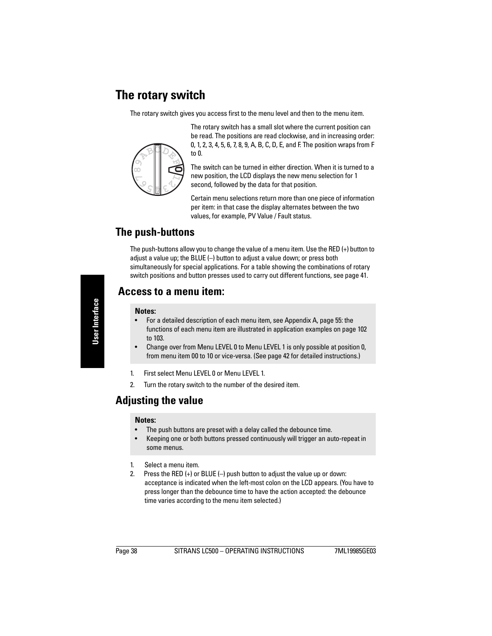# **The rotary switch**

The rotary switch gives you access first to the menu level and then to the menu item.



The rotary switch has a small slot where the current position can be read. The positions are read clockwise, and in increasing order: 0, 1, 2, 3, 4, 5, 6, 7, 8, 9, A, B, C, D, E, and F. The position wraps from F to 0.

The switch can be turned in either direction. When it is turned to a new position, the LCD displays the new menu selection for 1 second, followed by the data for that position.

Certain menu selections return more than one piece of information per item: in that case the display alternates between the two values, for example, PV Value / Fault status.

# **The push-buttons**

The push-buttons allow you to change the value of a menu item. Use the RED (+) button to adjust a value up; the BLUE (–) button to adjust a value down; or press both simultaneously for special applications. For a table showing the combinations of rotary switch positions and button presses used to carry out different functions, see [page 41.](#page-46-0)

# **Access to a menu item:**

#### **Notes:**

- For a detailed description of each menu item, see Appendix A, [page 55](#page-60-0): the functions of each menu item are illustrated in application examples on [page 102](#page-107-0)  to [103.](#page-108-0)
- Change over from Menu LEVEL 0 to Menu LEVEL 1 is only possible at position 0, from menu item 00 to 10 or vice-versa. (See [page 42](#page-47-0) for detailed instructions.)
- 1. First select Menu LEVEL 0 or Menu LEVEL 1.
- 2. Turn the rotary switch to the number of the desired item.

# **Adjusting the value**

#### **Notes:**

- The push buttons are preset with a delay called the debounce time.
- Keeping one or both buttons pressed continuously will trigger an auto-repeat in some menus.
- 1. Select a menu item.
- 2. Press the RED (+) or BLUE (–) push button to adjust the value up or down: acceptance is indicated when the left-most colon on the LCD appears. (You have to press longer than the debounce time to have the action accepted: the debounce time varies according to the menu item selected.)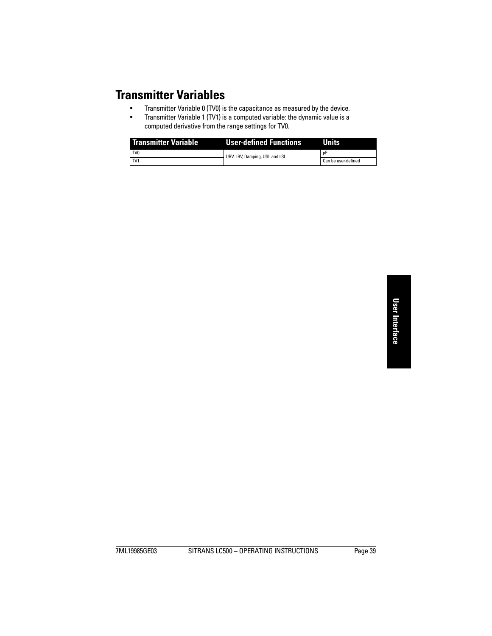# **Transmitter Variables**

- Transmitter Variable 0 (TV0) is the capacitance as measured by the device.
- Transmitter Variable 1 (TV1) is a computed variable: the dynamic value is a computed derivative from the range settings for TV0.

| <b>Transmitter Variable</b> | User-defined Functions         | Units               |  |
|-----------------------------|--------------------------------|---------------------|--|
| TV <sub>0</sub>             | URV, LRV, Damping, USL and LSL |                     |  |
| I TV1                       |                                | Can be user-defined |  |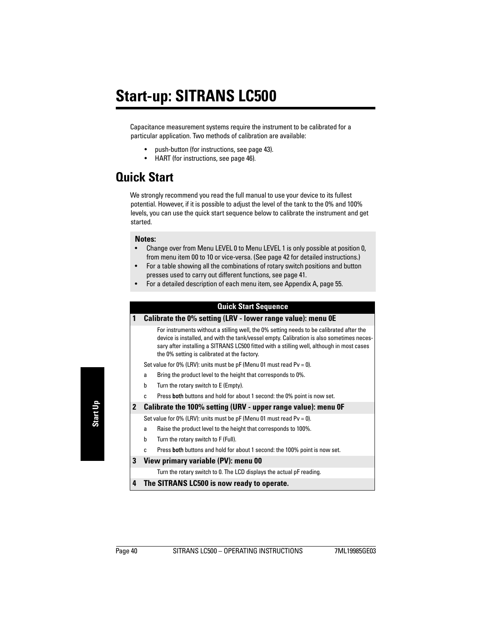Capacitance measurement systems require the instrument to be calibrated for a particular application. Two methods of calibration are available:

- push-button (for instructions, see [page 43](#page-48-1)).
- HART (for instructions, see [page 46](#page-51-0)).

# **Quick Start**

We strongly recommend you read the full manual to use your device to its fullest potential. However, if it is possible to adjust the level of the tank to the 0% and 100% levels, you can use the quick start sequence below to calibrate the instrument and get started.

#### **Notes:**

- Change over from Menu LEVEL 0 to Menu LEVEL 1 is only possible at position 0, from menu item 00 to 10 or vice-versa. (See [page 42](#page-47-1) for detailed instructions.)
- For a table showing all the combinations of rotary switch positions and button presses used to carry out different functions, see [page 41](#page-46-1).
- For a detailed description of each menu item, see Appendix A, [page 55](#page-60-0).

## **Quick Start Sequence**

#### **1 Calibrate the 0% setting (LRV - lower range value): menu 0E**

For instruments without a stilling well, the 0% setting needs to be calibrated after the device is installed, and with the tank/vessel empty. Calibration is also sometimes necessary after installing a SITRANS LC500 fitted with a stilling well, although in most cases the 0% setting is calibrated at the factory.

Set value for 0% (LRV): units must be  $pF$  (Menu 01 must read Pv = 0).

- a Bring the product level to the height that corresponds to 0%.
- b Turn the rotary switch to E (Empty).
- c Press both buttons and hold for about 1 second: the 0% point is now set.
- **2 Calibrate the 100% setting (URV upper range value): menu 0F**

Set value for 0% (LRV): units must be pF (Menu 01 must read Pv = 0).

- a Raise the product level to the height that corresponds to 100%.
- b Turn the rotary switch to F (Full).
- c Press both buttons and hold for about 1 second: the 100% point is now set.

#### **3 View primary variable (PV): menu 00**

Turn the rotary switch to 0. The LCD displays the actual pF reading.

**4 The SITRANS LC500 is now ready to operate.**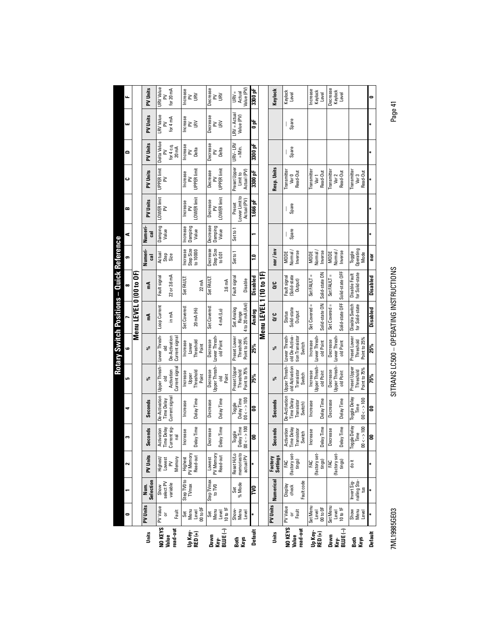<span id="page-46-0"></span>

| Actual<br>Level<br>$\leq$<br>≳<br>$\geq$<br>≳<br>щ<br>$LRV =$ Actual<br>LRV Value<br>PV Units<br>Decrease<br>Value (PV)<br><b>Increase</b><br>for $4 \text{ mA}$<br>Spare<br>at<br>O<br><b>N</b><br>š<br>$\geq$<br>≧<br>≧<br>ш<br>Delta Value<br>PV Units<br>URV-LRV<br>Decrease<br>3300 pF<br>Increase<br>for $4c.q$ .<br>$=Min.$<br>Spare<br>$20 \text{ mA}$<br>Delta<br>Delta<br>≧<br>≧<br>۵<br>⋧<br>Preset Upper<br>Resp. Units<br>UPPER limit<br>UPPER limit<br>UPPER limit<br>Actual (PV)<br>Transmitter<br>Transmitter<br>Transmitter<br>PV Units<br><b>Transmitter</b><br>Decrease<br>Read-Out<br>Read-Out<br>3300 pF<br>Read-Out<br>Increase<br>Read-Out<br>Limit to<br>Var 0<br>Var <sub>2</sub><br>Var <sub>3</sub><br>Var <sub>1</sub><br>ں<br>≳<br>≧<br>≧<br>Lower Limit to<br>LOWER limit<br>LOWER limit<br>LOWER limit<br>Actual (PV)<br>PV Units<br>1.666 pF<br>Decrease<br>Increase<br>Preset<br>Spare<br>$\geq$<br>$\geq$<br>$\geq$<br>œ<br>Decrease<br>ncrease<br>Damping<br>Damping<br>Damping<br>Value<br>Value<br>Set to 1<br>Numer<br>Value<br>Spare<br>$\overline{3}$<br>⋖<br>Step Size<br>Numeri-<br>Step Size<br>Operating<br>Decrease<br>Increase<br>to 10000<br>nor/inv<br>Normal/<br>Setto 1<br>Normal/<br>Inverse<br>Vormal<br>Inverse<br>Inverse<br>MODE<br><b>MODE</b><br>Toggle<br><b>MODE</b><br>Mode<br>to $0.01$<br>Actual<br>Step<br>Size<br>ຸລ<br>ē<br>ౙ<br>5<br>Solid-state OFF<br>Menu LEVEL 0 (00 to OF)<br>Solid-state ON<br>for Solid-state<br>Menu LEVEL 1 (10 to 1F)<br>Disable Fault<br>Set FAULT =<br>Set FAULT =<br>22 or 3.6 mA<br>(Solid-state<br><b>Disabled</b><br>Fault signal<br>Set FAULT:<br>Fault signal<br>Fault signal<br>Disabled<br>Set FAULT:<br>Disable<br>Output)<br>3.6 mA<br>$22 \text{ mA}$<br>δC<br>짙<br>œ<br>Solid-state OFF<br>Solid-state ON<br>4 to 20 mA (Anl)<br>Set Covered =<br>Disable Switch<br>for Solid-state<br>Set Covered =<br>Loop Current<br>Set Covered:<br>Set Covered:<br>Disabled<br>Set Analog<br>Solid-state<br>20 mA (Hi)<br>4 mA (Lo)<br>Analog<br>Range<br><b>Status</b><br>Output<br>in mA<br>ວ<br>ດັ<br>E<br>Lower Thresh-<br>Preset Lower<br>old De-Activa-<br>De-Activation<br>Lower Thresh-<br>Current signal<br>tion Transistor<br>Lower Thresh-<br>Preset Lower<br>Lower Thresh<br>Point to 25%<br>Lower Thresh<br>Point to 25%<br>old Point<br>Decrease<br>Threshold<br>Decrease<br>Threshold<br>Threshold<br>Increase<br>old Point<br>old Point<br>Increase<br>Switch<br>Lower<br>Point<br>25%<br>25%<br>వ్<br>వ్<br>ه<br>Upper Thresh-<br>Upper Thresh-<br>Upper Thresh-<br>Upper Thresh-<br>Upper Thresh-<br>old Activation<br>Current signal<br>Preset Upper<br>Preset Upper<br>Point to 75%<br>Point to 75%<br>Transistor<br>Activation<br>Decrease<br>Threshold<br>Decrease<br>Threshold<br>Threshold<br>Increase<br>old Point<br>old Point<br>Increase<br>Switch<br>Upper<br>Point<br>Point<br>75%<br>75%<br>흥<br>್ಲಿ<br>دی<br>వ్<br>De-Activation<br>De-Activation<br>Current signal<br>Toggle Delay<br>$00 < - > 100$<br>$00 < -3100$<br>Delay Time<br>Time Delay<br>Delay Time<br>Delay Time<br>Time Delay<br>Delay Time<br>Delay Time<br>Seconds<br>ransistor<br>Seconds<br>Decrease<br>Decrease<br><b>Increase</b><br>Increase<br>Switch)<br>Toggle<br>Time<br>E<br>ខ<br>౾<br>÷<br>Current sig-<br>Toggle Delay<br>Delay Time<br>$00 < -\gt 100$<br>Delay Time<br>Delay Time<br>$\leftarrow$ > 100<br>lay Time<br>Activation<br>Time Delay<br>lay Time<br>Activation<br>Time Delay<br>Transistor<br>Decrease<br>Decrease<br>aconds<br>Seconds<br><b>Increase</b><br>Increase<br>Toggle<br>Switch<br>Time<br>ē<br>g<br>8<br>m<br>ē<br>ē<br>ŭ<br>$\epsilon$<br>memoriesto<br>(factory set-<br>(factory set-<br>(factory set-<br>Reset Hi/Lo<br>PV Memory<br>PV Memory<br>Read-out<br>PV Units<br>Read-out<br><b>Settings</b><br>actual PV<br>Highest<br>Lowest<br>Highest/<br>Lowest<br>Memory<br>Factory<br>FAC<br>tings)<br>tings)<br>tings)<br>FAC<br>doit<br>FAC<br>$\geq$<br>$\sim$<br>Numerical<br>Step TV0 to<br>Step TVmax<br>Selection<br>Fault code<br>nalling Sta-<br>Invert Sig-<br>select PV<br>Set<br>% Mode<br>variable<br>TVmax<br>Display<br>check<br>lum.<br>Show<br>to TVO<br>PS<br>N<br>$\mathfrak{m}$<br>PV Units<br>PV Value<br>PV Units<br>PV Value<br>Set Menu<br>Set Menu<br>00 to 0F<br>00 to 0F<br>10 to 1F<br>10 to 1F<br>Show<br>Menu<br>Menu<br>Show-<br>Menu<br><sub>5 군</sub><br>Level<br>Fault<br>Level<br>Level<br>Menu<br>Level<br>Level<br>Level<br>Set<br>Set<br>0<br>ŏ<br>NO KEYS<br>NO KEYS<br>read-out<br>Key-<br>BLUE (-)<br>read-out<br><b>BLUE</b> (-)<br><b>Default</b><br>Up Key-<br>RED (+)<br>Up Key-<br>Units<br>RED (+)<br>Default<br>Units<br>Value<br>Value<br>Down<br>Down<br>Key-<br>Keys<br>Keys<br>Both<br>Both |  |  |  |  | <b>Rotary Switch Positions - Quick Reference</b> |  |  |  |                            |
|----------------------------------------------------------------------------------------------------------------------------------------------------------------------------------------------------------------------------------------------------------------------------------------------------------------------------------------------------------------------------------------------------------------------------------------------------------------------------------------------------------------------------------------------------------------------------------------------------------------------------------------------------------------------------------------------------------------------------------------------------------------------------------------------------------------------------------------------------------------------------------------------------------------------------------------------------------------------------------------------------------------------------------------------------------------------------------------------------------------------------------------------------------------------------------------------------------------------------------------------------------------------------------------------------------------------------------------------------------------------------------------------------------------------------------------------------------------------------------------------------------------------------------------------------------------------------------------------------------------------------------------------------------------------------------------------------------------------------------------------------------------------------------------------------------------------------------------------------------------------------------------------------------------------------------------------------------------------------------------------------------------------------------------------------------------------------------------------------------------------------------------------------------------------------------------------------------------------------------------------------------------------------------------------------------------------------------------------------------------------------------------------------------------------------------------------------------------------------------------------------------------------------------------------------------------------------------------------------------------------------------------------------------------------------------------------------------------------------------------------------------------------------------------------------------------------------------------------------------------------------------------------------------------------------------------------------------------------------------------------------------------------------------------------------------------------------------------------------------------------------------------------------------------------------------------------------------------------------------------------------------------------------------------------------------------------------------------------------------------------------------------------------------------------------------------------------------------------------------------------------------------------------------------------------------------------------------------------------------------------------------------------------------------------------------------------------------------------------------------------------------------------------------------------------------------------------------------------------------------------------------------------------------------------------------------------------------------------------------------------------------------------------------------------------------------------------------------------------------------------------------------------------------------------------------------------------------------------------------------------------------------------------------------------------------------------------------------------------------------------------------------------------------------------------------------------------------------------------------------------------------------------------------------------------------------------------------------------------------------------------------------------------------------------------------------------------------------------------------------------------------------------------------------|--|--|--|--|--------------------------------------------------|--|--|--|----------------------------|
|                                                                                                                                                                                                                                                                                                                                                                                                                                                                                                                                                                                                                                                                                                                                                                                                                                                                                                                                                                                                                                                                                                                                                                                                                                                                                                                                                                                                                                                                                                                                                                                                                                                                                                                                                                                                                                                                                                                                                                                                                                                                                                                                                                                                                                                                                                                                                                                                                                                                                                                                                                                                                                                                                                                                                                                                                                                                                                                                                                                                                                                                                                                                                                                                                                                                                                                                                                                                                                                                                                                                                                                                                                                                                                                                                                                                                                                                                                                                                                                                                                                                                                                                                                                                                                                                                                                                                                                                                                                                                                                                                                                                                                                                                                                                                                                        |  |  |  |  |                                                  |  |  |  |                            |
|                                                                                                                                                                                                                                                                                                                                                                                                                                                                                                                                                                                                                                                                                                                                                                                                                                                                                                                                                                                                                                                                                                                                                                                                                                                                                                                                                                                                                                                                                                                                                                                                                                                                                                                                                                                                                                                                                                                                                                                                                                                                                                                                                                                                                                                                                                                                                                                                                                                                                                                                                                                                                                                                                                                                                                                                                                                                                                                                                                                                                                                                                                                                                                                                                                                                                                                                                                                                                                                                                                                                                                                                                                                                                                                                                                                                                                                                                                                                                                                                                                                                                                                                                                                                                                                                                                                                                                                                                                                                                                                                                                                                                                                                                                                                                                                        |  |  |  |  |                                                  |  |  |  |                            |
|                                                                                                                                                                                                                                                                                                                                                                                                                                                                                                                                                                                                                                                                                                                                                                                                                                                                                                                                                                                                                                                                                                                                                                                                                                                                                                                                                                                                                                                                                                                                                                                                                                                                                                                                                                                                                                                                                                                                                                                                                                                                                                                                                                                                                                                                                                                                                                                                                                                                                                                                                                                                                                                                                                                                                                                                                                                                                                                                                                                                                                                                                                                                                                                                                                                                                                                                                                                                                                                                                                                                                                                                                                                                                                                                                                                                                                                                                                                                                                                                                                                                                                                                                                                                                                                                                                                                                                                                                                                                                                                                                                                                                                                                                                                                                                                        |  |  |  |  |                                                  |  |  |  | PV Units                   |
|                                                                                                                                                                                                                                                                                                                                                                                                                                                                                                                                                                                                                                                                                                                                                                                                                                                                                                                                                                                                                                                                                                                                                                                                                                                                                                                                                                                                                                                                                                                                                                                                                                                                                                                                                                                                                                                                                                                                                                                                                                                                                                                                                                                                                                                                                                                                                                                                                                                                                                                                                                                                                                                                                                                                                                                                                                                                                                                                                                                                                                                                                                                                                                                                                                                                                                                                                                                                                                                                                                                                                                                                                                                                                                                                                                                                                                                                                                                                                                                                                                                                                                                                                                                                                                                                                                                                                                                                                                                                                                                                                                                                                                                                                                                                                                                        |  |  |  |  |                                                  |  |  |  | <b>URV Value</b>           |
|                                                                                                                                                                                                                                                                                                                                                                                                                                                                                                                                                                                                                                                                                                                                                                                                                                                                                                                                                                                                                                                                                                                                                                                                                                                                                                                                                                                                                                                                                                                                                                                                                                                                                                                                                                                                                                                                                                                                                                                                                                                                                                                                                                                                                                                                                                                                                                                                                                                                                                                                                                                                                                                                                                                                                                                                                                                                                                                                                                                                                                                                                                                                                                                                                                                                                                                                                                                                                                                                                                                                                                                                                                                                                                                                                                                                                                                                                                                                                                                                                                                                                                                                                                                                                                                                                                                                                                                                                                                                                                                                                                                                                                                                                                                                                                                        |  |  |  |  |                                                  |  |  |  | for 20 mA                  |
|                                                                                                                                                                                                                                                                                                                                                                                                                                                                                                                                                                                                                                                                                                                                                                                                                                                                                                                                                                                                                                                                                                                                                                                                                                                                                                                                                                                                                                                                                                                                                                                                                                                                                                                                                                                                                                                                                                                                                                                                                                                                                                                                                                                                                                                                                                                                                                                                                                                                                                                                                                                                                                                                                                                                                                                                                                                                                                                                                                                                                                                                                                                                                                                                                                                                                                                                                                                                                                                                                                                                                                                                                                                                                                                                                                                                                                                                                                                                                                                                                                                                                                                                                                                                                                                                                                                                                                                                                                                                                                                                                                                                                                                                                                                                                                                        |  |  |  |  |                                                  |  |  |  | Increase                   |
|                                                                                                                                                                                                                                                                                                                                                                                                                                                                                                                                                                                                                                                                                                                                                                                                                                                                                                                                                                                                                                                                                                                                                                                                                                                                                                                                                                                                                                                                                                                                                                                                                                                                                                                                                                                                                                                                                                                                                                                                                                                                                                                                                                                                                                                                                                                                                                                                                                                                                                                                                                                                                                                                                                                                                                                                                                                                                                                                                                                                                                                                                                                                                                                                                                                                                                                                                                                                                                                                                                                                                                                                                                                                                                                                                                                                                                                                                                                                                                                                                                                                                                                                                                                                                                                                                                                                                                                                                                                                                                                                                                                                                                                                                                                                                                                        |  |  |  |  |                                                  |  |  |  |                            |
|                                                                                                                                                                                                                                                                                                                                                                                                                                                                                                                                                                                                                                                                                                                                                                                                                                                                                                                                                                                                                                                                                                                                                                                                                                                                                                                                                                                                                                                                                                                                                                                                                                                                                                                                                                                                                                                                                                                                                                                                                                                                                                                                                                                                                                                                                                                                                                                                                                                                                                                                                                                                                                                                                                                                                                                                                                                                                                                                                                                                                                                                                                                                                                                                                                                                                                                                                                                                                                                                                                                                                                                                                                                                                                                                                                                                                                                                                                                                                                                                                                                                                                                                                                                                                                                                                                                                                                                                                                                                                                                                                                                                                                                                                                                                                                                        |  |  |  |  |                                                  |  |  |  |                            |
|                                                                                                                                                                                                                                                                                                                                                                                                                                                                                                                                                                                                                                                                                                                                                                                                                                                                                                                                                                                                                                                                                                                                                                                                                                                                                                                                                                                                                                                                                                                                                                                                                                                                                                                                                                                                                                                                                                                                                                                                                                                                                                                                                                                                                                                                                                                                                                                                                                                                                                                                                                                                                                                                                                                                                                                                                                                                                                                                                                                                                                                                                                                                                                                                                                                                                                                                                                                                                                                                                                                                                                                                                                                                                                                                                                                                                                                                                                                                                                                                                                                                                                                                                                                                                                                                                                                                                                                                                                                                                                                                                                                                                                                                                                                                                                                        |  |  |  |  |                                                  |  |  |  | Decrease                   |
|                                                                                                                                                                                                                                                                                                                                                                                                                                                                                                                                                                                                                                                                                                                                                                                                                                                                                                                                                                                                                                                                                                                                                                                                                                                                                                                                                                                                                                                                                                                                                                                                                                                                                                                                                                                                                                                                                                                                                                                                                                                                                                                                                                                                                                                                                                                                                                                                                                                                                                                                                                                                                                                                                                                                                                                                                                                                                                                                                                                                                                                                                                                                                                                                                                                                                                                                                                                                                                                                                                                                                                                                                                                                                                                                                                                                                                                                                                                                                                                                                                                                                                                                                                                                                                                                                                                                                                                                                                                                                                                                                                                                                                                                                                                                                                                        |  |  |  |  |                                                  |  |  |  | <b>NS</b>                  |
|                                                                                                                                                                                                                                                                                                                                                                                                                                                                                                                                                                                                                                                                                                                                                                                                                                                                                                                                                                                                                                                                                                                                                                                                                                                                                                                                                                                                                                                                                                                                                                                                                                                                                                                                                                                                                                                                                                                                                                                                                                                                                                                                                                                                                                                                                                                                                                                                                                                                                                                                                                                                                                                                                                                                                                                                                                                                                                                                                                                                                                                                                                                                                                                                                                                                                                                                                                                                                                                                                                                                                                                                                                                                                                                                                                                                                                                                                                                                                                                                                                                                                                                                                                                                                                                                                                                                                                                                                                                                                                                                                                                                                                                                                                                                                                                        |  |  |  |  |                                                  |  |  |  | $URV =$                    |
|                                                                                                                                                                                                                                                                                                                                                                                                                                                                                                                                                                                                                                                                                                                                                                                                                                                                                                                                                                                                                                                                                                                                                                                                                                                                                                                                                                                                                                                                                                                                                                                                                                                                                                                                                                                                                                                                                                                                                                                                                                                                                                                                                                                                                                                                                                                                                                                                                                                                                                                                                                                                                                                                                                                                                                                                                                                                                                                                                                                                                                                                                                                                                                                                                                                                                                                                                                                                                                                                                                                                                                                                                                                                                                                                                                                                                                                                                                                                                                                                                                                                                                                                                                                                                                                                                                                                                                                                                                                                                                                                                                                                                                                                                                                                                                                        |  |  |  |  |                                                  |  |  |  | Value (PV)                 |
|                                                                                                                                                                                                                                                                                                                                                                                                                                                                                                                                                                                                                                                                                                                                                                                                                                                                                                                                                                                                                                                                                                                                                                                                                                                                                                                                                                                                                                                                                                                                                                                                                                                                                                                                                                                                                                                                                                                                                                                                                                                                                                                                                                                                                                                                                                                                                                                                                                                                                                                                                                                                                                                                                                                                                                                                                                                                                                                                                                                                                                                                                                                                                                                                                                                                                                                                                                                                                                                                                                                                                                                                                                                                                                                                                                                                                                                                                                                                                                                                                                                                                                                                                                                                                                                                                                                                                                                                                                                                                                                                                                                                                                                                                                                                                                                        |  |  |  |  |                                                  |  |  |  | 3300 <sub>p</sub> F        |
|                                                                                                                                                                                                                                                                                                                                                                                                                                                                                                                                                                                                                                                                                                                                                                                                                                                                                                                                                                                                                                                                                                                                                                                                                                                                                                                                                                                                                                                                                                                                                                                                                                                                                                                                                                                                                                                                                                                                                                                                                                                                                                                                                                                                                                                                                                                                                                                                                                                                                                                                                                                                                                                                                                                                                                                                                                                                                                                                                                                                                                                                                                                                                                                                                                                                                                                                                                                                                                                                                                                                                                                                                                                                                                                                                                                                                                                                                                                                                                                                                                                                                                                                                                                                                                                                                                                                                                                                                                                                                                                                                                                                                                                                                                                                                                                        |  |  |  |  |                                                  |  |  |  |                            |
|                                                                                                                                                                                                                                                                                                                                                                                                                                                                                                                                                                                                                                                                                                                                                                                                                                                                                                                                                                                                                                                                                                                                                                                                                                                                                                                                                                                                                                                                                                                                                                                                                                                                                                                                                                                                                                                                                                                                                                                                                                                                                                                                                                                                                                                                                                                                                                                                                                                                                                                                                                                                                                                                                                                                                                                                                                                                                                                                                                                                                                                                                                                                                                                                                                                                                                                                                                                                                                                                                                                                                                                                                                                                                                                                                                                                                                                                                                                                                                                                                                                                                                                                                                                                                                                                                                                                                                                                                                                                                                                                                                                                                                                                                                                                                                                        |  |  |  |  |                                                  |  |  |  | Keylock                    |
|                                                                                                                                                                                                                                                                                                                                                                                                                                                                                                                                                                                                                                                                                                                                                                                                                                                                                                                                                                                                                                                                                                                                                                                                                                                                                                                                                                                                                                                                                                                                                                                                                                                                                                                                                                                                                                                                                                                                                                                                                                                                                                                                                                                                                                                                                                                                                                                                                                                                                                                                                                                                                                                                                                                                                                                                                                                                                                                                                                                                                                                                                                                                                                                                                                                                                                                                                                                                                                                                                                                                                                                                                                                                                                                                                                                                                                                                                                                                                                                                                                                                                                                                                                                                                                                                                                                                                                                                                                                                                                                                                                                                                                                                                                                                                                                        |  |  |  |  |                                                  |  |  |  | Keylock                    |
|                                                                                                                                                                                                                                                                                                                                                                                                                                                                                                                                                                                                                                                                                                                                                                                                                                                                                                                                                                                                                                                                                                                                                                                                                                                                                                                                                                                                                                                                                                                                                                                                                                                                                                                                                                                                                                                                                                                                                                                                                                                                                                                                                                                                                                                                                                                                                                                                                                                                                                                                                                                                                                                                                                                                                                                                                                                                                                                                                                                                                                                                                                                                                                                                                                                                                                                                                                                                                                                                                                                                                                                                                                                                                                                                                                                                                                                                                                                                                                                                                                                                                                                                                                                                                                                                                                                                                                                                                                                                                                                                                                                                                                                                                                                                                                                        |  |  |  |  |                                                  |  |  |  |                            |
|                                                                                                                                                                                                                                                                                                                                                                                                                                                                                                                                                                                                                                                                                                                                                                                                                                                                                                                                                                                                                                                                                                                                                                                                                                                                                                                                                                                                                                                                                                                                                                                                                                                                                                                                                                                                                                                                                                                                                                                                                                                                                                                                                                                                                                                                                                                                                                                                                                                                                                                                                                                                                                                                                                                                                                                                                                                                                                                                                                                                                                                                                                                                                                                                                                                                                                                                                                                                                                                                                                                                                                                                                                                                                                                                                                                                                                                                                                                                                                                                                                                                                                                                                                                                                                                                                                                                                                                                                                                                                                                                                                                                                                                                                                                                                                                        |  |  |  |  |                                                  |  |  |  | <b>Increase</b><br>Keylock |
|                                                                                                                                                                                                                                                                                                                                                                                                                                                                                                                                                                                                                                                                                                                                                                                                                                                                                                                                                                                                                                                                                                                                                                                                                                                                                                                                                                                                                                                                                                                                                                                                                                                                                                                                                                                                                                                                                                                                                                                                                                                                                                                                                                                                                                                                                                                                                                                                                                                                                                                                                                                                                                                                                                                                                                                                                                                                                                                                                                                                                                                                                                                                                                                                                                                                                                                                                                                                                                                                                                                                                                                                                                                                                                                                                                                                                                                                                                                                                                                                                                                                                                                                                                                                                                                                                                                                                                                                                                                                                                                                                                                                                                                                                                                                                                                        |  |  |  |  |                                                  |  |  |  | Level                      |
|                                                                                                                                                                                                                                                                                                                                                                                                                                                                                                                                                                                                                                                                                                                                                                                                                                                                                                                                                                                                                                                                                                                                                                                                                                                                                                                                                                                                                                                                                                                                                                                                                                                                                                                                                                                                                                                                                                                                                                                                                                                                                                                                                                                                                                                                                                                                                                                                                                                                                                                                                                                                                                                                                                                                                                                                                                                                                                                                                                                                                                                                                                                                                                                                                                                                                                                                                                                                                                                                                                                                                                                                                                                                                                                                                                                                                                                                                                                                                                                                                                                                                                                                                                                                                                                                                                                                                                                                                                                                                                                                                                                                                                                                                                                                                                                        |  |  |  |  |                                                  |  |  |  | Decrease<br>Keylock        |
|                                                                                                                                                                                                                                                                                                                                                                                                                                                                                                                                                                                                                                                                                                                                                                                                                                                                                                                                                                                                                                                                                                                                                                                                                                                                                                                                                                                                                                                                                                                                                                                                                                                                                                                                                                                                                                                                                                                                                                                                                                                                                                                                                                                                                                                                                                                                                                                                                                                                                                                                                                                                                                                                                                                                                                                                                                                                                                                                                                                                                                                                                                                                                                                                                                                                                                                                                                                                                                                                                                                                                                                                                                                                                                                                                                                                                                                                                                                                                                                                                                                                                                                                                                                                                                                                                                                                                                                                                                                                                                                                                                                                                                                                                                                                                                                        |  |  |  |  |                                                  |  |  |  | Level                      |
|                                                                                                                                                                                                                                                                                                                                                                                                                                                                                                                                                                                                                                                                                                                                                                                                                                                                                                                                                                                                                                                                                                                                                                                                                                                                                                                                                                                                                                                                                                                                                                                                                                                                                                                                                                                                                                                                                                                                                                                                                                                                                                                                                                                                                                                                                                                                                                                                                                                                                                                                                                                                                                                                                                                                                                                                                                                                                                                                                                                                                                                                                                                                                                                                                                                                                                                                                                                                                                                                                                                                                                                                                                                                                                                                                                                                                                                                                                                                                                                                                                                                                                                                                                                                                                                                                                                                                                                                                                                                                                                                                                                                                                                                                                                                                                                        |  |  |  |  |                                                  |  |  |  |                            |
|                                                                                                                                                                                                                                                                                                                                                                                                                                                                                                                                                                                                                                                                                                                                                                                                                                                                                                                                                                                                                                                                                                                                                                                                                                                                                                                                                                                                                                                                                                                                                                                                                                                                                                                                                                                                                                                                                                                                                                                                                                                                                                                                                                                                                                                                                                                                                                                                                                                                                                                                                                                                                                                                                                                                                                                                                                                                                                                                                                                                                                                                                                                                                                                                                                                                                                                                                                                                                                                                                                                                                                                                                                                                                                                                                                                                                                                                                                                                                                                                                                                                                                                                                                                                                                                                                                                                                                                                                                                                                                                                                                                                                                                                                                                                                                                        |  |  |  |  |                                                  |  |  |  |                            |

7ML19985GE03 SITRANS LC500 – OPERATING INSTRUCTIONS Page 41 SITRANS LC500 - OPERATING INSTRUCTIONS

<span id="page-46-1"></span>7ML19985GE03

Page 41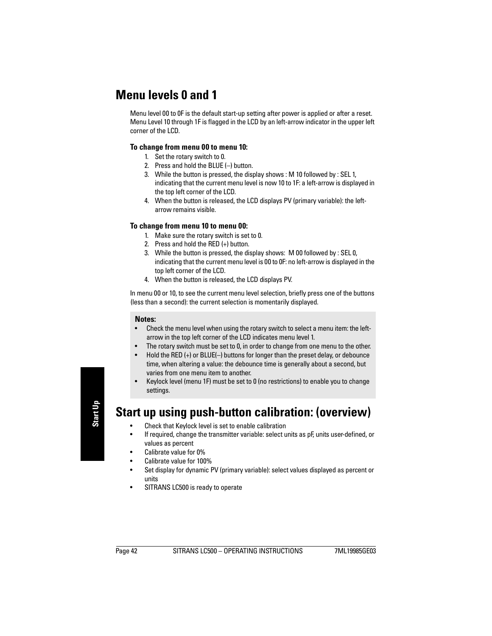# <span id="page-47-1"></span>**Menu levels 0 and 1**

Menu level 00 to 0F is the default start-up setting after power is applied or after a reset. Menu Level 10 through 1F is flagged in the LCD by an left-arrow indicator in the upper left corner of the LCD.

### **To change from menu 00 to menu 10:**

- 1. Set the rotary switch to 0.
- 2. Press and hold the BLUE (–) button.
- 3. While the button is pressed, the display shows : M 10 followed by : SEL 1, indicating that the current menu level is now 10 to 1F: a left-arrow is displayed in the top left corner of the LCD.
- 4. When the button is released, the LCD displays PV (primary variable): the leftarrow remains visible.

### **To change from menu 10 to menu 00:**

- 1. Make sure the rotary switch is set to 0.
- 2. Press and hold the RED (+) button.
- 3. While the button is pressed, the display shows: M 00 followed by : SEL 0, indicating that the current menu level is 00 to 0F: no left-arrow is displayed in the top left corner of the LCD.
- 4. When the button is released, the LCD displays PV.

In menu 00 or 10, to see the current menu level selection, briefly press one of the buttons (less than a second): the current selection is momentarily displayed.

#### **Notes:**

- Check the menu level when using the rotary switch to select a menu item: the leftarrow in the top left corner of the LCD indicates menu level 1.
- The rotary switch must be set to 0, in order to change from one menu to the other.
- Hold the RED (+) or BLUE(–) buttons for longer than the preset delay, or debounce time, when altering a value: the debounce time is generally about a second, but varies from one menu item to another.
- Keylock level (menu 1F) must be set to 0 (no restrictions) to enable you to change settings.

# <span id="page-47-0"></span>**Start up using push-button calibration: (overview)**

- Check that Keylock level is set to enable calibration
- If required, change the transmitter variable: select units as pF, units user-defined, or values as percent
- Calibrate value for 0%
- Calibrate value for 100%
- Set display for dynamic PV (primary variable): select values displayed as percent or units
- SITRANS LC500 is ready to operate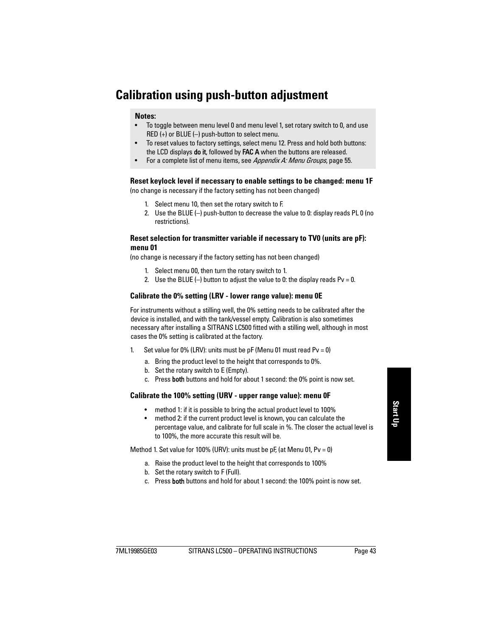# <span id="page-48-1"></span><span id="page-48-0"></span>**Calibration using push-button adjustment**

#### **Notes:**

- To toggle between menu level 0 and menu level 1, set rotary switch to 0, and use RED (+) or BLUE (–) push-button to select menu.
- To reset values to factory settings, select menu 12. Press and hold both buttons: the LCD displays **do it**, followed by **FAC A** when the buttons are released.
- For a complete list of menu items, see [Appendix A: Menu Groups](#page-60-0), [page 55.](#page-60-0)

## **Reset keylock level if necessary to enable settings to be changed: menu 1F**

(no change is necessary if the factory setting has not been changed)

- 1. Select menu 10, then set the rotary switch to F.
- 2. Use the BLUE (–) push-button to decrease the value to 0: display reads PL 0 (no restrictions).

### **Reset selection for transmitter variable if necessary to TV0 (units are pF): menu 01**

(no change is necessary if the factory setting has not been changed)

- 1. Select menu 00, then turn the rotary switch to 1.
- 2. Use the BLUE  $(-)$  button to adjust the value to 0: the display reads Pv = 0.

### **Calibrate the 0% setting (LRV - lower range value): menu 0E**

For instruments without a stilling well, the 0% setting needs to be calibrated after the device is installed, and with the tank/vessel empty. Calibration is also sometimes necessary after installing a SITRANS LC500 fitted with a stilling well, although in most cases the 0% setting is calibrated at the factory.

- 1. Set value for 0% (LRV): units must be  $pF$  (Menu 01 must read Pv = 0)
	- a. Bring the product level to the height that corresponds to 0%.
	- b. Set the rotary switch to E (Empty).
	- c. Press both buttons and hold for about 1 second: the 0% point is now set.

### **Calibrate the 100% setting (URV - upper range value): menu 0F**

- method 1: if it is possible to bring the actual product level to 100%
- method 2: if the current product level is known, you can calculate the percentage value, and calibrate for full scale in %. The closer the actual level is to 100%, the more accurate this result will be.

Method 1. Set value for 100% (URV): units must be  $pF$ , (at Menu 01, Pv = 0)

- a. Raise the product level to the height that corresponds to 100%
- b. Set the rotary switch to F (Full).
- c. Press both buttons and hold for about 1 second: the 100% point is now set.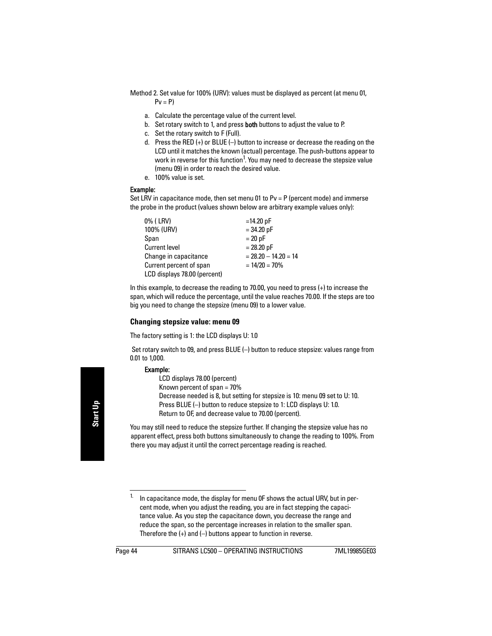- Method 2. Set value for 100% (URV): values must be displayed as percent (at menu 01,  $Pv = P$ 
	- a. Calculate the percentage value of the current level.
	- b. Set rotary switch to 1, and press **both** buttons to adjust the value to P.
	- c. Set the rotary switch to F (Full).
	- d. Press the RED (+) or BLUE (–) button to increase or decrease the reading on the LCD until it matches the known (actual) percentage. The push-buttons appear to work in reverse for this function<sup>1</sup>. You may need to decrease the stepsize value (menu 09) in order to reach the desired value.
	- e. 100% value is set.

### Example:

Set LRV in capacitance mode, then set menu 01 to  $Pv = P$  (percent mode) and immerse the probe in the product (values shown below are arbitrary example values only):

| 0% ( LRV)                    | $=14.20$ pF            |
|------------------------------|------------------------|
| 100% (URV)                   | $= 34.20$ pF           |
| Span                         | $= 20 pF$              |
| <b>Current level</b>         | $= 28.20$ pF           |
| Change in capacitance        | $= 28.20 - 14.20 = 14$ |
| Current percent of span      | $= 14/20 = 70%$        |
| LCD displays 78.00 (percent) |                        |

In this example, to decrease the reading to 70.00, you need to press (+) to increase the span, which will reduce the percentage, until the value reaches 70.00. If the steps are too big you need to change the stepsize (menu 09) to a lower value.

## **Changing stepsize value: menu 09**

The factory setting is 1: the LCD displays U: 1.0

 Set rotary switch to 09, and press BLUE (–) button to reduce stepsize: values range from 0.01 to 1,000.

### Example:

LCD displays 78.00 (percent) Known percent of span = 70% Decrease needed is 8, but setting for stepsize is 10: menu 09 set to U: 10. Press BLUE (–) button to reduce stepsize to 1: LCD displays U: 1.0. Return to OF, and decrease value to 70.00 (percent).

You may still need to reduce the stepsize further. If changing the stepsize value has no apparent effect, press both buttons simultaneously to change the reading to 100%. From there you may adjust it until the correct percentage reading is reached.

<sup>&</sup>lt;sup>1.</sup> In capacitance mode, the display for menu  $0$ F shows the actual URV, but in percent mode, when you adjust the reading, you are in fact stepping the capacitance value. As you step the capacitance down, you decrease the range and reduce the span, so the percentage increases in relation to the smaller span. Therefore the  $(+)$  and  $(-)$  buttons appear to function in reverse.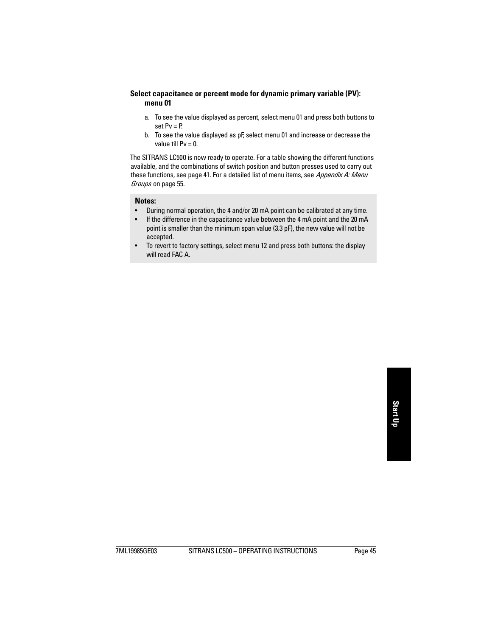## **Select capacitance or percent mode for dynamic primary variable (PV): menu 01**

- a. To see the value displayed as percent, select menu 01 and press both buttons to set  $Pv = P$ .
- b. To see the value displayed as pF, select menu 01 and increase or decrease the value till  $Pv = 0$ .

The SITRANS LC500 is now ready to operate. For a table showing the different functions available, and the combinations of switch position and button presses used to carry out these functions, see [page 41](#page-46-1). For a detailed list of menu items, see Appendix A: Menu [Groups](#page-60-0) on [page 55](#page-60-0).

#### **Notes:**

- During normal operation, the 4 and/or 20 mA point can be calibrated at any time.
- If the difference in the capacitance value between the 4 mA point and the 20 mA point is smaller than the minimum span value (3.3 pF), the new value will not be accepted.
- To revert to factory settings, select menu 12 and press both buttons: the display will read FAC A.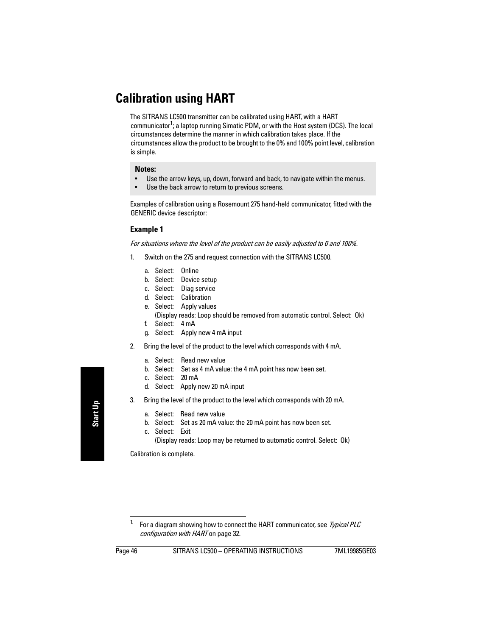# <span id="page-51-0"></span>**Calibration using HART**

The SITRANS LC500 transmitter can be calibrated using HART, with a HART communicator<sup>1</sup>; a laptop running Simatic PDM, or with the Host system (DCS). The local circumstances determine the manner in which calibration takes place. If the circumstances allow the product to be brought to the 0% and 100% point level, calibration is simple.

#### **Notes:**

- Use the arrow keys, up, down, forward and back, to navigate within the menus.
- Use the back arrow to return to previous screens.

Examples of calibration using a Rosemount 275 hand-held communicator, fitted with the GENERIC device descriptor:

## **Example 1**

For situations where the level of the product can be easily adjusted to 0 and 100%.

- 1. Switch on the 275 and request connection with the SITRANS LC500.
	- a. Select: Online
	- b. Select: Device setup
	- c. Select: Diag service
	- d. Select: Calibration
	- e. Select: Apply values (Display reads: Loop should be removed from automatic control. Select: Ok)
	- f. Select: 4 mA
	- g. Select: Apply new 4 mA input
- 2. Bring the level of the product to the level which corresponds with 4 mA.
	- a. Select: Read new value
	- b. Select: Set as 4 mA value: the 4 mA point has now been set.
	- c. Select: 20 mA
	- d. Select: Apply new 20 mA input
- 3. Bring the level of the product to the level which corresponds with 20 mA.
	- a. Select: Read new value
	- b. Select: Set as 20 mA value: the 20 mA point has now been set.
	- c. Select: Exit (Display reads: Loop may be returned to automatic control. Select: Ok)

Calibration is complete.

<sup>&</sup>lt;sup>1.</sup> For a diagram showing how to connect the HART communicator, see Typical PLC [configuration with HART](#page-37-0) on [page 32.](#page-37-0)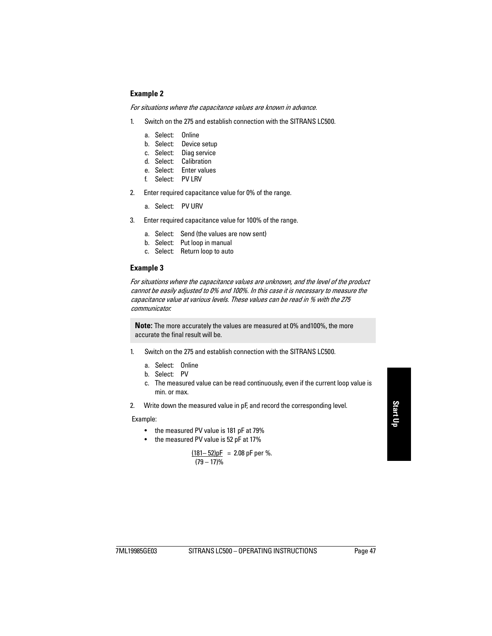## **Example 2**

For situations where the capacitance values are known in advance.

- 1. Switch on the 275 and establish connection with the SITRANS LC500.
	- a. Select: Online
	- b. Select: Device setup
	- c. Select: Diag service
	- d. Select: Calibration
	- e. Select: Enter values
	- f. Select: PV LRV
- 2. Enter required capacitance value for 0% of the range.
	- a. Select: PV URV
- 3. Enter required capacitance value for 100% of the range.
	- a. Select: Send (the values are now sent)
	- b. Select: Put loop in manual
	- c. Select: Return loop to auto

## **Example 3**

For situations where the capacitance values are unknown, and the level of the product cannot be easily adjusted to 0% and 100%. In this case it is necessary to measure the capacitance value at various levels. These values can be read in % with the 275 communicator.

**Note:** The more accurately the values are measured at 0% and100%, the more accurate the final result will be.

- 1. Switch on the 275 and establish connection with the SITRANS LC500.
	- a. Select: Online
	- b. Select: PV
	- c. The measured value can be read continuously, even if the current loop value is min. or max.
- 2. Write down the measured value in pF, and record the corresponding level.

Example:

- the measured PV value is 181 pF at 79%
- the measured PV value is 52 pF at 17%

$$
\frac{(181-52)\text{pF}}{(79-17)\%} = 2.08 \text{ pF per } \%
$$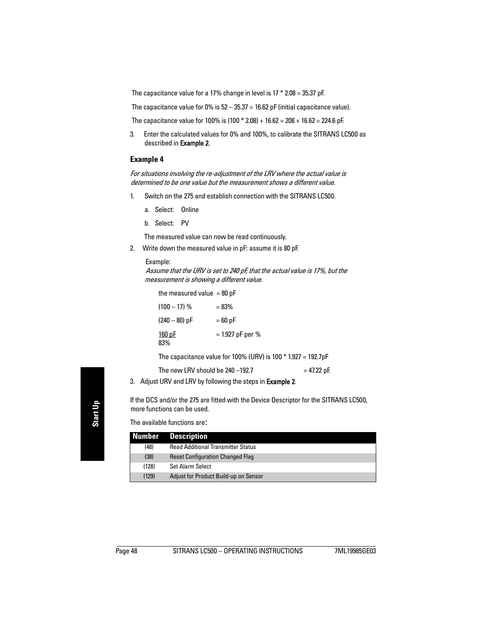The capacitance value for a 17% change in level is  $17 * 2.08 = 35.37$  pF.

The capacitance value for 0% is  $52 - 35.37 = 16.62$  pF (initial capacitance value).

The capacitance value for 100% is  $(100 * 2.08) + 16.62 = 208 + 16.62 = 224.6$  pF.

3. Enter the calculated values for 0% and 100%, to calibrate the SITRANS LC500 as described in Example 2.

### **Example 4**

For situations involving the re-adjustment of the LRV where the actual value is determined to be one value but the measurement shows a different value.

- 1. Switch on the 275 and establish connection with the SITRANS LC500.
	- a. Select: Online
	- b. Select: PV

The measured value can now be read continuously.

2. Write down the measured value in pF: assume it is 80 pF.

#### Example:

 Assume that the URV is set to 240 pF, that the actual value is 17%, but the measurement is showing a different value.

| the measured value $= 80$ pF |                                                                 |
|------------------------------|-----------------------------------------------------------------|
| $(100 - 17)$ %               | $= 83%$                                                         |
| $(240 - 80)$ pF              | $=60$ pF                                                        |
| $160$ pF<br>83%              | $= 1.927$ pF per %                                              |
|                              | The capacitance value for 100% (URV) is 100 $*$ 1.927 = 192.7pF |
|                              |                                                                 |

The new LRV should be  $240 - 192.7$  = 47.22 pF.

3. Adjust URV and LRV by following the steps in **Example 2.** 

If the DCS and/or the 275 are fitted with the Device Descriptor for the SITRANS LC500, more functions can be used.

The available functions are:

|       | <b>Number Description</b>                 |
|-------|-------------------------------------------|
| (48)  | <b>Read Additional Transmitter Status</b> |
| (38)  | <b>Reset Configuration Changed Flag</b>   |
| (128) | Set Alarm Select                          |
| (129) | Adjust for Product Build-up on Sensor     |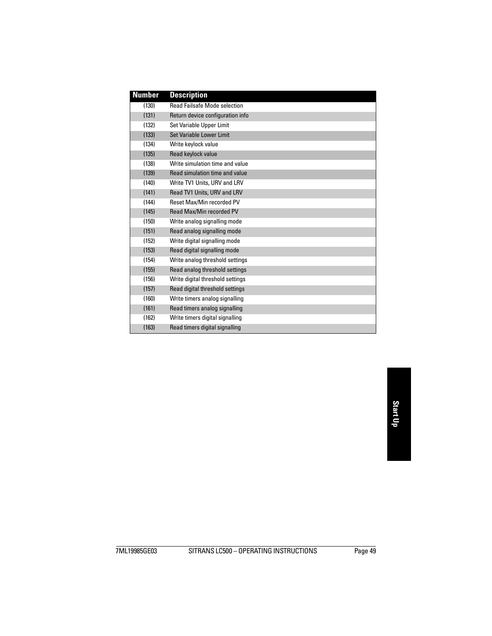| <b>Number</b> | <b>Description</b>                  |
|---------------|-------------------------------------|
| (130)         | <b>Read Failsafe Mode selection</b> |
| (131)         | Return device configuration info    |
| (132)         | Set Variable Upper Limit            |
| (133)         | Set Variable Lower Limit            |
| (134)         | Write keylock value                 |
| (135)         | Read keylock value                  |
| (138)         | Write simulation time and value     |
| (139)         | Read simulation time and value      |
| (140)         | Write TV1 Units, URV and LRV        |
| (141)         | Read TV1 Units, URV and LRV         |
| (144)         | <b>Reset Max/Min recorded PV</b>    |
| (145)         | Read Max/Min recorded PV            |
| (150)         | Write analog signalling mode        |
| (151)         | Read analog signalling mode         |
| (152)         | Write digital signalling mode       |
| (153)         | Read digital signalling mode        |
| (154)         | Write analog threshold settings     |
| (155)         | Read analog threshold settings      |
| (156)         | Write digital threshold settings    |
| (157)         | Read digital threshold settings     |
| (160)         | Write timers analog signalling      |
| (161)         | Read timers analog signalling       |
| (162)         | Write timers digital signalling     |
| (163)         | Read timers digital signalling      |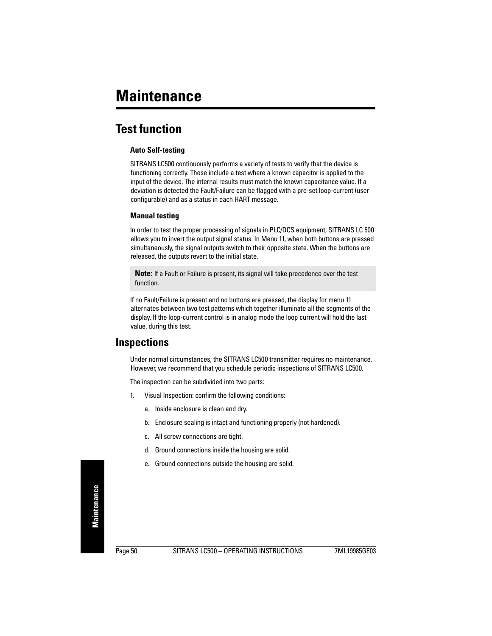# **Test function**

## **Auto Self-testing**

SITRANS LC500 continuously performs a variety of tests to verify that the device is functioning correctly. These include a test where a known capacitor is applied to the input of the device. The internal results must match the known capacitance value. If a deviation is detected the Fault/Failure can be flagged with a pre-set loop-current (user configurable) and as a status in each HART message.

## **Manual testing**

In order to test the proper processing of signals in PLC/DCS equipment, SITRANS LC 500 allows you to invert the output signal status. In Menu 11, when both buttons are pressed simultaneously, the signal outputs switch to their opposite state. When the buttons are released, the outputs revert to the initial state.

**Note:** If a Fault or Failure is present, its signal will take precedence over the test function.

If no Fault/Failure is present and no buttons are pressed, the display for menu 11 alternates between two test patterns which together illuminate all the segments of the display. If the loop-current control is in analog mode the loop current will hold the last value, during this test.

# **Inspections**

Under normal circumstances, the SITRANS LC500 transmitter requires no maintenance. However, we recommend that you schedule periodic inspections of SITRANS LC500.

The inspection can be subdivided into two parts:

- 1. Visual Inspection: confirm the following conditions:
	- a. Inside enclosure is clean and dry.
	- b. Enclosure sealing is intact and functioning properly (not hardened).
	- c. All screw connections are tight.
	- d. Ground connections inside the housing are solid.
	- e. Ground connections outside the housing are solid.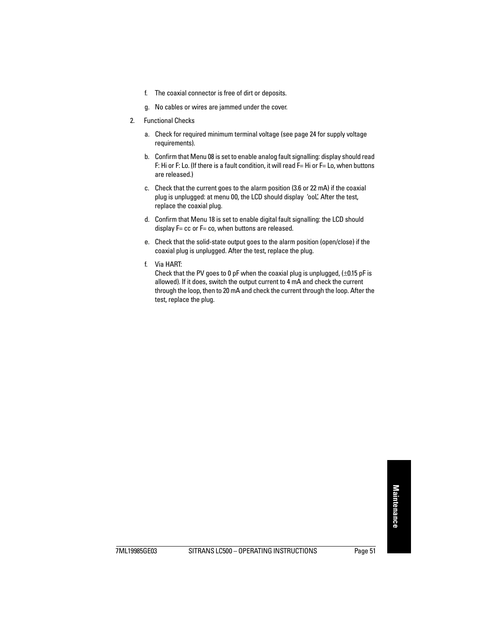- f. The coaxial connector is free of dirt or deposits.
- g. No cables or wires are jammed under the cover.
- 2. Functional Checks
	- a. Check for required minimum terminal voltage (see [page 24](#page-29-0) for supply voltage requirements).
	- b. Confirm that Menu 08 is set to enable analog fault signalling: display should read F: Hi or F: Lo. (If there is a fault condition, it will read F= Hi or F= Lo, when buttons are released.)
	- c. Check that the current goes to the alarm position (3.6 or 22 mA) if the coaxial plug is unplugged: at menu 00, the LCD should display 'ooL' After the test, replace the coaxial plug.
	- d. Confirm that Menu 18 is set to enable digital fault signalling: the LCD should display  $F=$  cc or  $F=$  co, when buttons are released.
	- e. Check that the solid-state output goes to the alarm position (open/close) if the coaxial plug is unplugged. After the test, replace the plug.
	- f. Via HART:

Check that the PV goes to 0 pF when the coaxial plug is unplugged,  $(\pm 0.15 \text{ pF} \text{ is}$ allowed). If it does, switch the output current to 4 mA and check the current through the loop, then to 20 mA and check the current through the loop. After the test, replace the plug.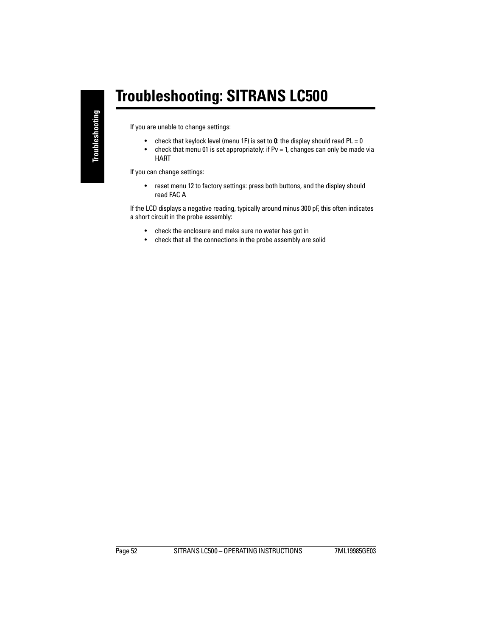# **Troubleshooting: SITRANS LC500**

If you are unable to change settings:

- check that keylock level (menu 1F) is set to 0: the display should read  $PL = 0$
- check that menu 01 is set appropriately: if  $Pv = 1$ , changes can only be made via HART

If you can change settings:

• reset menu 12 to factory settings: press both buttons, and the display should read FAC A

If the LCD displays a negative reading, typically around minus 300 pF, this often indicates a short circuit in the probe assembly:

- check the enclosure and make sure no water has got in
- check that all the connections in the probe assembly are solid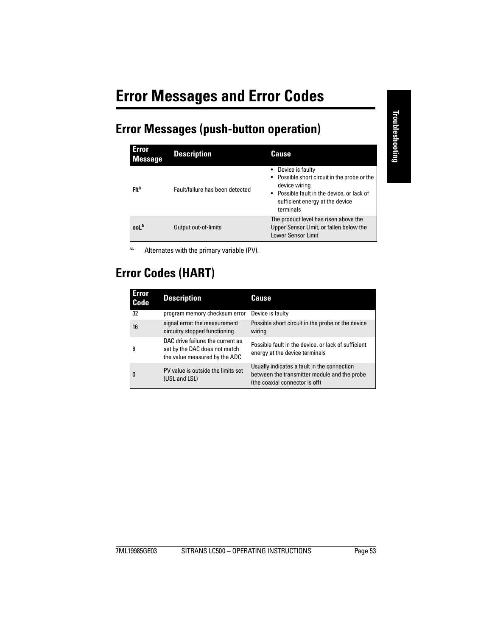# **Error Messages (push-button operation)**

| <b>Error</b><br><b>Message</b> | <b>Description</b>              | Cause                                                                                                                                                                             |
|--------------------------------|---------------------------------|-----------------------------------------------------------------------------------------------------------------------------------------------------------------------------------|
| Fit <sup>a</sup>               | Fault/failure has been detected | • Device is faulty<br>• Possible short circuit in the probe or the<br>device wiring<br>• Possible fault in the device, or lack of<br>sufficient energy at the device<br>terminals |
| ooL <sup>a</sup>               | Output out-of-limits            | The product level has risen above the<br>Upper Sensor Limit, or fallen below the<br><b>Lower Sensor Limit</b>                                                                     |

<span id="page-58-0"></span>a. Alternates with the primary variable (PV).

# **Error Codes (HART)**

| <b>Error</b><br><b>Code</b> | <b>Description</b>                                                                                  | Cause                                                                                                                         |
|-----------------------------|-----------------------------------------------------------------------------------------------------|-------------------------------------------------------------------------------------------------------------------------------|
| 32                          | program memory checksum error                                                                       | Device is faulty                                                                                                              |
| 16                          | signal error: the measurement<br>circuitry stopped functioning                                      | Possible short circuit in the probe or the device<br>wiring                                                                   |
| 8                           | DAC drive failure: the current as<br>set by the DAC does not match<br>the value measured by the ADC | Possible fault in the device, or lack of sufficient<br>energy at the device terminals                                         |
| $\overline{0}$              | PV value is outside the limits set<br>(USL and LSL)                                                 | Usually indicates a fault in the connection<br>between the transmitter module and the probe<br>(the coaxial connector is off) |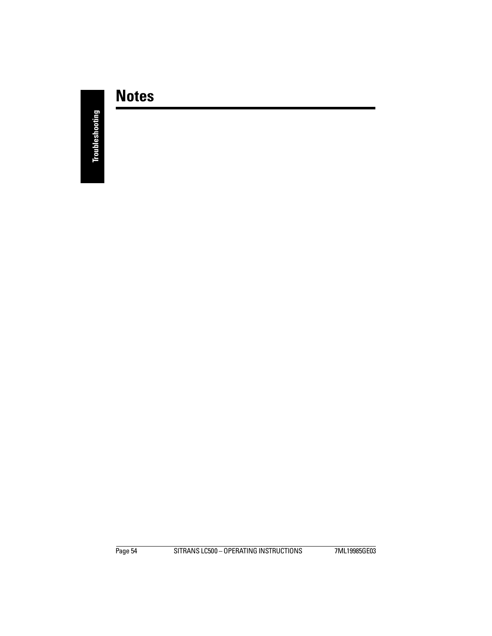# **Notes**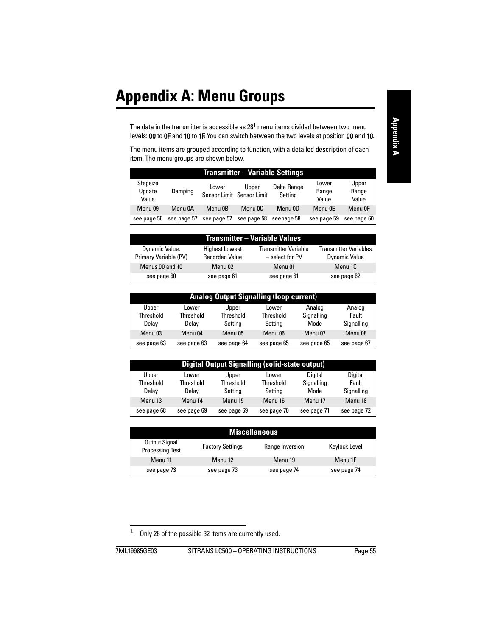<span id="page-60-0"></span>The data in the transmitter is accessible as 28 $^{\rm 1}$  menu items divided between two menu levels: 00 to 0F and 10 to 1F. You can switch between the two levels at position 00 and 10.

The menu items are grouped according to function, with a detailed description of each item. The menu groups are shown below.

| <b>Transmitter – Variable Settings</b> |             |             |                                    |                        |                         |                         |  |  |  |  |
|----------------------------------------|-------------|-------------|------------------------------------|------------------------|-------------------------|-------------------------|--|--|--|--|
| Stepsize<br>Update<br>Value            | Damping     | Lower       | Upper<br>Sensor Limit Sensor Limit | Delta Range<br>Setting | Lower<br>Range<br>Value | Upper<br>Range<br>Value |  |  |  |  |
| Menu 09                                | Menu 0A     | Menu 0B     | Menu OC                            | Menu 0D                | Menu OE                 | Menu OF                 |  |  |  |  |
| see page 56                            | see page 57 | see page 57 | see page 58                        | seepage 58             | see page 59             | see page 60             |  |  |  |  |

| Transmitter – Variable Values                  |                                                |                                                  |                                               |  |  |  |  |  |  |
|------------------------------------------------|------------------------------------------------|--------------------------------------------------|-----------------------------------------------|--|--|--|--|--|--|
| <b>Dynamic Value:</b><br>Primary Variable (PV) | <b>Highest Lowest</b><br><b>Recorded Value</b> | <b>Transmitter Variable</b><br>$-$ select for PV | <b>Transmitter Variables</b><br>Dynamic Value |  |  |  |  |  |  |
| Menus 00 and 10                                | Menu 02                                        | Menu 01                                          | Menu 1C                                       |  |  |  |  |  |  |
| see page 60                                    | see page 61                                    | see page 61                                      | see page 62                                   |  |  |  |  |  |  |

|             | <b>Analog Output Signalling (loop current)</b> |             |             |             |             |  |  |  |  |  |  |
|-------------|------------------------------------------------|-------------|-------------|-------------|-------------|--|--|--|--|--|--|
| Upper       | Lower                                          | Upper       | Lower       | Analog      | Analog      |  |  |  |  |  |  |
| Threshold   | Threshold                                      | Threshold   | Threshold   | Signalling  | Fault       |  |  |  |  |  |  |
| Delay       | Delay                                          | Setting     | Setting     | Mode        | Signalling  |  |  |  |  |  |  |
| Menu 03     | Menu 04                                        | Menu 05     | Menu 06     | Menu 07     | Menu 08     |  |  |  |  |  |  |
| see page 63 | see page 63                                    | see page 64 | see page 65 | see page 65 | see page 67 |  |  |  |  |  |  |

|             | <b>Digital Output Signalling (solid-state output)</b> |             |             |             |             |  |  |  |  |  |  |  |
|-------------|-------------------------------------------------------|-------------|-------------|-------------|-------------|--|--|--|--|--|--|--|
| Upper       | Lower                                                 | Upper       | Lower       | Digital     | Digital     |  |  |  |  |  |  |  |
| Threshold   | Threshold                                             | Threshold   | Threshold   | Signalling  | Fault       |  |  |  |  |  |  |  |
| Delay       | Delav                                                 | Setting     | Setting     | Mode        | Signalling  |  |  |  |  |  |  |  |
| Menu 13     | Menu 14                                               | Menu 15     | Menu 16     | Menu 17     | Menu 18     |  |  |  |  |  |  |  |
| see page 68 | see page 69                                           | see page 69 | see page 70 | see page 71 | see page 72 |  |  |  |  |  |  |  |

| <b>Miscellaneous</b>                    |                         |                 |               |  |  |  |  |  |
|-----------------------------------------|-------------------------|-----------------|---------------|--|--|--|--|--|
| Output Signal<br><b>Processing Test</b> | <b>Factory Settings</b> | Range Inversion | Keylock Level |  |  |  |  |  |
| Menu 11                                 | Menu 12                 | Menu 19         | Menu 1F       |  |  |  |  |  |
| see page 73                             | see page 73             | see page 74     | see page 74   |  |  |  |  |  |

<sup>&</sup>lt;sup>1.</sup> Only 28 of the possible 32 items are currently used.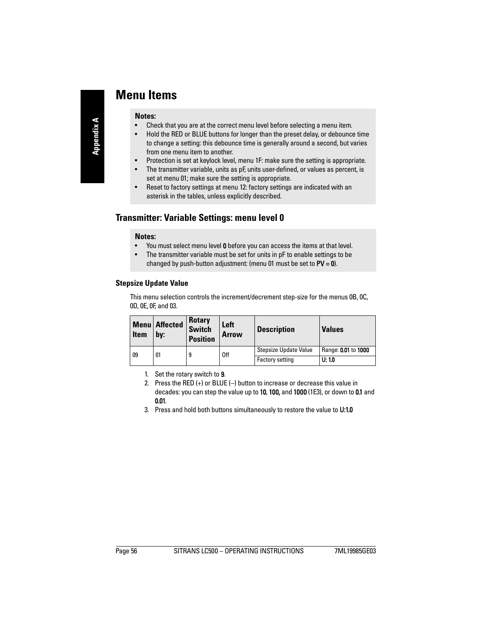# **Menu Items**

#### **Notes:**

- Check that you are at the correct menu level before selecting a menu item.
- Hold the RED or BLUE buttons for longer than the preset delay, or debounce time to change a setting: this debounce time is generally around a second, but varies from one menu item to another.
- Protection is set at keylock level, menu 1F: make sure the setting is appropriate.
- The transmitter variable, units as pF, units user-defined, or values as percent, is set at menu 01; make sure the setting is appropriate.
- Reset to factory settings at menu 12: factory settings are indicated with an asterisk in the tables, unless explicitly described.

# **Transmitter: Variable Settings: menu level 0**

## **Notes:**

- You must select menu level **0** before you can access the items at that level.
- The transmitter variable must be set for units in pF to enable settings to be changed by push-button adjustment: (menu 01 must be set to  $PV = 0$ ).

# <span id="page-61-1"></span><span id="page-61-0"></span>**Stepsize Update Value**

This menu selection controls the increment/decrement step-size for the menus 0B, 0C, 0D, 0E, 0F, and 03.

| <b>Item</b> | <b>Menu</b> Affected<br>by: | <b>Rotary</b><br><b>Switch</b><br><b>Position</b> | Left<br>Arrow | <b>Description</b>     | <b>Values</b>       |
|-------------|-----------------------------|---------------------------------------------------|---------------|------------------------|---------------------|
| 09          | 01                          | 9                                                 | 0ff           | Stepsize Update Value  | Range: 0.01 to 1000 |
|             |                             |                                                   |               | <b>Factory setting</b> | U: 10               |

- 1. Set the rotary switch to 9.
- 2. Press the RED (+) or BLUE (–) button to increase or decrease this value in decades: you can step the value up to 10, 100, and 1000 (1E3), or down to 0.1 and 0.01.
- 3. Press and hold both buttons simultaneously to restore the value to U:1.0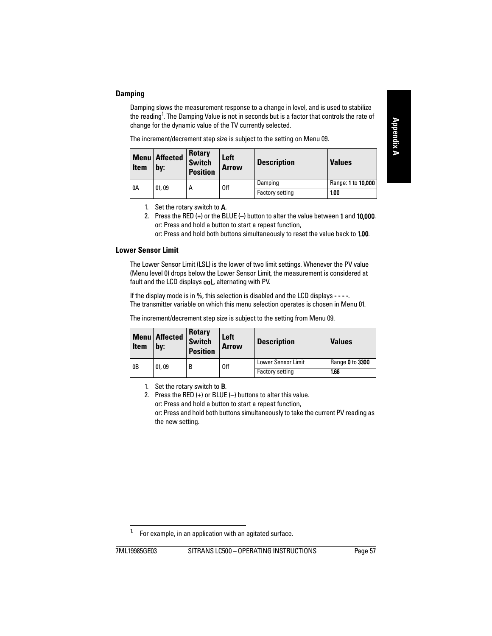# <span id="page-62-2"></span><span id="page-62-0"></span>**Damping**

Damping slows the measurement response to a change in level, and is used to stabilize the reading<sup>1</sup>. The Damping Value is not in seconds but is a factor that controls the rate of change for the dynamic value of the TV currently selected.

The increment/decrement step size is subject to the setting on Menu 09.

| <b>Item</b> | <b>Menu</b> Affected<br>bv: | <b>Rotary</b><br><b>Switch</b><br><b>Position</b> | Left<br><b>Arrow</b> | <b>Description</b>     | <b>Values</b>      |
|-------------|-----------------------------|---------------------------------------------------|----------------------|------------------------|--------------------|
| 0A          | 01.09                       | А                                                 | 0ff                  | Damping                | Range: 1 to 10,000 |
|             |                             |                                                   |                      | <b>Factory setting</b> | 1.00               |

- 1. Set the rotary switch to  $A$ .
- 2. Press the RED  $(+)$  or the BLUE  $(-)$  button to alter the value between 1 and 10,000. or: Press and hold a button to start a repeat function, or: Press and hold both buttons simultaneously to reset the value back to 1.00.

### <span id="page-62-3"></span><span id="page-62-1"></span>**Lower Sensor Limit**

The Lower Sensor Limit (LSL) is the lower of two limit settings. Whenever the PV value (Menu level 0) drops below the Lower Sensor Limit, the measurement is considered at fault and the LCD displays **ooL**, alternating with PV.

If the display mode is in %, this selection is disabled and the LCD displays  $-\cdots$ . The transmitter variable on which this menu selection operates is chosen in Menu 01.

The increment/decrement step size is subject to the setting from Menu 09.

| <b>Item</b>    | <b>Menu</b> Affected<br>bv: | <b>Rotary</b><br><b>Switch</b><br><b>Position</b> | Left<br><b>Arrow</b> | <b>Description</b>        | <b>Values</b>   |
|----------------|-----------------------------|---------------------------------------------------|----------------------|---------------------------|-----------------|
| 0 <sub>B</sub> | 01.09                       | В                                                 | 0ff                  | <b>Lower Sensor Limit</b> | Range 0 to 3300 |
|                |                             |                                                   |                      | <b>Factory setting</b>    | 1.66            |

1. Set the rotary switch to B.

2. Press the RED (+) or BLUE (–) buttons to alter this value. or: Press and hold a button to start a repeat function, or: Press and hold both buttons simultaneously to take the current PV reading as the new setting.

For example, in an application with an agitated surface.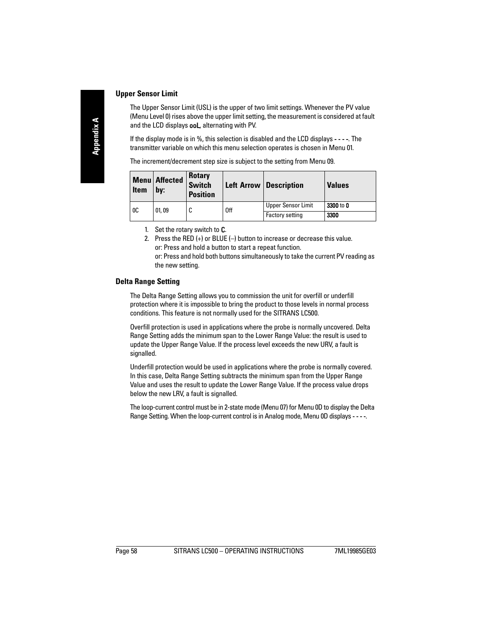## <span id="page-63-2"></span><span id="page-63-0"></span>**Upper Sensor Limit**

The Upper Sensor Limit (USL) is the upper of two limit settings. Whenever the PV value (Menu Level 0) rises above the upper limit setting, the measurement is considered at fault and the LCD displays **ooL**, alternating with PV.

If the display mode is in %, this selection is disabled and the LCD displays - - - -. The transmitter variable on which this menu selection operates is chosen in Menu 01.

| <b>Item</b>    | <b>Menu</b> Affected<br>by: | Rotary<br>Switch<br><b>Position</b> |     | Left Arrow   Description  | <b>Values</b> |
|----------------|-----------------------------|-------------------------------------|-----|---------------------------|---------------|
| 0 <sup>C</sup> | 01,09                       | C                                   | 0ff | <b>Upper Sensor Limit</b> | 3300 to 0     |
|                |                             |                                     |     | <b>Factory setting</b>    | 3300          |

The increment/decrement step size is subject to the setting from Menu 09.

- 1. Set the rotary switch to C.
- 2. Press the RED (+) or BLUE (–) button to increase or decrease this value. or: Press and hold a button to start a repeat function. or: Press and hold both buttons simultaneously to take the current PV reading as the new setting.

### <span id="page-63-3"></span><span id="page-63-1"></span>**Delta Range Setting**

The Delta Range Setting allows you to commission the unit for overfill or underfill protection where it is impossible to bring the product to those levels in normal process conditions. This feature is not normally used for the SITRANS LC500.

Overfill protection is used in applications where the probe is normally uncovered. Delta Range Setting adds the minimum span to the Lower Range Value: the result is used to update the Upper Range Value. If the process level exceeds the new URV, a fault is signalled.

Underfill protection would be used in applications where the probe is normally covered. In this case, Delta Range Setting subtracts the minimum span from the Upper Range Value and uses the result to update the Lower Range Value. If the process value drops below the new LRV, a fault is signalled.

The loop-current control must be in 2-state mode (Menu 07) for Menu 0D to display the Delta Range Setting. When the loop-current control is in Analog mode, Menu 0D displays - - - -.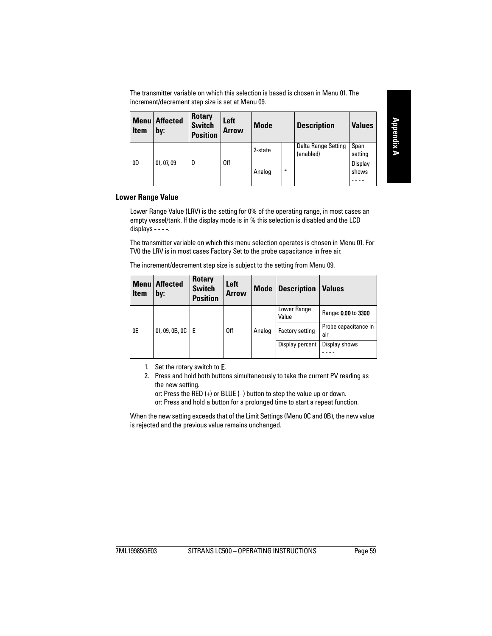The transmitter variable on which this selection is based is chosen in Menu 01. The increment/decrement step size is set at Menu 09.

| Menu<br><b>Item</b> | <b>Affected</b><br>by: | <b>Rotary</b><br><b>Switch</b><br><b>Position</b> | Left<br>Arrow | <b>Mode</b> |        | <b>Description</b>               | <b>Values</b>    |
|---------------------|------------------------|---------------------------------------------------|---------------|-------------|--------|----------------------------------|------------------|
|                     |                        |                                                   |               | 2-state     |        | Delta Range Setting<br>(enabled) | Span<br>setting  |
| 0 <sub>D</sub>      | 01, 07, 09             | D                                                 | 0ff           | Analog      | $\ast$ |                                  | Display<br>shows |

### <span id="page-64-1"></span><span id="page-64-0"></span>**Lower Range Value**

Lower Range Value (LRV) is the setting for 0% of the operating range, in most cases an empty vessel/tank. If the display mode is in % this selection is disabled and the LCD  $displays -- --$ 

The transmitter variable on which this menu selection operates is chosen in Menu 01. For TV0 the LRV is in most cases Factory Set to the probe capacitance in free air.

The increment/decrement step size is subject to the setting from Menu 09.

| <b>Item</b> | <b>Menu</b> Affected<br>by: | <b>Rotary</b><br><b>Switch</b><br><b>Position</b> | Left<br><b>Arrow</b> | <b>Mode</b> | <b>Description</b>     | <b>Values</b>               |
|-------------|-----------------------------|---------------------------------------------------|----------------------|-------------|------------------------|-----------------------------|
|             |                             |                                                   |                      |             | Lower Range<br>Value   | Range: 0.00 to 3300         |
| 0E          | 01, 09, 0B, 0C              | l E                                               | 0 <sup>ff</sup>      | Analog      | <b>Factory setting</b> | Probe capacitance in<br>air |
|             |                             |                                                   |                      |             | Display percent        | Display shows               |

- 1. Set the rotary switch to  $E$ .
- 2. Press and hold both buttons simultaneously to take the current PV reading as the new setting.

or: Press the RED (+) or BLUE (–) button to step the value up or down. or: Press and hold a button for a prolonged time to start a repeat function.

When the new setting exceeds that of the Limit Settings (Menu 0C and 0B), the new value is rejected and the previous value remains unchanged.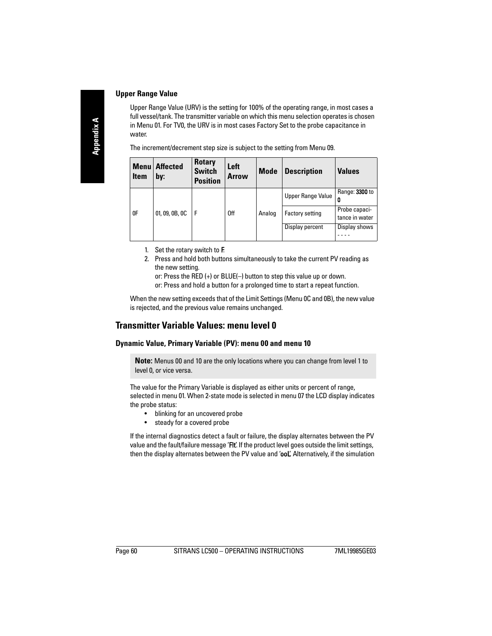## <span id="page-65-2"></span><span id="page-65-0"></span>**Upper Range Value**

Upper Range Value (URV) is the setting for 100% of the operating range, in most cases a full vessel/tank. The transmitter variable on which this menu selection operates is chosen in Menu 01. For TV0, the URV is in most cases Factory Set to the probe capacitance in water.

The increment/decrement step size is subject to the setting from Menu 09.

| <b>Menu</b><br><b>Item</b> | <b>Affected</b><br>by: | <b>Rotary</b><br><b>Switch</b><br><b>Position</b> | Left<br><b>Arrow</b> | <b>Mode</b> | <b>Description</b>     | <b>Values</b>                   |
|----------------------------|------------------------|---------------------------------------------------|----------------------|-------------|------------------------|---------------------------------|
|                            |                        |                                                   |                      |             | Upper Range Value      | Range: 3300 to<br>0             |
| 0F                         | 01, 09, 0B, 0C         | l F                                               | 0ff                  | Analog      | <b>Factory setting</b> | Probe capaci-<br>tance in water |
|                            |                        |                                                   |                      |             | Display percent        | Display shows                   |

- 1. Set the rotary switch to F.
- 2. Press and hold both buttons simultaneously to take the current PV reading as the new setting.

or: Press the RED (+) or BLUE(–) button to step this value up or down.

or: Press and hold a button for a prolonged time to start a repeat function.

When the new setting exceeds that of the Limit Settings (Menu 0C and 0B), the new value is rejected, and the previous value remains unchanged.

# **Transmitter Variable Values: menu level 0**

## <span id="page-65-3"></span><span id="page-65-1"></span>**Dynamic Value, Primary Variable (PV): menu 00 and menu 10**

**Note:** Menus 00 and 10 are the only locations where you can change from level 1 to level 0, or vice versa.

The value for the Primary Variable is displayed as either units or percent of range, selected in menu 01. When 2-state mode is selected in menu 07 the LCD display indicates the probe status:

- blinking for an uncovered probe
- steady for a covered probe

If the internal diagnostics detect a fault or failure, the display alternates between the PV value and the fault/failure message 'FIt'. If the product level goes outside the limit settings, then the display alternates between the PV value and 'ooL'. Alternatively, if the simulation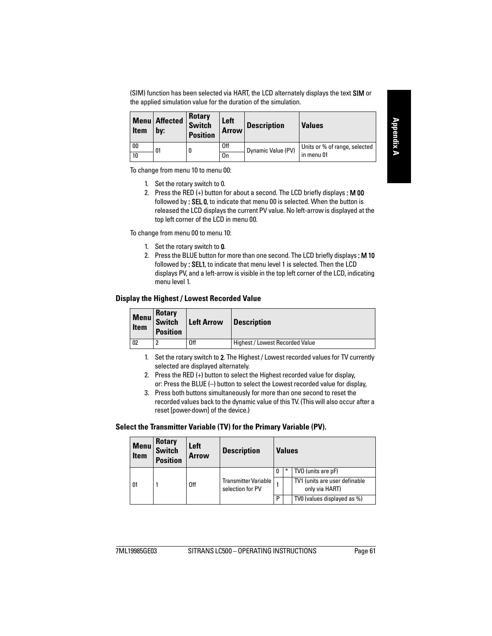(SIM) function has been selected via HART, the LCD alternately displays the text SIM or the applied simulation value for the duration of the simulation.

| <b>Item</b> | <b>Menu</b> Affected<br>bv: | Rotary<br><b>Switch</b><br><b>Position</b> | Left<br><b>Arrow</b> | <b>Description</b> | <b>Values</b>                 |  |
|-------------|-----------------------------|--------------------------------------------|----------------------|--------------------|-------------------------------|--|
| 00          | 01                          | U                                          | 0ff                  | Dynamic Value (PV) | Units or % of range, selected |  |
| 10          |                             |                                            | 0n                   |                    | in menu 01                    |  |

To change from menu 10 to menu 00:

- 1. Set the rotary switch to 0.
- 2. Press the RED  $(+)$  button for about a second. The LCD briefly displays: **M 00** followed by : SEL 0, to indicate that menu 00 is selected. When the button is released the LCD displays the current PV value. No left-arrow is displayed at the top left corner of the LCD in menu 00.

To change from menu 00 to menu 10:

- 1. Set the rotary switch to 0.
- 2. Press the BLUE button for more than one second. The LCD briefly displays: M 10 followed by : SEL1, to indicate that menu level 1 is selected. Then the LCD displays PV, and a left-arrow is visible in the top left corner of the LCD, indicating menu level 1.

### <span id="page-66-2"></span><span id="page-66-0"></span>**Display the Highest / Lowest Recorded Value**

| <b>Menu</b><br><b>Item</b> | <b>Rotary</b><br><b>Switch</b><br><b>Position</b> | <b>Left Arrow</b> | <b>Description</b>              |
|----------------------------|---------------------------------------------------|-------------------|---------------------------------|
| 02                         |                                                   | 0ff               | Highest / Lowest Recorded Value |

1. Set the rotary switch to 2. The Highest / Lowest recorded values for TV currently selected are displayed alternately.

- 2. Press the RED (+) button to select the Highest recorded value for display, or: Press the BLUE (–) button to select the Lowest recorded value for display,
- 3. Press both buttons simultaneously for more than one second to reset the recorded values back to the dynamic value of this TV. (This will also occur after a reset [power-down] of the device.)

### <span id="page-66-3"></span><span id="page-66-1"></span>**Select the Transmitter Variable (TV) for the Primary Variable (PV).**

| <b>Menu</b><br><b>Item</b> | <b>Rotary</b><br><b>Switch</b><br><b>Position</b> | Left<br><b>Arrow</b> | <b>Description</b>                       |   | <b>Values</b> |                                                 |
|----------------------------|---------------------------------------------------|----------------------|------------------------------------------|---|---------------|-------------------------------------------------|
| 01                         |                                                   | 0ff                  | Transmitter Variable<br>selection for PV |   |               | TVO (units are pF)                              |
|                            |                                                   |                      |                                          |   |               | TV1 (units are user definable<br>only via HART) |
|                            |                                                   |                      |                                          | D |               | TV0 (values displayed as %)                     |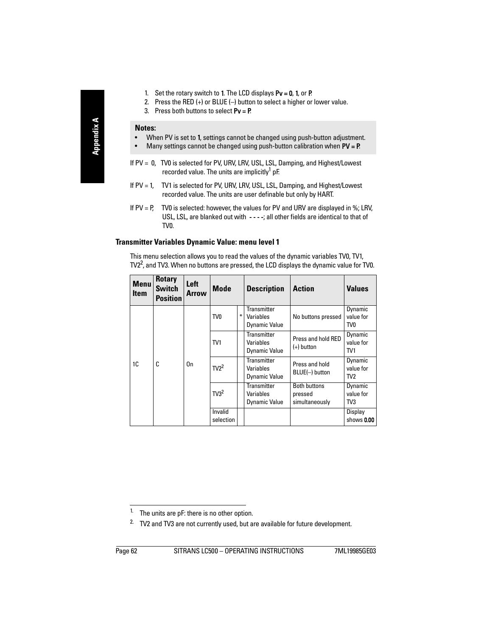- 1. Set the rotary switch to 1. The LCD displays  $Pv = 0$ , 1, or P.
- 2. Press the RED (+) or BLUE (–) button to select a higher or lower value.
- 3. Press both buttons to select  $Pv = P$ .

### **Notes:**

- When PV is set to 1, settings cannot be changed using push-button adjustment.
- Many settings cannot be changed using push-button calibration when  $PV = P$ .
- If PV = 0, TV0 is selected for PV, URV, LRV, USL, LSL, Damping, and Highest/Lowest recorded value. The units are implicitly<sup>1</sup> pF.
- If PV = 1, TV1 is selected for PV, URV, LRV, USL, LSL, Damping, and Highest/Lowest recorded value. The units are user definable but only by HART.
- If  $PV = P$ , TV0 is selected: however, the values for PV and URV are displayed in %; LRV, USL, LSL, are blanked out with ----; all other fields are identical to that of TV0.

## <span id="page-67-1"></span><span id="page-67-0"></span>**Transmitter Variables Dynamic Value: menu level 1**

This menu selection allows you to read the values of the dynamic variables TV0, TV1, TV2 $^2$ , and TV3. When no buttons are pressed, the LCD displays the dynamic value for TV0.

| <b>Menu</b><br><b>Item</b> | <b>Rotary</b><br><b>Switch</b><br><b>Position</b> | Left<br><b>Arrow</b> | <b>Mode</b>          |   | <b>Description</b>                                      | <b>Action</b>                                    | <b>Values</b>                           |
|----------------------------|---------------------------------------------------|----------------------|----------------------|---|---------------------------------------------------------|--------------------------------------------------|-----------------------------------------|
| 1C                         |                                                   | 0 <sub>n</sub>       | TV <sub>0</sub>      | ₩ | <b>Transmitter</b><br>Variables<br><b>Dynamic Value</b> | No buttons pressed                               | Dynamic<br>value for<br>TV <sub>0</sub> |
|                            | C                                                 |                      | TV <sub>1</sub>      |   | Transmitter<br>Variables<br><b>Dynamic Value</b>        | Press and hold RED<br>$(+)$ button               | Dynamic<br>value for<br>TV <sub>1</sub> |
|                            |                                                   |                      | $TV2^2$              |   | <b>Transmitter</b><br>Variables<br><b>Dynamic Value</b> | Press and hold<br>BLUE(-) button                 | Dynamic<br>value for<br>TV <sub>2</sub> |
|                            |                                                   |                      | T <sup>2</sup>       |   | Transmitter<br>Variables<br><b>Dynamic Value</b>        | <b>Both buttons</b><br>pressed<br>simultaneously | Dynamic<br>value for<br>T <sub>V3</sub> |
|                            |                                                   |                      | Invalid<br>selection |   |                                                         |                                                  | Display<br>shows 0.00                   |

<sup>&</sup>lt;sup>1.</sup> The units are  $pF$ : there is no other option.

<sup>&</sup>lt;sup>2.</sup> TV2 and TV3 are not currently used, but are available for future development.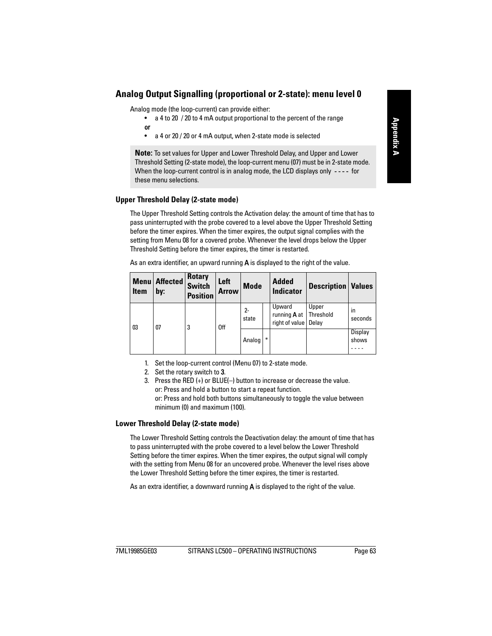# **Analog Output Signalling (proportional or 2-state): menu level 0**

Analog mode (the loop-current) can provide either:

- a 4 to 20 / 20 to 4 mA output proportional to the percent of the range or
- a 4 or 20 / 20 or 4 mA output, when 2-state mode is selected

**Note:** To set values for Upper and Lower Threshold Delay, and Upper and Lower Threshold Setting (2-state mode), the loop-current menu (07) must be in 2-state mode. When the loop-current control is in analog mode, the LCD displays only  $---$  for these menu selections.

## <span id="page-68-2"></span><span id="page-68-0"></span>**Upper Threshold Delay (2-state mode)**

The Upper Threshold Setting controls the Activation delay: the amount of time that has to pass uninterrupted with the probe covered to a level above the Upper Threshold Setting before the timer expires. When the timer expires, the output signal complies with the setting from Menu 08 for a covered probe. Whenever the level drops below the Upper Threshold Setting before the timer expires, the timer is restarted.

| Menu<br><b>Item</b> | <b>Affected</b><br>by: | <b>Rotary</b><br><b>Switch</b><br><b>Position</b> | Left<br><b>Arrow</b> | <b>Mode</b>    |   | <b>Added</b><br><b>Indicator</b>                | <b>Description   Values</b> |                  |
|---------------------|------------------------|---------------------------------------------------|----------------------|----------------|---|-------------------------------------------------|-----------------------------|------------------|
| 03                  | 07                     | 3                                                 | 0ff                  | $2 -$<br>state |   | Upward<br>running <b>A</b> at<br>right of value | Upper<br>Threshold<br>Delay | in<br>seconds    |
|                     |                        |                                                   |                      | Analog         | ₩ |                                                 |                             | Display<br>shows |

As an extra identifier, an upward running  $\boldsymbol{A}$  is displayed to the right of the value.

- 1. Set the loop-current control (Menu 07) to 2-state mode.
- 2. Set the rotary switch to 3.
- 3. Press the RED (+) or BLUE(–) button to increase or decrease the value. or: Press and hold a button to start a repeat function. or: Press and hold both buttons simultaneously to toggle the value between minimum (0) and maximum (100).

### <span id="page-68-3"></span><span id="page-68-1"></span>**Lower Threshold Delay (2-state mode)**

The Lower Threshold Setting controls the Deactivation delay: the amount of time that has to pass uninterrupted with the probe covered to a level below the Lower Threshold Setting before the timer expires. When the timer expires, the output signal will comply with the setting from Menu 08 for an uncovered probe. Whenever the level rises above the Lower Threshold Setting before the timer expires, the timer is restarted.

As an extra identifier, a downward running  $\bf{A}$  is displayed to the right of the value.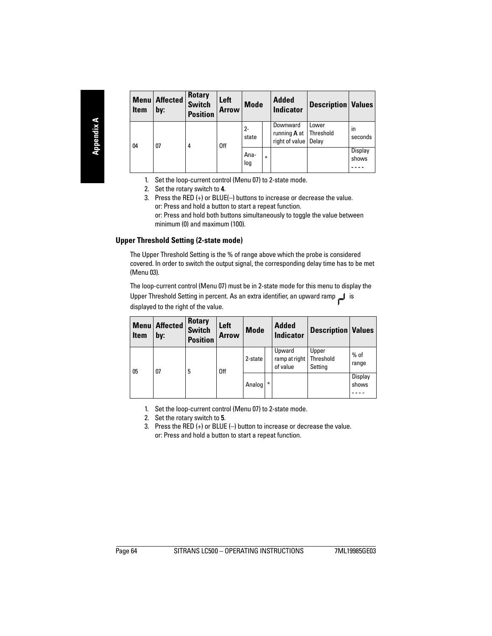| <b>Item</b> | <b>Menu</b> Affected<br>by: | <b>Rotary</b><br><b>Switch</b><br><b>Position</b> | Left<br><b>Arrow</b> | <b>Mode</b>    |        | <b>Added</b><br><b>Indicator</b>                  | <b>Description   Values</b> |                  |
|-------------|-----------------------------|---------------------------------------------------|----------------------|----------------|--------|---------------------------------------------------|-----------------------------|------------------|
| 04          | $_{07}$                     | 4                                                 | 0 <sup>ff</sup>      | $2 -$<br>state |        | Downward<br>running <b>A</b> at<br>right of value | Lower<br>Threshold<br>Delay | in<br>seconds    |
|             |                             |                                                   |                      | Ana-<br>loq    | $\ast$ |                                                   |                             | Display<br>shows |

- 1. Set the loop-current control (Menu 07) to 2-state mode.
- 2. Set the rotary switch to 4.
- 3. Press the RED (+) or BLUE(–) buttons to increase or decrease the value. or: Press and hold a button to start a repeat function. or: Press and hold both buttons simultaneously to toggle the value between minimum (0) and maximum (100).

## <span id="page-69-1"></span><span id="page-69-0"></span>**Upper Threshold Setting (2-state mode)**

The Upper Threshold Setting is the % of range above which the probe is considered covered. In order to switch the output signal, the corresponding delay time has to be met (Menu 03).

The loop-current control (Menu 07) must be in 2-state mode for this menu to display the Upper Threshold Setting in percent. As an extra identifier, an upward ramp  $\Box$  is displayed to the right of the value.

| <b>Menu</b><br><b>Item</b> | <b>Affected</b><br>by: | <b>Rotary</b><br><b>Switch</b><br><b>Position</b> | Left<br><b>Arrow</b> | <b>Mode</b> |        | <b>Added</b><br><b>Indicator</b>    | <b>Description Values</b>     |                  |
|----------------------------|------------------------|---------------------------------------------------|----------------------|-------------|--------|-------------------------------------|-------------------------------|------------------|
| 05                         | $_{07}$                | 5                                                 | 0 <sup>ff</sup>      | 2-state     |        | Upward<br>ramp at right<br>of value | Upper<br>Threshold<br>Setting | $%$ of<br>range  |
|                            |                        |                                                   |                      | Analog      | $\ast$ |                                     |                               | Display<br>shows |

- 1. Set the loop-current control (Menu 07) to 2-state mode.
- 2. Set the rotary switch to 5.
- 3. Press the RED (+) or BLUE (–) button to increase or decrease the value. or: Press and hold a button to start a repeat function.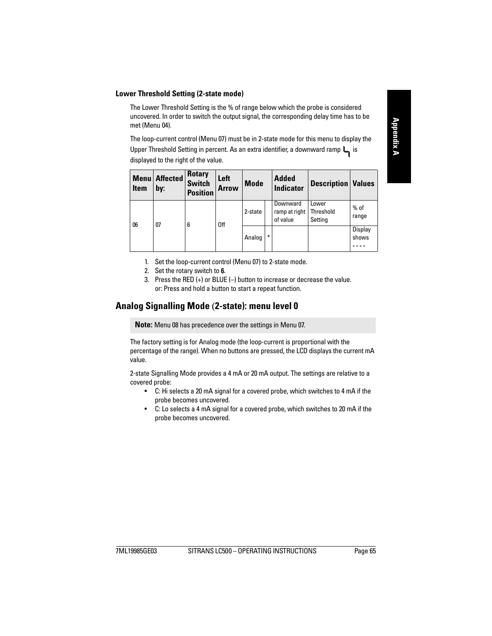## <span id="page-70-2"></span><span id="page-70-0"></span>**Lower Threshold Setting (2-state mode)**

The Lower Threshold Setting is the % of range below which the probe is considered uncovered. In order to switch the output signal, the corresponding delay time has to be met (Menu 04).

The loop-current control (Menu 07) must be in 2-state mode for this menu to display the Upper Threshold Setting in percent. As an extra identifier, a downward ramp  $\Box$  is displayed to the right of the value.

| <b>Menu</b><br><b>Item</b> | <b>Affected</b><br>by: | <b>Rotary</b><br><b>Switch</b><br><b>Position</b> | Left<br><b>Arrow</b> | <b>Mode</b> |        | <b>Added</b><br><b>Indicator</b>      | <b>Description Values</b>     |                  |
|----------------------------|------------------------|---------------------------------------------------|----------------------|-------------|--------|---------------------------------------|-------------------------------|------------------|
| 06                         | $_{07}$                | 6                                                 | 0 <sup>ff</sup>      | 2-state     |        | Downward<br>ramp at right<br>of value | Lower<br>Threshold<br>Settina | $%$ of<br>range  |
|                            |                        |                                                   |                      | Analog      | $\ast$ |                                       |                               | Display<br>shows |

- 1. Set the loop-current control (Menu 07) to 2-state mode.
- 2. Set the rotary switch to 6.
- 3. Press the RED (+) or BLUE (–) button to increase or decrease the value. or: Press and hold a button to start a repeat function.

# <span id="page-70-3"></span><span id="page-70-1"></span>**Analog Signalling Mode** (**2-state): menu level 0**

**Note:** Menu 08 has precedence over the settings in Menu 07.

The factory setting is for Analog mode (the loop-current is proportional with the percentage of the range). When no buttons are pressed, the LCD displays the current mA value.

2-state Signalling Mode provides a 4 mA or 20 mA output. The settings are relative to a covered probe:

- C: Hi selects a 20 mA signal for a covered probe, which switches to 4 mA if the probe becomes uncovered.
- C: Lo selects a 4 mA signal for a covered probe, which switches to 20 mA if the probe becomes uncovered.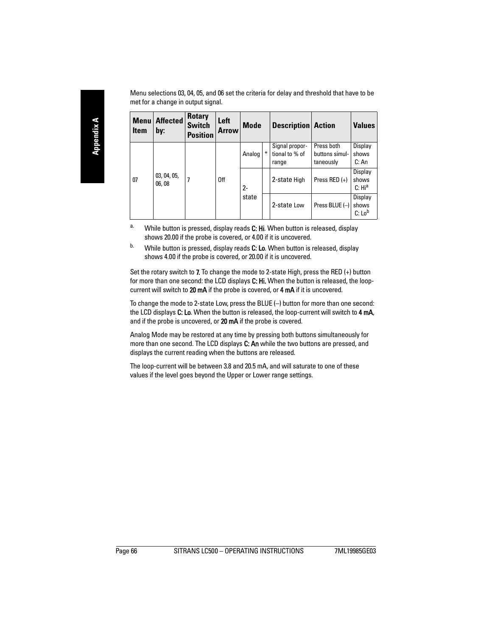Menu selections 03, 04, 05, and 06 set the criteria for delay and threshold that have to be met for a change in output signal.

| <b>Menu</b><br>Item | Affected<br>by:       | <b>Rotary</b><br><b>Switch</b><br><b>Position</b> | Left<br>Arrow   | <b>Mode</b> |   |                                           |                                           | <b>Description Action</b>              |  | <b>Values</b> |
|---------------------|-----------------------|---------------------------------------------------|-----------------|-------------|---|-------------------------------------------|-------------------------------------------|----------------------------------------|--|---------------|
| 07                  | 03, 04, 05,<br>06, 08 |                                                   | 0 <sup>ff</sup> | Analog      | ∗ | Signal propor-<br>tional to % of<br>range | Press both<br>buttons simul-<br>taneously | Display<br>shows<br>C: An              |  |               |
|                     |                       |                                                   |                 | $2 -$       |   | 2-state High                              | Press RED (+)                             | Display<br>shows<br>C: Hi <sup>a</sup> |  |               |
|                     |                       |                                                   |                 | state       |   | 2-state Low                               | Press BLUE (-)                            | Display<br>shows<br>C: Lo <sup>b</sup> |  |               |

- <sup>a.</sup> While button is pressed, display reads C: Hi. When button is released, display shows 20.00 if the probe is covered, or 4.00 if it is uncovered.
- $b.$  While button is pressed, display reads C: Lo. When button is released, display shows 4.00 if the probe is covered, or 20.00 if it is uncovered.

Set the rotary switch to 7. To change the mode to 2-state High, press the RED (+) button for more than one second: the LCD displays C: Hi. When the button is released, the loopcurrent will switch to 20 mA if the probe is covered, or 4 mA if it is uncovered.

To change the mode to 2-state Low, press the BLUE (–) button for more than one second: the LCD displays C: Lo. When the button is released, the loop-current will switch to 4 mA, and if the probe is uncovered, or 20 mA if the probe is covered.

Analog Mode may be restored at any time by pressing both buttons simultaneously for more than one second. The LCD displays C: An while the two buttons are pressed, and displays the current reading when the buttons are released.

The loop-current will be between 3.8 and 20.5 mA, and will saturate to one of these values if the level goes beyond the Upper or Lower range settings.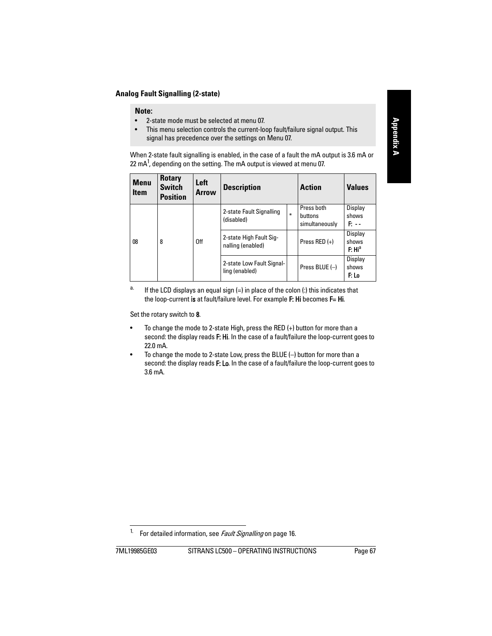#### **Analog Fault Signalling (2-state)**

#### **Note:**

- 2-state mode must be selected at menu 07.
- This menu selection controls the current-loop fault/failure signal output. This signal has precedence over the settings on Menu 07.

When 2-state fault signalling is enabled, in the case of a fault the mA output is 3.6 mA or 22 mA<sup>1</sup>, depending on the setting. The mA output is viewed at menu 07.

| <b>Menu</b><br><b>Item</b> | <b>Rotary</b><br><b>Switch</b><br><b>Position</b> | Left<br><b>Arrow</b> | <b>Description</b>                           | <b>Action</b> | <b>Values</b>                           |                                        |
|----------------------------|---------------------------------------------------|----------------------|----------------------------------------------|---------------|-----------------------------------------|----------------------------------------|
|                            |                                                   |                      | 2-state Fault Signalling<br>(disabled)       | $\ast$        | Press both<br>buttons<br>simultaneously | Display<br>shows<br>P. - -             |
| 08                         | 8                                                 | 0 <sup>ff</sup>      | 2-state High Fault Sig-<br>nalling (enabled) |               | Press RED $(+)$                         | Display<br>shows<br>F: Hi <sup>a</sup> |
|                            |                                                   |                      | 2-state Low Fault Signal-<br>ling (enabled)  |               | Press BLUE $(-)$                        | Display<br>shows<br>F: Lo              |

<sup>a.</sup> If the LCD displays an equal sign  $(=)$  in place of the colon  $(:)$  this indicates that the loop-current is at fault/failure level. For example F: Hi becomes F= Hi.

Set the rotary switch to 8.

- To change the mode to 2-state High, press the RED (+) button for more than a second: the display reads F: Hi. In the case of a fault/failure the loop-current goes to 22.0 mA.
- To change the mode to 2-state Low, press the BLUE (–) button for more than a second: the display reads F: Lo. In the case of a fault/failure the loop-current goes to 3.6 mA.

<sup>&</sup>lt;sup>1.</sup> For detailed information, see *[Fault Signalling](#page-21-0)* on [page 16.](#page-21-0)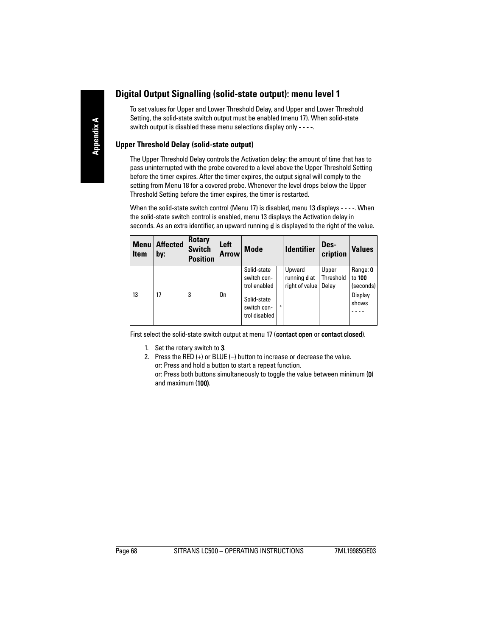### **Digital Output Signalling (solid-state output): menu level 1**

To set values for Upper and Lower Threshold Delay, and Upper and Lower Threshold Setting, the solid-state switch output must be enabled (menu 17). When solid-state switch output is disabled these menu selections display only - - - -.

#### **Upper Threshold Delay (solid-state output)**

The Upper Threshold Delay controls the Activation delay: the amount of time that has to pass uninterrupted with the probe covered to a level above the Upper Threshold Setting before the timer expires. After the timer expires, the output signal will comply to the setting from Menu 18 for a covered probe. Whenever the level drops below the Upper Threshold Setting before the timer expires, the timer is restarted.

When the solid-state switch control (Menu 17) is disabled, menu 13 displays - - - -. When the solid-state switch control is enabled, menu 13 displays the Activation delay in seconds. As an extra identifier, an upward running **d** is displayed to the right of the value.

| <b>Menu</b><br><b>Item</b> | <b>Affected</b><br>by: | <b>Rotary</b><br><b>Switch</b><br><b>Position</b> | Left<br><b>Arrow</b> | <b>Mode</b>                                 |        | <b>Identifier</b>                               | Des-<br>cription            | <b>Values</b>                   |
|----------------------------|------------------------|---------------------------------------------------|----------------------|---------------------------------------------|--------|-------------------------------------------------|-----------------------------|---------------------------------|
|                            |                        |                                                   |                      | Solid-state<br>switch con-<br>trol enabled  |        | Upward<br>running <b>d</b> at<br>right of value | Upper<br>Threshold<br>Delav | Range: 0<br>to 100<br>(seconds) |
| 13                         | 17                     | 3                                                 | 0n                   | Solid-state<br>switch con-<br>trol disabled | $\ast$ |                                                 |                             | Display<br>shows                |

First select the solid-state switch output at menu 17 (contact open or contact closed).

- 1. Set the rotary switch to 3.
- 2. Press the RED (+) or BLUE (–) button to increase or decrease the value. or: Press and hold a button to start a repeat function. or: Press both buttons simultaneously to toggle the value between minimum (0)

and maximum (100).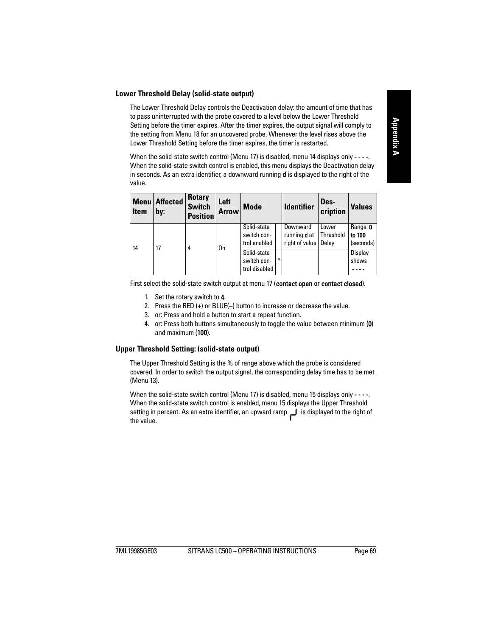#### **Lower Threshold Delay (solid-state output)**

The Lower Threshold Delay controls the Deactivation delay: the amount of time that has to pass uninterrupted with the probe covered to a level below the Lower Threshold Setting before the timer expires. After the timer expires, the output signal will comply to the setting from Menu 18 for an uncovered probe. Whenever the level rises above the Lower Threshold Setting before the timer expires, the timer is restarted.

When the solid-state switch control (Menu 17) is disabled, menu 14 displays only - - - -. When the solid-state switch control is enabled, this menu displays the Deactivation delay in seconds. As an extra identifier, a downward running  $\boldsymbol{d}$  is displayed to the right of the value.

| <b>Menu</b><br><b>Item</b> | <b>Affected</b><br>by: | <b>Rotary</b><br><b>Switch</b><br><b>Position</b> | Left<br><b>Arrow</b> | <b>Mode</b>                                 |   | <b>Identifier</b>                                 | Des-<br>cription            | <b>Values</b>                   |
|----------------------------|------------------------|---------------------------------------------------|----------------------|---------------------------------------------|---|---------------------------------------------------|-----------------------------|---------------------------------|
| 14                         | 17                     | 4                                                 | 0n                   | Solid-state<br>switch con-<br>trol enabled  |   | Downward<br>running <b>d</b> at<br>right of value | Lower<br>Threshold<br>Delav | Range: 0<br>to 100<br>(seconds) |
|                            |                        |                                                   |                      | Solid-state<br>switch con-<br>trol disabled | ₩ |                                                   |                             | Display<br>shows                |

First select the solid-state switch output at menu 17 (contact open or contact closed).

- 1. Set the rotary switch to 4.
- 2. Press the RED (+) or BLUE(–) button to increase or decrease the value.
- 3. or: Press and hold a button to start a repeat function.
- 4. or: Press both buttons simultaneously to toggle the value between minimum (0) and maximum (100).

#### **Upper Threshold Setting: (solid-state output)**

The Upper Threshold Setting is the % of range above which the probe is considered covered. In order to switch the output signal, the corresponding delay time has to be met (Menu 13).

When the solid-state switch control (Menu 17) is disabled, menu 15 displays only - - - -. When the solid-state switch control is enabled, menu 15 displays the Upper Threshold setting in percent. As an extra identifier, an upward ramp is displayed to the right of the value.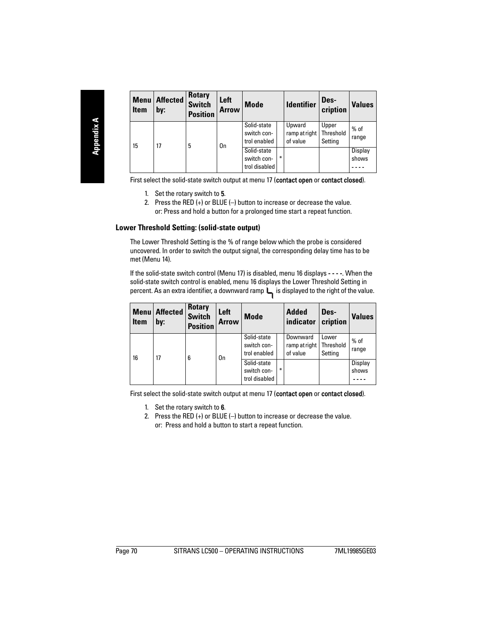| <b>Menu</b><br><b>Item</b> | <b>Affected</b><br>by: | <b>Rotary</b><br><b>Switch</b><br><b>Position</b> | Left<br><b>Arrow</b> | <b>Mode</b>                                 |   | <b>Identifier</b>                   | Des-<br>cription              | <b>Values</b>    |
|----------------------------|------------------------|---------------------------------------------------|----------------------|---------------------------------------------|---|-------------------------------------|-------------------------------|------------------|
| 15                         | 17                     | 5                                                 | 0 <sub>n</sub>       | Solid-state<br>switch con-<br>trol enabled  |   | Upward<br>ramp at right<br>of value | Upper<br>Threshold<br>Setting | $%$ of<br>range  |
|                            |                        |                                                   |                      | Solid-state<br>switch con-<br>trol disabled | ₩ |                                     |                               | Display<br>shows |

First select the solid-state switch output at menu 17 (contact open or contact closed).

- 1. Set the rotary switch to 5.
- 2. Press the RED (+) or BLUE (–) button to increase or decrease the value. or: Press and hold a button for a prolonged time start a repeat function.

#### **Lower Threshold Setting: (solid-state output)**

The Lower Threshold Setting is the % of range below which the probe is considered uncovered. In order to switch the output signal, the corresponding delay time has to be met (Menu 14).

If the solid-state switch control (Menu 17) is disabled, menu 16 displays - - - -. When the solid-state switch control is enabled, menu 16 displays the Lower Threshold Setting in percent. As an extra identifier, a downward ramp  $\Box$  is displayed to the right of the value.

| <b>Menu</b><br><b>Item</b> | <b>Affected</b><br>by: | <b>Rotary</b><br><b>Switch</b><br><b>Position</b> | Left<br><b>Arrow</b> | <b>Mode</b>                                 |        | <b>Added</b><br>indicator             | Des-<br>cription              | <b>Values</b>    |
|----------------------------|------------------------|---------------------------------------------------|----------------------|---------------------------------------------|--------|---------------------------------------|-------------------------------|------------------|
| 16                         | 17                     | 6                                                 | 0n                   | Solid-state<br>switch con-<br>trol enabled  |        | Downward<br>ramp at right<br>of value | Lower<br>Threshold<br>Setting | $%$ of<br>range  |
|                            |                        |                                                   |                      | Solid-state<br>switch con-<br>trol disabled | $\ast$ |                                       |                               | Display<br>shows |

First select the solid-state switch output at menu 17 (contact open or contact closed).

- 1. Set the rotary switch to 6.
- 2. Press the RED (+) or BLUE (–) button to increase or decrease the value. or: Press and hold a button to start a repeat function.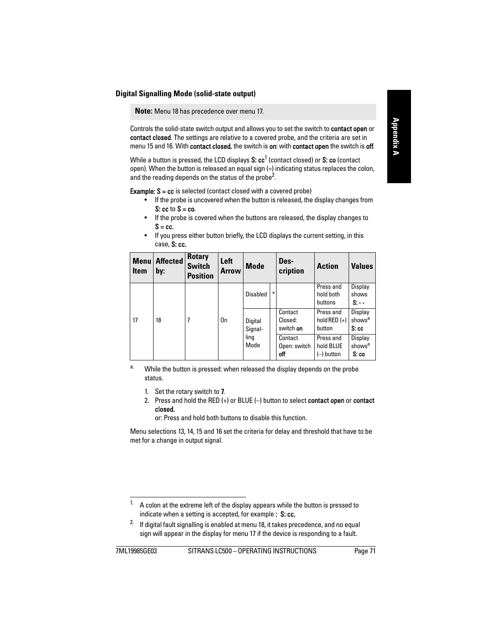**Note:** Menu 18 has precedence over menu 17.

Controls the solid-state switch output and allows you to set the switch to contact open or contact closed. The settings are relative to a covered probe, and the criteria are set in menu 15 and 16. With contact closed, the switch is on: with contact open the switch is off.

While a button is pressed, the LCD displays **S: cc<sup>1</sup> (contact closed) or <b>S: co** (contact open). When the button is released an equal sign (=) indicating status replaces the colon, and the reading depends on the status of the probe<sup>2</sup>.

**Example:**  $S = cc$  is selected (contact closed with a covered probe)

- If the probe is uncovered when the button is released, the display changes from  $S:$  cc to  $S = co$ .
- If the probe is covered when the buttons are released, the display changes to  $S = cc$ .
- If you press either button briefly, the LCD displays the current setting, in this case, S: cc.

| <b>Menu</b><br><b>Item</b> | <b>Affected</b><br>by: | <b>Rotary</b><br><b>Switch</b><br><b>Position</b> | Left<br><b>Arrow</b> | <b>Mode</b>        |    | Des-<br>cription                | <b>Action</b>                         | <b>Values</b>                         |
|----------------------------|------------------------|---------------------------------------------------|----------------------|--------------------|----|---------------------------------|---------------------------------------|---------------------------------------|
|                            |                        |                                                   |                      | Disabled           | ÷. |                                 | Press and<br>hold both<br>buttons     | Display<br>shows<br>$S -$             |
| 17                         | 18                     | 7                                                 | 0n                   | Digital<br>Signal- |    | Contact<br>Closed:<br>switch on | Press and<br>hold RED $(+)$<br>button | Display<br>shows <sup>a</sup><br>S:cc |
|                            |                        |                                                   |                      | ling<br>Mode       |    | Contact<br>Open: switch<br>off  | Press and<br>hold BLUE<br>(–) button  | Display<br>shows <sup>a</sup><br>S:co |

<sup>a.</sup> While the button is pressed: when released the display depends on the probe status.

- 1. Set the rotary switch to 7.
- 2. Press and hold the RED  $(+)$  or BLUE  $(-)$  button to select contact open or contact closed.

or: Press and hold both buttons to disable this function.

Menu selections 13, 14, 15 and 16 set the criteria for delay and threshold that have to be met for a change in output signal.

<sup>1.</sup> A colon at the extreme left of the display appears while the button is pressed to indicate when a setting is accepted, for example : S: cc.

<sup>&</sup>lt;sup>2.</sup> If digital fault signalling is enabled at menu 18, it takes precedence, and no equal sign will appear in the display for menu 17 if the device is responding to a fault.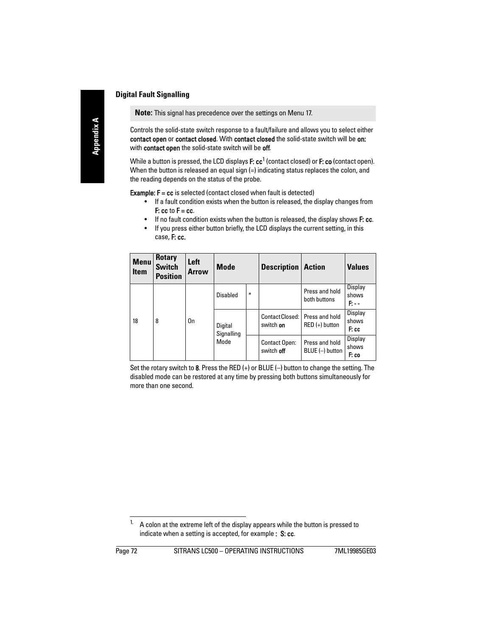**Note:** This signal has precedence over the settings on Menu 17.

Controls the solid-state switch response to a fault/failure and allows you to select either contact open or contact closed. With contact closed the solid-state switch will be on: with **contact open** the solid-state switch will be off.

While a button is pressed, the LCD displays **F: cc<sup>1</sup>** (contact closed) or **F: co** (contact open). When the button is released an equal sign (=) indicating status replaces the colon, and the reading depends on the status of the probe.

**Example:**  $F = cc$  is selected (contact closed when fault is detected)

- If a fault condition exists when the button is released, the display changes from  $F:$  cc to  $F = cc$ .
- If no fault condition exists when the button is released, the display shows F: cc.
- If you press either button briefly, the LCD displays the current setting, in this case, F: cc.

| <b>Menu</b><br><b>Item</b> | <b>Rotary</b><br><b>Switch</b><br><b>Position</b> | Left<br><b>Arrow</b> | Mode                  |   | <b>Description</b>                 | <b>Action</b>                      | <b>Values</b>              |
|----------------------------|---------------------------------------------------|----------------------|-----------------------|---|------------------------------------|------------------------------------|----------------------------|
|                            |                                                   |                      | Disabled              | ₩ |                                    | Press and hold<br>both buttons     | Display<br>shows<br>P. - - |
| 18                         | 8                                                 | 0n                   | Digital<br>Signalling |   | Contact Closed:<br>switch on       | Press and hold<br>$RED (+)$ button | Display<br>shows<br>F: cc  |
|                            |                                                   |                      | Mode                  |   | <b>Contact Open:</b><br>switch off | Press and hold<br>BLUE (-) button  | Display<br>shows<br>F: co  |

Set the rotary switch to 8. Press the RED  $(+)$  or BLUE  $(-)$  button to change the setting. The disabled mode can be restored at any time by pressing both buttons simultaneously for more than one second.

 $1.$  A colon at the extreme left of the display appears while the button is pressed to indicate when a setting is accepted, for example : S: cc.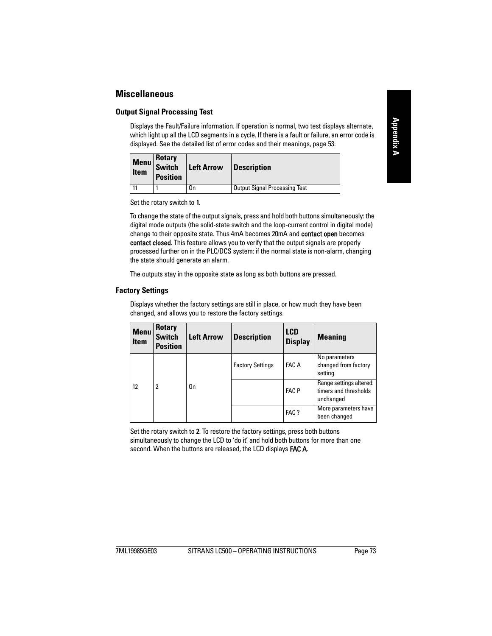### **Miscellaneous**

#### **Output Signal Processing Test**

Displays the Fault/Failure information. If operation is normal, two test displays alternate, which light up all the LCD segments in a cycle. If there is a fault or failure, an error code is displayed. See the detailed list of error codes and their meanings, [page 53](#page-58-0).

| <b>Item</b> | Rotary<br>Menu Switch<br><b>Position</b> | <b>Left Arrow</b> | <b>Description</b>                   |
|-------------|------------------------------------------|-------------------|--------------------------------------|
|             |                                          | On                | <b>Output Signal Processing Test</b> |

Set the rotary switch to 1.

To change the state of the output signals, press and hold both buttons simultaneously: the digital mode outputs (the solid-state switch and the loop-current control in digital mode) change to their opposite state. Thus 4mA becomes 20mA and contact open becomes contact closed. This feature allows you to verify that the output signals are properly processed further on in the PLC/DCS system: if the normal state is non-alarm, changing the state should generate an alarm.

The outputs stay in the opposite state as long as both buttons are pressed.

#### **Factory Settings**

Displays whether the factory settings are still in place, or how much they have been changed, and allows you to restore the factory settings.

| <b>Menu</b><br><b>Item</b> | <b>Rotary</b><br><b>Switch</b><br><b>Position</b> | <b>Left Arrow</b> | <b>Description</b>      | <b>LCD</b><br><b>Display</b> | <b>Meaning</b>                                                |
|----------------------------|---------------------------------------------------|-------------------|-------------------------|------------------------------|---------------------------------------------------------------|
|                            |                                                   |                   | <b>Factory Settings</b> | FAC A                        | No parameters<br>changed from factory<br>setting              |
| 12                         | 2                                                 | 0 <sub>n</sub>    |                         | <b>FAC P</b>                 | Range settings altered:<br>timers and thresholds<br>unchanged |
|                            |                                                   |                   |                         | FAC ?                        | More parameters have<br>been changed                          |

Set the rotary switch to 2. To restore the factory settings, press both buttons simultaneously to change the LCD to 'do it' and hold both buttons for more than one second. When the buttons are released, the LCD displays **FAC A**.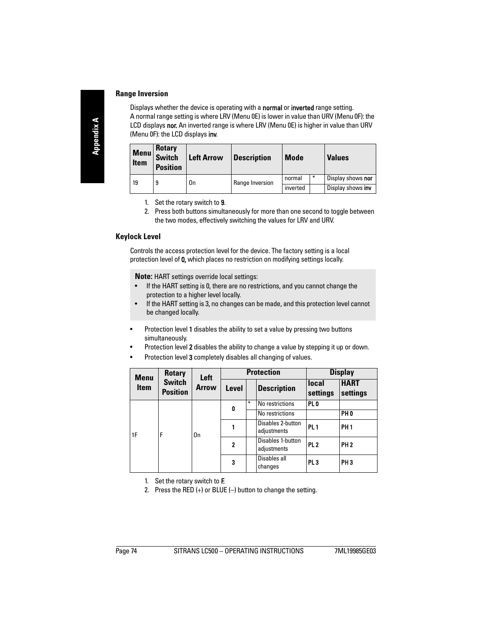#### **Range Inversion**

Displays whether the device is operating with a normal or inverted range setting. A normal range setting is where LRV (Menu 0E) is lower in value than URV (Menu 0F): the LCD displays nor. An inverted range is where LRV (Menu 0E) is higher in value than URV (Menu 0F): the LCD displays inv.

| <b>Menu</b><br><b>Item</b> | <b>Rotary</b><br><b>Switch</b><br><b>Position</b> | <b>Left Arrow</b> | <b>Description</b> | <b>Mode</b> |        | <b>Values</b>     |
|----------------------------|---------------------------------------------------|-------------------|--------------------|-------------|--------|-------------------|
| 19                         | 9                                                 | 0n                | Range Inversion    | normal      | $\ast$ | Display shows nor |
|                            |                                                   |                   |                    | inverted    |        | Display shows inv |

- 1. Set the rotary switch to 9.
- 2. Press both buttons simultaneously for more than one second to toggle between the two modes, effectively switching the values for LRV and URV.

#### **Keylock Level**

Controls the access protection level for the device. The factory setting is a local protection level of 0, which places no restriction on modifying settings locally.

**Note:** HART settings override local settings:

- If the HART setting is 0, there are no restrictions, and you cannot change the protection to a higher level locally.
- If the HART setting is 3, no changes can be made, and this protection level cannot be changed locally.
- Protection level 1 disables the ability to set a value by pressing two buttons simultaneously.
- Protection level 2 disables the ability to change a value by stepping it up or down.
- Protection level 3 completely disables all changing of values.

| <b>Menu</b> | <b>Rotary</b><br><b>Switch</b><br><b>Position</b> | Left<br><b>Arrow</b> |              |   | <b>Protection</b>                | <b>Display</b>    |                         |  |
|-------------|---------------------------------------------------|----------------------|--------------|---|----------------------------------|-------------------|-------------------------|--|
| <b>Item</b> |                                                   |                      | Level        |   | <b>Description</b>               | local<br>settings | <b>HART</b><br>settings |  |
|             |                                                   | 0n                   | 0            | ∗ | No restrictions                  | PL <sub>0</sub>   |                         |  |
|             | F                                                 |                      |              |   | No restrictions                  |                   | PH <sub>0</sub>         |  |
| 1F          |                                                   |                      |              |   | Disables 2-button<br>adjustments | PL <sub>1</sub>   | <b>PH1</b>              |  |
|             |                                                   |                      | $\mathbf{2}$ |   | Disables 1-button<br>adjustments | PL <sub>2</sub>   | <b>PH2</b>              |  |
|             |                                                   |                      | 3            |   | Disables all<br>changes          | PL <sub>3</sub>   | PH <sub>3</sub>         |  |

- 1. Set the rotary switch to F.
- 2. Press the RED  $(+)$  or BLUE  $(-)$  button to change the setting.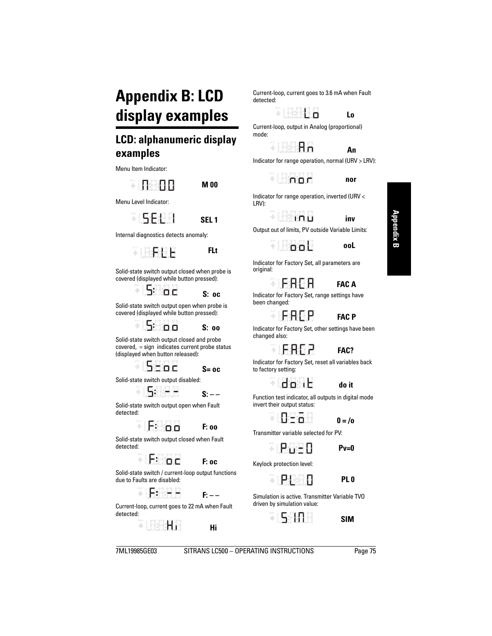# **Appendix B: LCD display examples**

# **LCD: alphanumeric display examples**

Menu Item Indicator:



**M 00**

Menu Level Indicator:



Internal diagnostics detects anomaly:



Solid-state switch output closed when probe is covered (displayed while button pressed):



**S: oc**

 **FLt**

Solid-state switch output open when probe is covered (displayed while button pressed):

 $= 5$ 

**S: oo**

Solid-state switch output closed and probe covered, = sign indicates current probe status (displayed when button released):



**S= oc**

Solid-state switch output disabled:



**S: – –**

Solid-state switch output open when Fault detected:



Solid-state switch output closed when Fault detected:



**F: oc**

**F: oo**

Solid-state switch / current-loop output functions due to Faults are disabled:



**F: – –**

Current-loop, current goes to 22 mA when Fault detected:



 **Hi** 

Current-loop, current goes to 3.6 mA when Fault detected:

> **SIBBRA Lo**

Current-loop, output in Analog (proportional) mode:

**SIBARA** 



Indicator for range operation, normal (URV > LRV):

 $=$   $\frac{1}{2}$   $\frac{1}{2}$   $\frac{1}{2}$   $\frac{1}{2}$ 

 **nor** 

 **inv** 

Indicator for range operation, inverted (URV < LRV):







Output out of limits, PV outside Variable Limits:



Indicator for Factory Set, all parameters are original:



Indicator for Factory Set, range settings have been changed:

### *FΔC P*

Indicator for Factory Set, other settings have been changed also:

**SIPREP** 

. IFAF P



Indicator for Factory Set, reset all variables back to factory setting:

Haaf

 **do it** 

Function test indicator, all outputs in digital mode invert their output status:

FIREA E

 $0 = / 0$ 

Transmitter variable selected for PV:

**FIRRER** 

**SIPRAP** 

 **Pv=0**

Keylock protection level:

 **PL 0**

Simulation is active. Transmitter Variable TVO driven by simulation value:



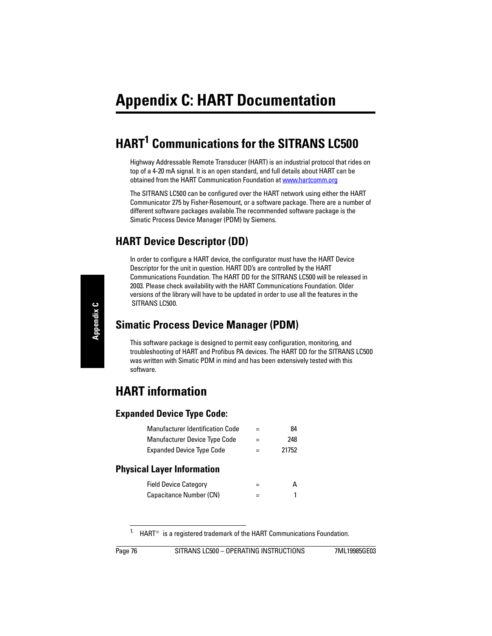# **HART1 Communications for the SITRANS LC500**

Highway Addressable Remote Transducer (HART) is an industrial protocol that rides on top of a 4-20 mA signal. It is an open standard, and full details about HART can be obtained from the HART Communication Foundation at www.hartcomm.org

The SITRANS LC500 can be configured over the HART network using either the HART Communicator 275 by Fisher-Rosemount, or a software package. There are a number of different software packages available.The recommended software package is the Simatic Process Device Manager (PDM) by Siemens.

### **HART Device Descriptor (DD)**

In order to configure a HART device, the configurator must have the HART Device Descriptor for the unit in question. HART DD's are controlled by the HART Communications Foundation. The HART DD for the SITRANS LC500 will be released in 2003. Please check availability with the HART Communications Foundation. Older versions of the library will have to be updated in order to use all the features in the SITRANS LC500.

### **Simatic Process Device Manager (PDM)**

This software package is designed to permit easy configuration, monitoring, and troubleshooting of HART and Profibus PA devices. The HART DD for the SITRANS LC500 was written with Simatic PDM in mind and has been extensively tested with this software.

# **HART information**

### **Expanded Device Type Code:**

| <b>Manufacturer Identification Code</b> | $=$ | 84    |
|-----------------------------------------|-----|-------|
| <b>Manufacturer Device Type Code</b>    | $=$ | 248   |
| <b>Expanded Device Type Code</b>        | $=$ | 21752 |

### **Physical Layer Information**

| <b>Field Device Category</b> | А |
|------------------------------|---|
| Capacitance Number (CN)      |   |

<sup>&</sup>lt;sup>1.</sup> HART<sup>®</sup> is a registered trademark of the HART Communications Foundation.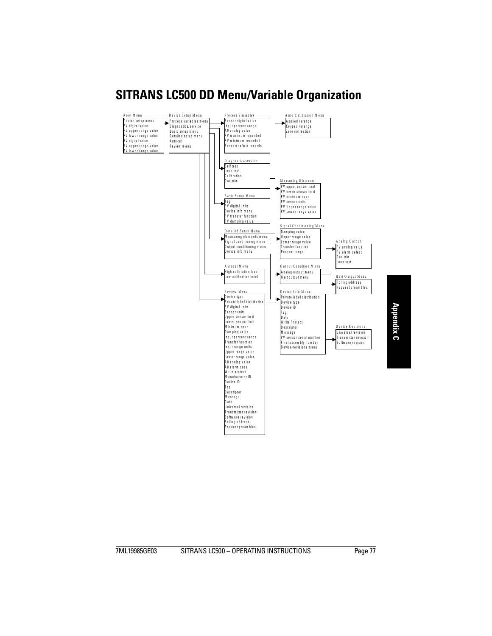# **SITRANS LC500 DD Menu/Variable Organization**

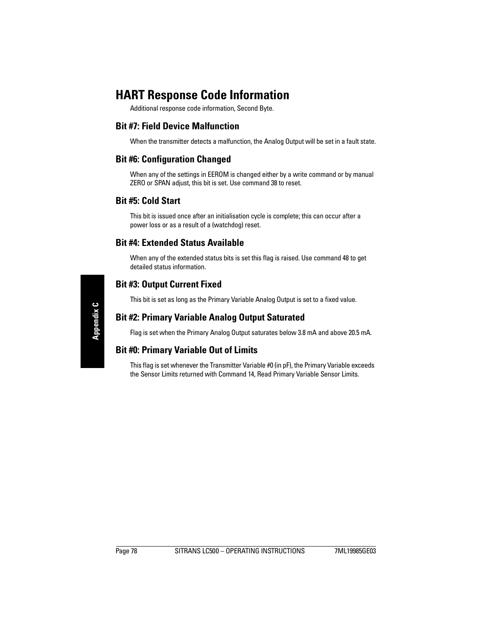# **HART Response Code Information**

Additional response code information, Second Byte.

### **Bit #7: Field Device Malfunction**

When the transmitter detects a malfunction, the Analog Output will be set in a fault state.

### **Bit #6: Configuration Changed**

When any of the settings in EEROM is changed either by a write command or by manual ZERO or SPAN adjust, this bit is set. Use command 38 to reset.

### **Bit #5: Cold Start**

This bit is issued once after an initialisation cycle is complete; this can occur after a power loss or as a result of a (watchdog) reset.

### **Bit #4: Extended Status Available**

When any of the extended status bits is set this flag is raised. Use command 48 to get detailed status information.

### **Bit #3: Output Current Fixed**

This bit is set as long as the Primary Variable Analog Output is set to a fixed value.

### **Bit #2: Primary Variable Analog Output Saturated**

Flag is set when the Primary Analog Output saturates below 3.8 mA and above 20.5 mA.

### **Bit #0: Primary Variable Out of Limits**

This flag is set whenever the Transmitter Variable #0 (in pF), the Primary Variable exceeds the Sensor Limits returned with Command 14, Read Primary Variable Sensor Limits.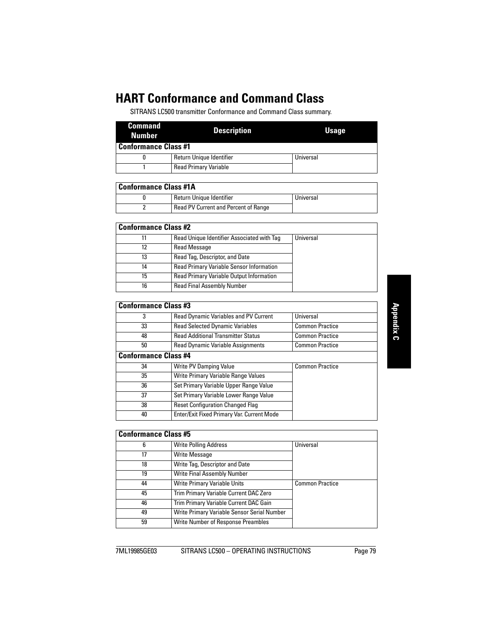# **HART Conformance and Command Class**

SITRANS LC500 transmitter Conformance and Command Class summary.

| <b>Command</b><br>Number | <b>Description</b>           | Usage     |
|--------------------------|------------------------------|-----------|
| Conformance Class #1     |                              |           |
|                          | Return Unique Identifier     | Universal |
|                          | <b>Read Primary Variable</b> |           |

| Conformance Class #1A |                                      |           |  |  |
|-----------------------|--------------------------------------|-----------|--|--|
|                       | Return Unique Identifier             | Universal |  |  |
|                       | Read PV Current and Percent of Range |           |  |  |

| Conformance Class #2 |                                                 |           |  |  |  |
|----------------------|-------------------------------------------------|-----------|--|--|--|
| 11                   | Read Unique Identifier Associated with Taq      | Universal |  |  |  |
| 12                   | <b>Read Message</b>                             |           |  |  |  |
| 13                   | Read Tag, Descriptor, and Date                  |           |  |  |  |
| 14                   | <b>Read Primary Variable Sensor Information</b> |           |  |  |  |
| 15                   | Read Primary Variable Output Information        |           |  |  |  |
| 16                   | <b>Read Final Assembly Number</b>               |           |  |  |  |

| <b>Conformance Class #3</b> |                                              |                        |
|-----------------------------|----------------------------------------------|------------------------|
| 3                           | <b>Read Dynamic Variables and PV Current</b> | Universal              |
| 33                          | <b>Read Selected Dynamic Variables</b>       | <b>Common Practice</b> |
| 48                          | <b>Read Additional Transmitter Status</b>    | <b>Common Practice</b> |
| 50                          | <b>Read Dynamic Variable Assignments</b>     | <b>Common Practice</b> |
| <b>Conformance Class #4</b> |                                              |                        |
| 34                          | <b>Write PV Damping Value</b>                | <b>Common Practice</b> |
| 35                          | Write Primary Variable Range Values          |                        |
| 36                          | Set Primary Variable Upper Range Value       |                        |
| 37                          | Set Primary Variable Lower Range Value       |                        |
| 38                          | <b>Reset Configuration Changed Flag</b>      |                        |
| 40                          | Enter/Exit Fixed Primary Var. Current Mode   |                        |

| <b>Conformance Class #5</b> |                                             |                        |
|-----------------------------|---------------------------------------------|------------------------|
| 6                           | <b>Write Polling Address</b>                | Universal              |
| 17                          | <b>Write Message</b>                        |                        |
| 18                          | Write Tag, Descriptor and Date              |                        |
| 19                          | Write Final Assembly Number                 |                        |
| 44                          | <b>Write Primary Variable Units</b>         | <b>Common Practice</b> |
| 45                          | Trim Primary Variable Current DAC Zero      |                        |
| 46                          | Trim Primary Variable Current DAC Gain      |                        |
| 49                          | Write Primary Variable Sensor Serial Number |                        |
| 59                          | Write Number of Response Preambles          |                        |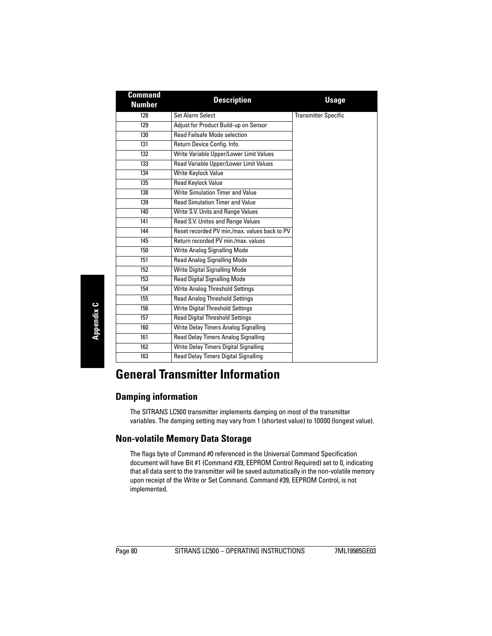| <b>Command</b><br><b>Number</b> | <b>Description</b>                            | <b>Usage</b>                |  |  |
|---------------------------------|-----------------------------------------------|-----------------------------|--|--|
| 128                             | <b>Set Alarm Select</b>                       | <b>Transmitter Specific</b> |  |  |
| 129                             | Adjust for Product Build-up on Sensor         |                             |  |  |
| 130                             | <b>Read Failsafe Mode selection</b>           |                             |  |  |
| 131                             | Return Device Config. Info.                   |                             |  |  |
| 132                             | Write Variable Upper/Lower Limit Values       |                             |  |  |
| 133                             | Read Variable Upper/Lower Limit Values        |                             |  |  |
| 134                             | Write Keylock Value                           |                             |  |  |
| 135                             | <b>Read Keylock Value</b>                     |                             |  |  |
| 138                             | Write Simulation Timer and Value              |                             |  |  |
| 139                             | <b>Read Simulation Timer and Value</b>        |                             |  |  |
| 140                             | Write S.V. Units and Range Values             |                             |  |  |
| 141                             | Read S.V. Unites and Range Values             |                             |  |  |
| 144                             | Reset recorded PV min./max. values back to PV |                             |  |  |
| 145                             | Return recorded PV min./max. values           |                             |  |  |
| 150                             | Write Analog Signalling Mode                  |                             |  |  |
| 151                             | <b>Read Analog Signalling Mode</b>            |                             |  |  |
| 152                             | Write Digital Signalling Mode                 |                             |  |  |
| 153                             | <b>Read Digital Signalling Mode</b>           |                             |  |  |
| 154                             | <b>Write Analog Threshold Settings</b>        |                             |  |  |
| 155                             | <b>Read Analog Threshold Settings</b>         |                             |  |  |
| 156                             | <b>Write Digital Threshold Settings</b>       |                             |  |  |
| 157                             | <b>Read Digital Threshold Settings</b>        |                             |  |  |
| 160                             | Write Delay Timers Analog Signalling          |                             |  |  |
| 161                             | Read Delay Timers Analog Signalling           |                             |  |  |
| 162                             | Write Delay Timers Digital Signalling         |                             |  |  |
| 163                             | Read Delay Timers Digital Signalling          |                             |  |  |

# **General Transmitter Information**

### **Damping information**

The SITRANS LC500 transmitter implements damping on most of the transmitter variables. The damping setting may vary from 1 (shortest value) to 10000 (longest value).

### **Non-volatile Memory Data Storage**

The flags byte of Command #0 referenced in the Universal Command Specification document will have Bit #1 (Command #39, EEPROM Control Required) set to 0, indicating that all data sent to the transmitter will be saved automatically in the non-volatile memory upon receipt of the Write or Set Command. Command #39, EEPROM Control, is not implemented.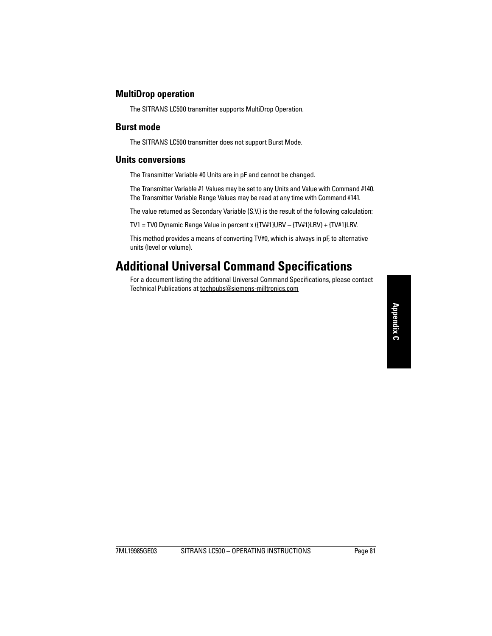#### **MultiDrop operation**

The SITRANS LC500 transmitter supports MultiDrop Operation.

### **Burst mode**

The SITRANS LC500 transmitter does not support Burst Mode.

### **Units conversions**

The Transmitter Variable #0 Units are in pF and cannot be changed.

The Transmitter Variable #1 Values may be set to any Units and Value with Command #140. The Transmitter Variable Range Values may be read at any time with Command #141.

The value returned as Secondary Variable (S.V.) is the result of the following calculation:

TV1 = TV0 Dynamic Range Value in percent x ({TV#1}URV – {TV#1}LRV) + {TV#1}LRV.

This method provides a means of converting TV#0, which is always in pF, to alternative units (level or volume).

# **Additional Universal Command Specifications**

For a document listing the additional Universal Command Specifications, please contact Technical Publications at techpubs@siemens-milltronics.com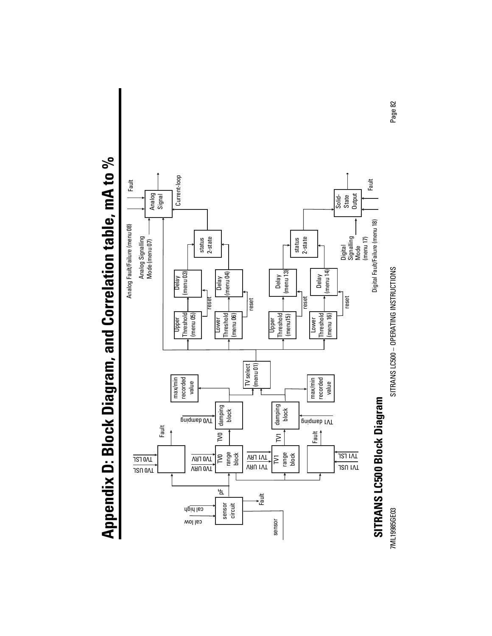Appendix D: Block Diagram, and Correlation table, mA to % **Appendix D: Block Diagram, and Correlation table, mA to %**



7ML19985GE03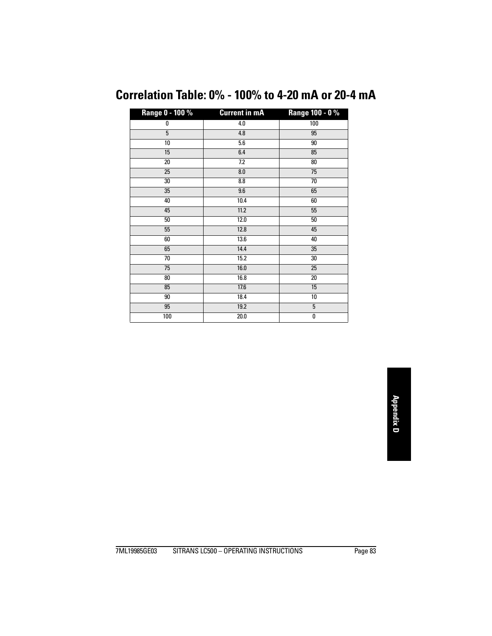# **Correlation Table: 0% - 100% to 4-20 mA or 20-4 mA**

| Range 0 - 100 % | <b>Current in mA</b> | Range 100 - 0 % |
|-----------------|----------------------|-----------------|
| 0               | 4.0                  | 100             |
| $\overline{5}$  | $4.8\,$              | 95              |
| 10              | 5.6                  | 90              |
| 15              | 6.4                  | 85              |
| 20              | 7.2                  | 80              |
| 25              | 8.0                  | 75              |
| 30              | 8.8                  | 70              |
| 35              | 9.6                  | 65              |
| 40              | 10.4                 | 60              |
| 45              | $11.2$               | 55              |
| 50              | 12.0                 | 50              |
| 55              | 12.8                 | 45              |
| 60              | 13.6                 | 40              |
| 65              | 14.4                 | 35              |
| 70              | 15.2                 | 30              |
| 75              | 16.0                 | 25              |
| 80              | 16.8                 | 20              |
| 85              | 17.6                 | 15              |
| 90              | 18.4                 | 10              |
| 95              | 19.2                 | 5               |
| 100             | 20.0                 | 0               |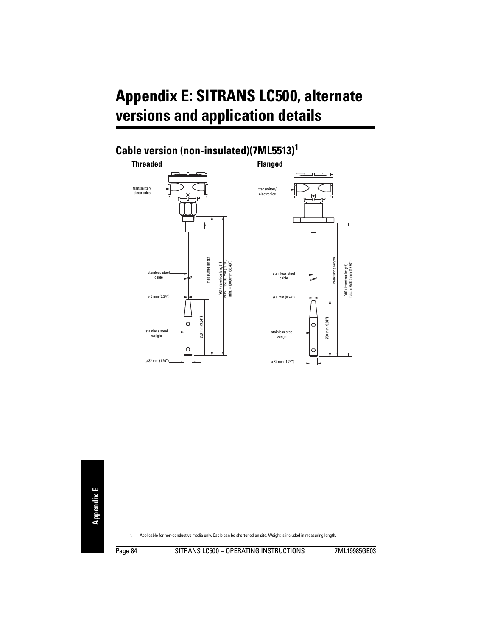# <span id="page-89-0"></span>**Appendix E: SITRANS LC500, alternate versions and application details**

# **Cable version (non-insulated)(7ML5513)<sup>1</sup>**





1. Applicable for non-conductive media only. Cable can be shortened on site. Weight is included in measuring length.

Page 84 SITRANS LC500 - OPERATING INSTRUCTIONS 7ML19985GE03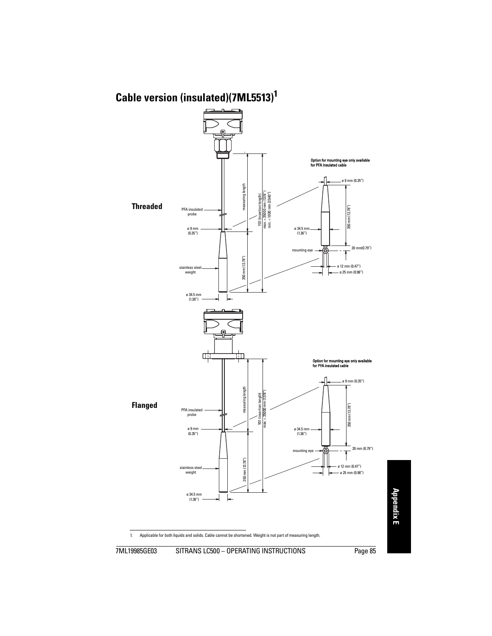# **Cable version (insulated)(7ML5513)<sup>1</sup>**



1. Applicable for both liquids and solids. Cable cannot be shortened. Weight is not part of measuring length.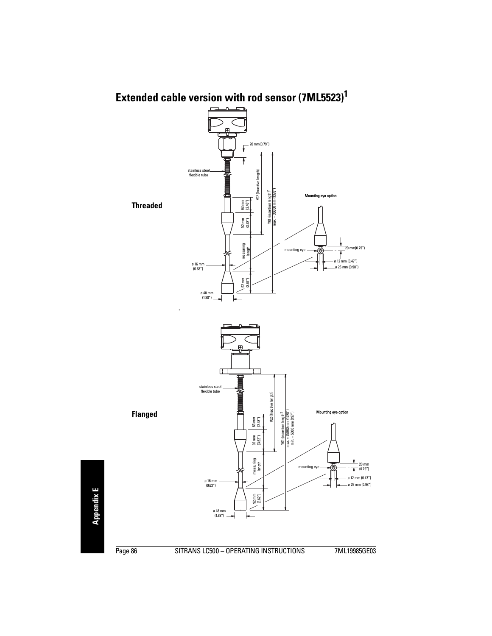# **Extended cable version with rod sensor (7ML5523)<sup>1</sup>**

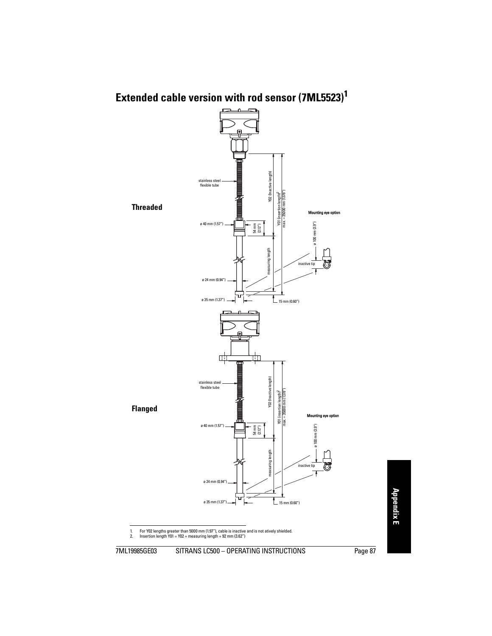# **Extended cable version with rod sensor (7ML5523)<sup>1</sup>**



1. For Y02 lengths greater than 5000 mm (1.97"), cable is inactive and is not atively shielded.<br>2. Insertion length Y01 = Y02 + measuring length + 92 mm (3.62")

2. Insertion length Y01 = Y02 + measuring length + 92 mm (3.62")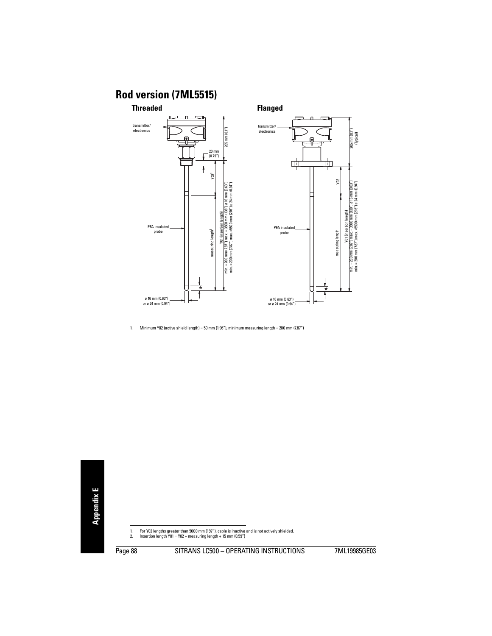### **Rod version (7ML5515)**



1. Minimum Y02 (active shield length) = 50 mm (1.96"), minimum measuring length = 200 mm (7.87")

1. For Y02 lengths greater than 5000 mm (197"), cable is inactive and is not actively shielded.

2. Insertion length Y01 = Y02 + measuring length + 15 mm (0.59")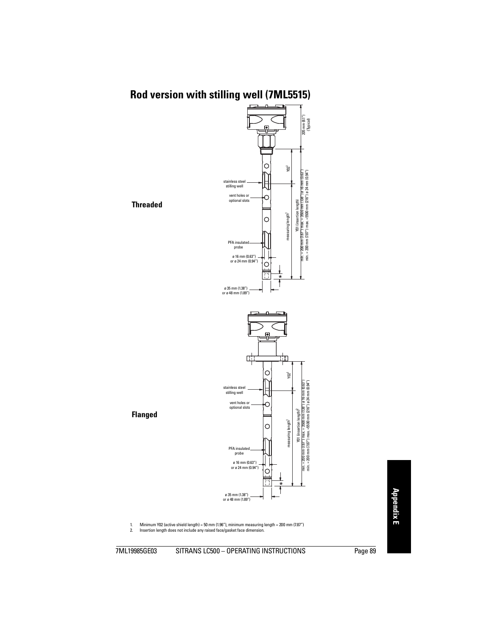### **Rod version with stilling well (7ML5515)**



1. Minimum Y02 (active shield length) = 50 mm (1.96"), minimum measuring length = 200 mm (7.87")<br>2. Insertion length does not include any raised face/gasket face dimension.

Insertion length does not include any raised face/gasket face dimension.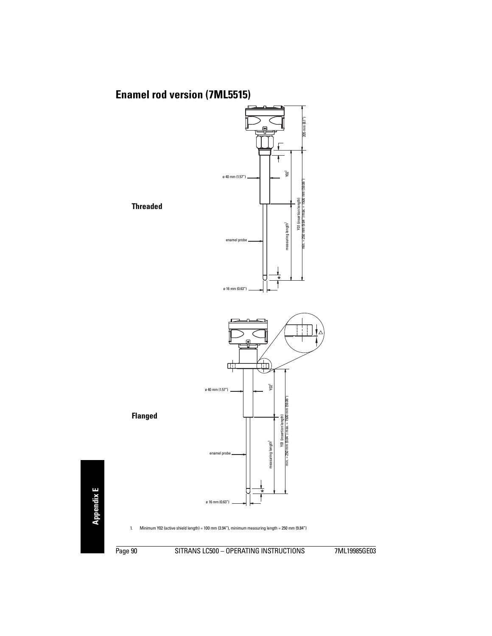## **Enamel rod version (7ML5515)**



1. Minimum Y02 (active shield length) = 100 mm (3.94"), minimum measuring length = 250 mm (9.84")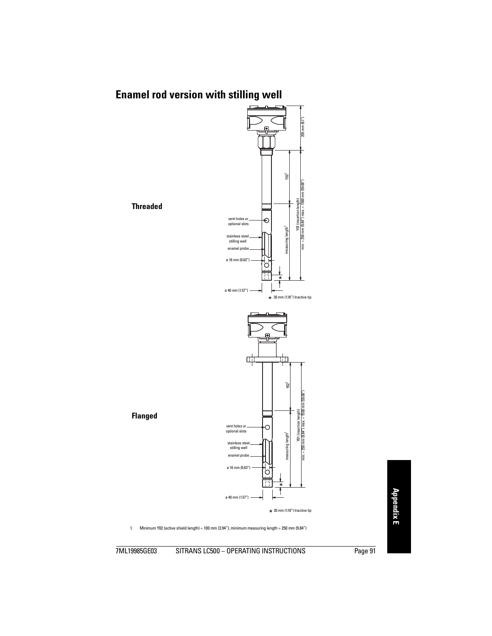# **Enamel rod version with stilling well**



1. Minimum Y02 (active shield length) = 100 mm (3.94"), minimum measuring length = 250 mm (9.84")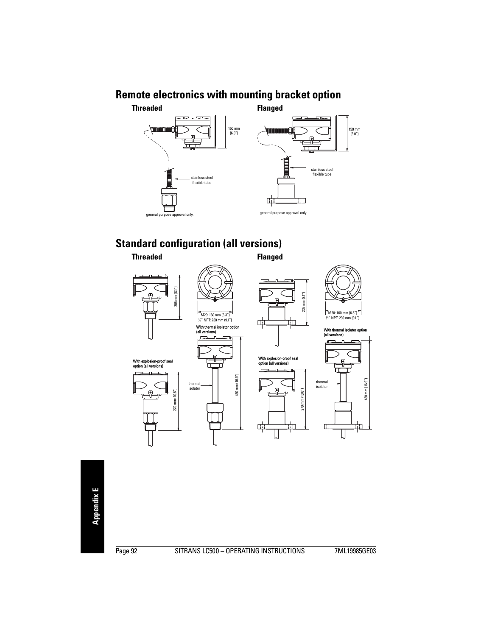### **Remote electronics with mounting bracket option**





### **Standard configuration (all versions) Threaded Flanged**



With explosion-proof seal option (all versions)





(all versions)





With explosion-proof seal option (all versions)





With thermal isolator option (all versions)

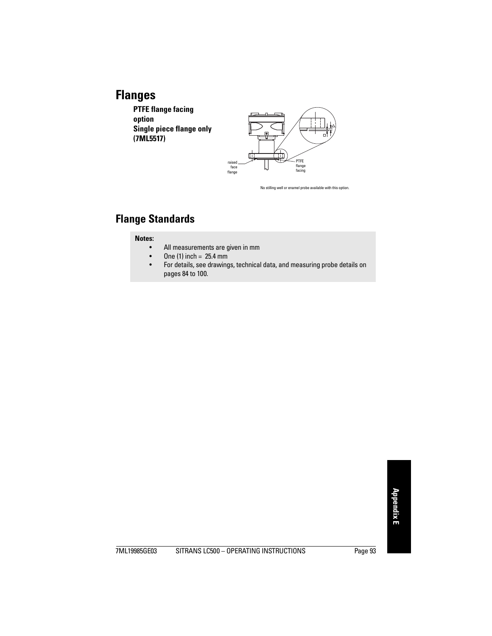# **Flanges**

**PTFE flange facing option Single piece flange only (7ML5517)**



No stilling well or enamel probe available with this option.

### **Flange Standards**

#### **Notes:**

- All measurements are given in mm
- One (1) inch =  $25.4$  mm
- For details, see drawings, technical data, and measuring probe details on pages [84](#page-89-0) to [100](#page-105-0).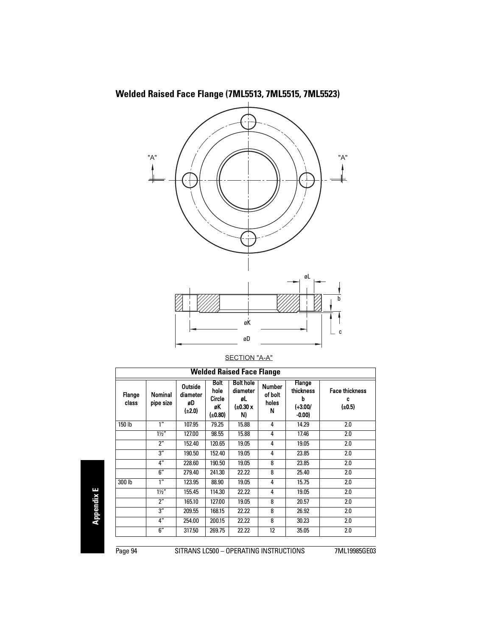**Welded Raised Face Flange (7ML5513, 7ML5515, 7ML5523)**



|  | SECTION "A-A" |
|--|---------------|
|  |               |

| <b>Welded Raised Face Flange</b> |                      |                                          |                                                       |                                                      |                                        |                                                         |                                           |
|----------------------------------|----------------------|------------------------------------------|-------------------------------------------------------|------------------------------------------------------|----------------------------------------|---------------------------------------------------------|-------------------------------------------|
| Flange<br>class                  | Nominal<br>pipe size | Outside<br>diameter<br>øD<br>$(\pm 2.0)$ | <b>Bolt</b><br>hole<br><b>Circle</b><br>øK<br>(£0.80) | <b>Bolt hole</b><br>diameter<br>øL<br>(±0.30 x<br>N) | <b>Number</b><br>of bolt<br>holes<br>Ν | <b>Flange</b><br>thickness<br>b<br>$(+3.00/$<br>$-0.00$ | <b>Face thickness</b><br>c<br>$(\pm 0.5)$ |
| 150 lb                           | 1 <sup>''</sup>      | 107.95                                   | 79.25                                                 | 15.88                                                | 4                                      | 14.29                                                   | 2.0                                       |
|                                  | $1\frac{1}{2}$       | 127.00                                   | 98.55                                                 | 15.88                                                | 4                                      | 17.46                                                   | 2.0                                       |
|                                  | $2^{\prime\prime}$   | 152.40                                   | 120.65                                                | 19.05                                                | 4                                      | 19.05                                                   | 2.0                                       |
|                                  | 3''                  | 190.50                                   | 152.40                                                | 19.05                                                | 4                                      | 23.85                                                   | 2.0                                       |
|                                  | 4"                   | 228.60                                   | 190.50                                                | 19.05                                                | 8                                      | 23.85                                                   | 2.0                                       |
|                                  | 6''                  | 279.40                                   | 241.30                                                | 22.22                                                | 8                                      | 25.40                                                   | 2.0                                       |
| 300 lb                           | 1 <sup>''</sup>      | 123.95                                   | 88.90                                                 | 19.05                                                | 4                                      | 15.75                                                   | 2.0                                       |
|                                  | $1\frac{1}{2}$       | 155.45                                   | 114.30                                                | 22.22                                                | 4                                      | 19.05                                                   | 2.0                                       |
|                                  | $2^{\prime\prime}$   | 165.10                                   | 127.00                                                | 19.05                                                | 8                                      | 20.57                                                   | 2.0                                       |
|                                  | 3''                  | 209.55                                   | 168.15                                                | 22.22                                                | 8                                      | 26.92                                                   | 2.0                                       |
|                                  | 4"                   | 254.00                                   | 200.15                                                | 22.22                                                | 8                                      | 30.23                                                   | 2.0                                       |
|                                  | 6''                  | 317.50                                   | 269.75                                                | 22.22                                                | 12                                     | 35.05                                                   | 2.0                                       |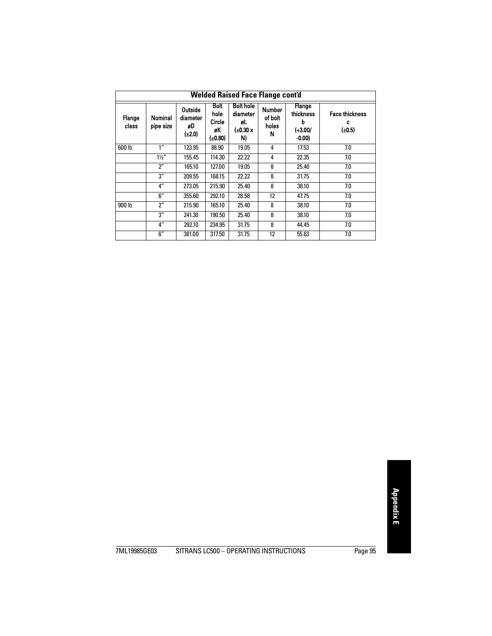| <b>Welded Raised Face Flange cont'd</b> |                      |                                          |                                                |                                                      |                                        |                                                  |                                           |
|-----------------------------------------|----------------------|------------------------------------------|------------------------------------------------|------------------------------------------------------|----------------------------------------|--------------------------------------------------|-------------------------------------------|
| Flange<br>class                         | Nominal<br>pipe size | Outside<br>diameter<br>øD<br>$(\pm 2.0)$ | <b>Bolt</b><br>hole<br>Circle<br>øK<br>(±0.80) | <b>Bolt hole</b><br>diameter<br>øL<br>(±0.30 x<br>N) | <b>Number</b><br>of bolt<br>holes<br>N | Flange<br>thickness<br>b<br>$(+3.00/$<br>$-0.00$ | <b>Face thickness</b><br>c<br>$(\pm 0.5)$ |
| 600 lb                                  | 1"                   | 123.95                                   | 88.90                                          | 19.05                                                | 4                                      | 17.53                                            | 7.0                                       |
|                                         | $1\frac{1}{2}$       | 155.45                                   | 114.30                                         | 22.22                                                | 4                                      | 22.35                                            | 7.0                                       |
|                                         | 2"                   | 165.10                                   | 127.00                                         | 19.05                                                | 8                                      | 25.40                                            | 7.0                                       |
|                                         | 3''                  | 209.55                                   | 168.15                                         | 22.22                                                | 8                                      | 31.75                                            | 7.0                                       |
|                                         | 4"                   | 273.05                                   | 215.90                                         | 25.40                                                | 8                                      | 38.10                                            | 7.0                                       |
|                                         | 6''                  | 355.60                                   | 292.10                                         | 28.58                                                | 12                                     | 47.75                                            | 7.0                                       |
| 900 lb                                  | $2^{\prime\prime}$   | 215.90                                   | 165.10                                         | 25.40                                                | 8                                      | 38.10                                            | 7.0                                       |
|                                         | 3''                  | 241.30                                   | 190.50                                         | 25.40                                                | 8                                      | 38.10                                            | 7.0                                       |
|                                         | 4"                   | 292.10                                   | 234.95                                         | 31.75                                                | 8                                      | 44.45                                            | 7.0                                       |
|                                         | 6''                  | 381.00                                   | 317.50                                         | 31.75                                                | 12                                     | 55.63                                            | 7.0                                       |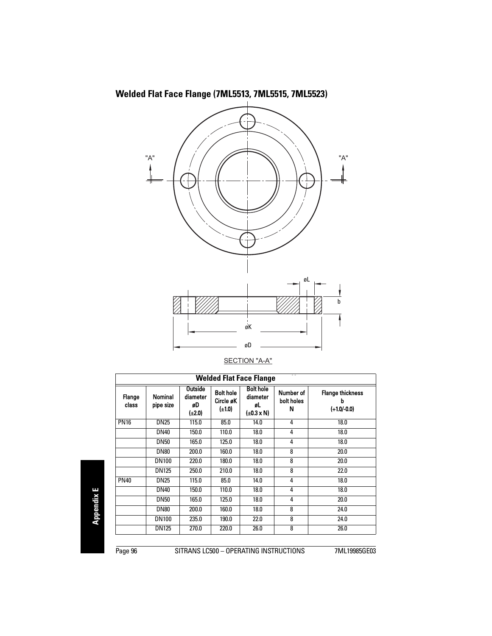**Welded Flat Face Flange (7ML5513, 7ML5515, 7ML5523)**



|  | <b>SECTION "A-A"</b> |
|--|----------------------|
|  |                      |

| <b>Welded Flat Face Flange</b> |                      |                                            |                                              |                                                            |                              |                                               |  |  |  |
|--------------------------------|----------------------|--------------------------------------------|----------------------------------------------|------------------------------------------------------------|------------------------------|-----------------------------------------------|--|--|--|
| Flange<br>class                | Nominal<br>pipe size | <b>Outside</b><br>diameter<br>øD<br>(±2.0) | <b>Bolt hole</b><br>Circle øK<br>$(\pm 1.0)$ | <b>Bolt hole</b><br>diameter<br>øL<br>$(\pm 0.3 \times N)$ | Number of<br>bolt holes<br>Ν | <b>Flange thickness</b><br>b<br>$(+1.0/-0.0)$ |  |  |  |
| <b>PN16</b>                    | <b>DN25</b>          | 115.0                                      | 85.0                                         | 14.0                                                       | 4                            | 18.0                                          |  |  |  |
|                                | <b>DN40</b>          | 150.0                                      | 110.0                                        | 18.0                                                       | 4                            | 18.0                                          |  |  |  |
|                                | <b>DN50</b>          | 165.0                                      | 125.0                                        | 18.0                                                       | 4                            | 18.0                                          |  |  |  |
|                                | <b>DN80</b>          | 200.0                                      | 160.0                                        | 18.0                                                       | 8                            | 20.0                                          |  |  |  |
|                                | <b>DN100</b>         | 220.0                                      | 180.0                                        | 18.0                                                       | 8                            | 20.0                                          |  |  |  |
|                                | DN125                | 250.0                                      | 210.0                                        | 18.0                                                       | 8                            | 22.0                                          |  |  |  |
| <b>PN40</b>                    | <b>DN25</b>          | 115.0                                      | 85.0                                         | 14.0                                                       | 4                            | 18.0                                          |  |  |  |
|                                | <b>DN40</b>          | 150.0                                      | 110.0                                        | 18.0                                                       | 4                            | 18.0                                          |  |  |  |
|                                | <b>DN50</b>          | 165.0                                      | 125.0                                        | 18.0                                                       | 4                            | 20.0                                          |  |  |  |
|                                | <b>DN80</b>          | 200.0                                      | 160.0                                        | 18.0                                                       | 8                            | 24.0                                          |  |  |  |
|                                | <b>DN100</b>         | 235.0                                      | 190.0                                        | 22.0                                                       | 8                            | 24.0                                          |  |  |  |
|                                | <b>DN125</b>         | 270.0                                      | 220.0                                        | 26.0                                                       | 8                            | 26.0                                          |  |  |  |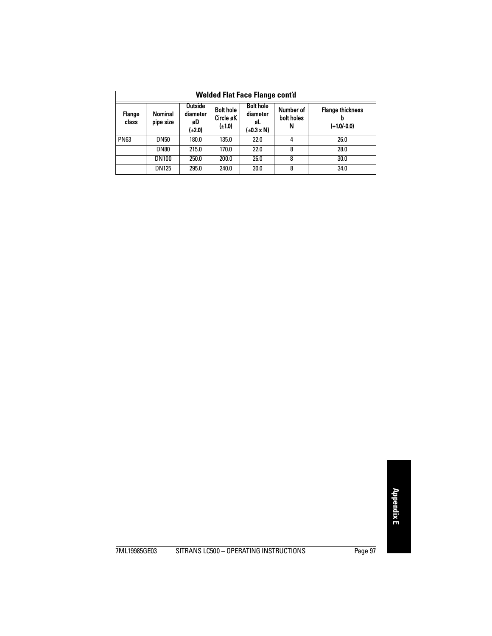| <b>Welded Flat Face Flange cont'd</b> |                                                                                                                                                                                                                                                                     |       |       |      |   |      |  |  |
|---------------------------------------|---------------------------------------------------------------------------------------------------------------------------------------------------------------------------------------------------------------------------------------------------------------------|-------|-------|------|---|------|--|--|
| Flange<br>class                       | <b>Bolt hole</b><br><b>Outside</b><br><b>Bolt hole</b><br>Number of<br><b>Flange thickness</b><br><b>Nominal</b><br>diameter<br>diameter<br>Circle øK<br>bolt holes<br>pipe size<br>øD<br>øL<br>$(\pm 1.0)$<br>$(+1.0/-0.0)$<br>N<br>(±2.0)<br>$(\pm 0.3 \times N)$ |       |       |      |   |      |  |  |
| <b>PN63</b>                           | DN50                                                                                                                                                                                                                                                                | 180.0 | 135.0 | 22.0 | 4 | 26.0 |  |  |
|                                       | <b>DN80</b>                                                                                                                                                                                                                                                         | 215.0 | 170.0 | 22.0 | 8 | 28.0 |  |  |
|                                       | <b>DN100</b>                                                                                                                                                                                                                                                        | 250.0 | 200.0 | 26.0 | 8 | 30.0 |  |  |
|                                       | <b>DN125</b>                                                                                                                                                                                                                                                        | 295.0 | 240.0 | 30.0 | 8 | 34.0 |  |  |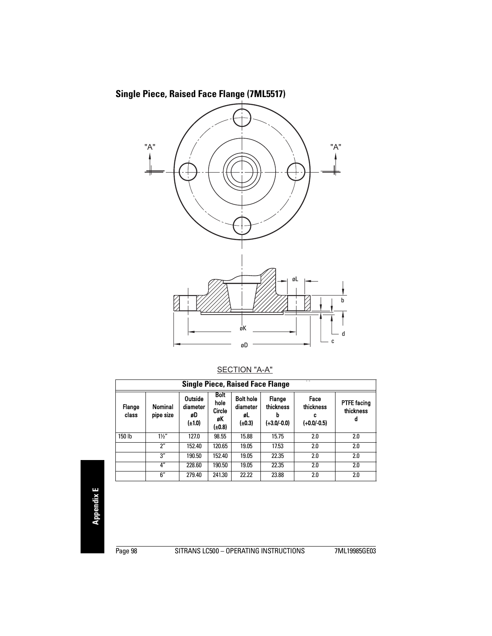

#### SECTION "A-A"

| $-$<br><b>Single Piece, Raised Face Flange</b> |                      |                                     |                                               |                                              |                                      |                                       |                                      |  |  |
|------------------------------------------------|----------------------|-------------------------------------|-----------------------------------------------|----------------------------------------------|--------------------------------------|---------------------------------------|--------------------------------------|--|--|
| Flange<br>class                                | Nominal<br>pipe size | Outside<br>diameter<br>øD<br>(±1.0) | <b>Bolt</b><br>hole<br>Circle<br>øK<br>(±0.8) | <b>Bolt hole</b><br>diameter<br>øL<br>(±0.3) | Flange<br>thickness<br>$(+3.0/-0.0)$ | Face<br>thickness<br>c<br>(+0.0/-0.5) | <b>PTFE facing</b><br>thickness<br>d |  |  |
| 150 lb                                         | $1\frac{1}{2}$       | 127.0                               | 98.55                                         | 15.88                                        | 15.75                                | 2.0                                   | 2.0                                  |  |  |
|                                                | 2"                   | 152.40                              | 120.65                                        | 19.05                                        | 17.53                                | 2.0                                   | 2.0                                  |  |  |
|                                                | 3''                  | 190.50                              | 152.40                                        | 19.05                                        | 22.35                                | 2.0                                   | 2.0                                  |  |  |
|                                                | 4"                   | 228.60                              | 190.50                                        | 19.05                                        | 22.35                                | 2.0                                   | 2.0                                  |  |  |
|                                                | 6''                  | 279.40                              | 241.30                                        | 22.22                                        | 23.88                                | 2.0                                   | 2.0                                  |  |  |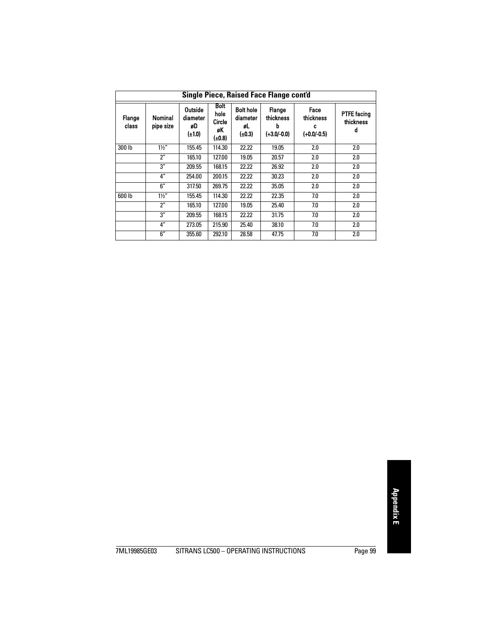| Single Piece, Raised Face Flange cont'd |                      |                                     |                                               |                                              |                                           |                                         |                                      |  |  |
|-----------------------------------------|----------------------|-------------------------------------|-----------------------------------------------|----------------------------------------------|-------------------------------------------|-----------------------------------------|--------------------------------------|--|--|
| Flange<br>class                         | Nominal<br>pipe size | Outside<br>diameter<br>øD<br>(±1.0) | <b>Bolt</b><br>hole<br>Circle<br>øK<br>(±0.8) | <b>Bolt hole</b><br>diameter<br>øL<br>(±0.3) | Flange<br>thickness<br>b<br>$(+3.0/-0.0)$ | Face<br>thickness<br>c<br>$(+0.0/-0.5)$ | <b>PTFE facing</b><br>thickness<br>d |  |  |
| 300 lb                                  | $1\frac{1}{2}$       | 155.45                              | 114.30                                        | 22.22                                        | 19.05                                     | 2.0                                     | 2.0                                  |  |  |
|                                         | $2^{\prime\prime}$   | 165.10                              | 127.00                                        | 19.05                                        | 20.57                                     | 2.0                                     | 2.0                                  |  |  |
|                                         | 3''                  | 209.55                              | 168.15                                        | 22.22                                        | 26.92                                     | 2.0                                     | 2.0                                  |  |  |
|                                         | 4"                   | 254.00                              | 200.15                                        | 22.22                                        | 30.23                                     | 2.0                                     | 2.0                                  |  |  |
|                                         | 6''                  | 317.50                              | 269.75                                        | 22.22                                        | 35.05                                     | 2.0                                     | 2.0                                  |  |  |
| 600 lb                                  | $1\frac{1}{2}$       | 155.45                              | 114.30                                        | 22.22                                        | 22.35                                     | 7.0                                     | 2.0                                  |  |  |
|                                         | 2"                   | 165.10                              | 127.00                                        | 19.05                                        | 25.40                                     | 7.0                                     | 2.0                                  |  |  |
|                                         | 3''                  | 209.55                              | 168.15                                        | 22.22                                        | 31.75                                     | 7.0                                     | 2.0                                  |  |  |
|                                         | $4^{\prime\prime}$   | 273.05                              | 215.90                                        | 25.40                                        | 38.10                                     | 7.0                                     | 2.0                                  |  |  |
|                                         | 6''                  | 355.60                              | 292.10                                        | 28.58                                        | 47.75                                     | 7.0                                     | 2.0                                  |  |  |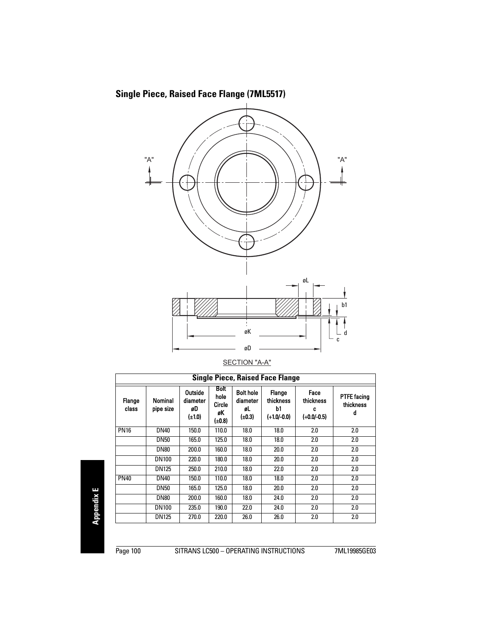



|--|

<span id="page-105-0"></span>

| <b>Single Piece, Raised Face Flange</b> |                      |                                          |                                               |                                                   |                                            |                                         |                                      |  |
|-----------------------------------------|----------------------|------------------------------------------|-----------------------------------------------|---------------------------------------------------|--------------------------------------------|-----------------------------------------|--------------------------------------|--|
| Flange<br>class                         | Nominal<br>pipe size | Outside<br>diameter<br>øD<br>$(\pm 1.0)$ | <b>Bolt</b><br>hole<br>Circle<br>øK<br>(±0.8) | <b>Bolt hole</b><br>diameter<br>øL<br>$(\pm 0.3)$ | Flange<br>thickness<br>b1<br>$(+1.0/-0.0)$ | Face<br>thickness<br>c<br>$(+0.0/-0.5)$ | <b>PTFE facing</b><br>thickness<br>d |  |
| <b>PN16</b>                             | <b>DN40</b>          | 150.0                                    | 110.0                                         | 18.0                                              | 18.0                                       | 2.0                                     | 2.0                                  |  |
|                                         | <b>DN50</b>          | 165.0                                    | 125.0                                         | 18.0                                              | 18.0                                       | 2.0                                     | 2.0                                  |  |
|                                         | <b>DN80</b>          | 200.0                                    | 160.0                                         | 18.0                                              | 20.0                                       | 2.0                                     | 2.0                                  |  |
|                                         | <b>DN100</b>         | 220.0                                    | 180.0                                         | 18.0                                              | 20.0                                       | 2.0                                     | 2.0                                  |  |
|                                         | <b>DN125</b>         | 250.0                                    | 210.0                                         | 18.0                                              | 22.0                                       | 2.0                                     | 2.0                                  |  |
| <b>PN40</b>                             | <b>DN40</b>          | 150.0                                    | 110.0                                         | 18.0                                              | 18.0                                       | 2.0                                     | 2.0                                  |  |
|                                         | <b>DN50</b>          | 165.0                                    | 125.0                                         | 18.0                                              | 20.0                                       | 2.0                                     | 2.0                                  |  |
|                                         | <b>DN80</b>          | 200.0                                    | 160.0                                         | 18.0                                              | 24.0                                       | 2.0                                     | 2.0                                  |  |
|                                         | <b>DN100</b>         | 235.0                                    | 190.0                                         | 22.0                                              | 24.0                                       | 2.0                                     | 2.0                                  |  |
|                                         | <b>DN125</b>         | 270.0                                    | 220.0                                         | 26.0                                              | 26.0                                       | 2.0                                     | 2.0                                  |  |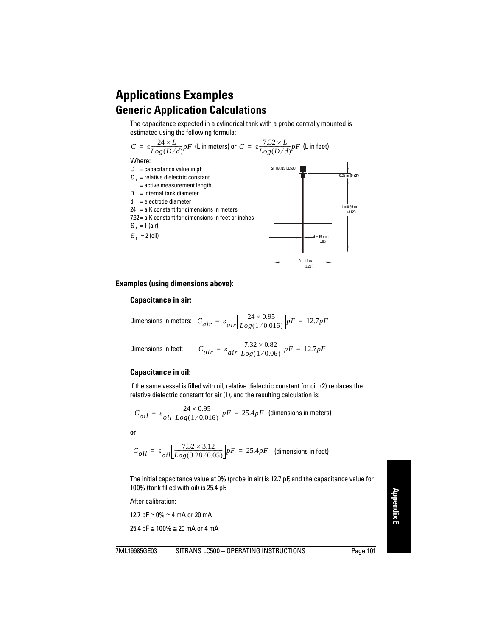## **Applications Examples Generic Application Calculations**

The capacitance expected in a cylindrical tank with a probe centrally mounted is estimated using the following formula:

$$
C = \varepsilon \frac{24 \times L}{Log(D/d)} pF
$$
 (L in meters) or  $C = \varepsilon \frac{7.32 \times L}{Log(D/d)} pF$  (L in feet)  
Where:  
C = capacitance value in pF  
 $\varepsilon_r$  = relative dielectric constant  
L = active measurement length  
D = internal tank diameter  
d = electrode diameter  
7.32 = a K constant for dimensions in meters  
7.32 = a K constant for dimensions in feet or inches  
 $\varepsilon_r$  = 1 (air)  
 $\varepsilon_r$  = 2 (oil)

#### **Examples (using dimensions above):**

#### **Capacitance in air:**

Dimensions in meters: 
$$
C_{air} = \varepsilon_{air} \left[ \frac{24 \times 0.95}{Log(1/0.016)} \right] pF = 12.7 pF
$$

Dimensions in feet: 
$$
C_{air} = \varepsilon_{air} \left[ \frac{7.32 \times 0.82}{Log(1/0.06)} \right] pF = 12.7pF
$$

#### **Capacitance in oil:**

If the same vessel is filled with oil, relative dielectric constant for oil (2) replaces the relative dielectric constant for air (1), and the resulting calculation is:

$$
C_{oil} = \varepsilon_{oil} \left[ \frac{24 \times 0.95}{Log(1/0.016)} \right] pF = 25.4 pF
$$
 (dimensions in meters)

or

$$
C_{oil} = \varepsilon_{oil} \left[ \frac{7.32 \times 3.12}{Log(3.28/0.05)} \right] pF = 25.4 pF
$$
 (dimensions in feet)

The initial capacitance value at 0% (probe in air) is 12.7 pF, and the capacitance value for 100% (tank filled with oil) is 25.4 pF.

After calibration:

12.7 pF  $\approx$  0%  $\approx$  4 mA or 20 mA

25.4 pF  $\cong$  100%  $\cong$  20 mA or 4 mA

 $\frac{1}{2}$  (0.82')

 $0.95 m$ (3.12')

 $D = 1.0 m$ (3.28')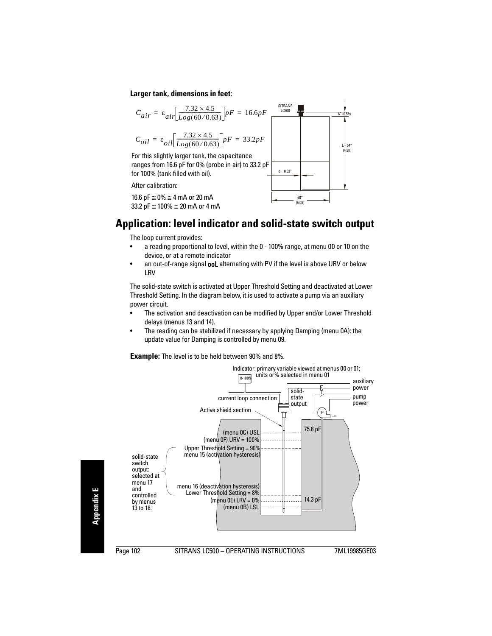#### **Larger tank, dimensions in feet:**

$$
C_{air} = \varepsilon_{air} \left[ \frac{7.32 \times 4.5}{Log(60/0.63)} \right] pF = 16.6pF
$$

$$
C_{oil} = \varepsilon_{oil} \left[ \frac{7.32 \times 4.5}{Log(60/0.63)} \right] pF = 33.2 pF
$$

For this slightly larger tank, the capacitance ranges from 16.6 pF for 0% (probe in air) to 33.2 pF for 100% (tank filled with oil).

After calibration:

16.6 pF  $\approx$  0%  $\approx$  4 mA or 20 mA 33.2 pF  $\cong$  100%  $\cong$  20 mA or 4 mA



### **Application: level indicator and solid-state switch output**

The loop current provides:

- a reading proportional to level, within the 0 100% range, at menu 00 or 10 on the device, or at a remote indicator
- an out-of-range signal **ooL** alternating with PV if the level is above URV or below **LRV**

The solid-state switch is activated at Upper Threshold Setting and deactivated at Lower Threshold Setting. In the diagram below, it is used to activate a pump via an auxiliary power circuit.

- The activation and deactivation can be modified by Upper and/or Lower Threshold delays (menus 13 and 14).
- The reading can be stabilized if necessary by applying Damping (menu 0A): the update value for Damping is controlled by menu 09.

**Example:** The level is to be held between 90% and 8%.

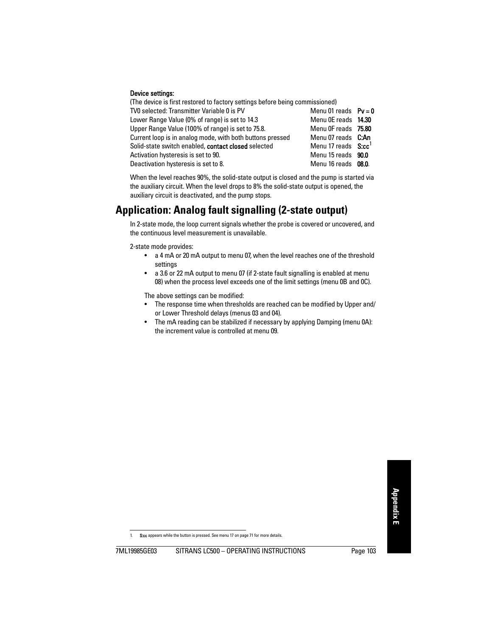#### Device settings:

(The device is first restored to factory settings before being commissioned) TV0 selected: Transmitter Variable 0 is PV  $M$ enu 01 reads  $Pv = 0$ Lower Range Value (0% of range) is set to 14.3 Menu OF reads **14.30** Upper Range Value (100% of range) is set to 75.8. Menu 0F reads 75.80 Current loop is in analog mode, with both buttons pressed Menu 07 reads C:An Solid-state switch enabled, **contact closed** selected Menu 17 reads S:cc<sup>1</sup> Activation hysteresis is set to 90. Menu 15 reads  $\,$  90.0 Deactivation hysteresis is set to 8. Menu 16 reads 08.0.

When the level reaches 90%, the solid-state output is closed and the pump is started via the auxiliary circuit. When the level drops to 8% the solid-state output is opened, the auxiliary circuit is deactivated, and the pump stops.

# **Application: Analog fault signalling (2-state output)**

In 2-state mode, the loop current signals whether the probe is covered or uncovered, and the continuous level measurement is unavailable.

2-state mode provides:

- <span id="page-108-0"></span>• a 4 mA or 20 mA output to menu 07, when the level reaches one of the threshold settings
- a 3.6 or 22 mA output to menu 07 (if 2-state fault signalling is enabled at menu 08) when the process level exceeds one of the limit settings (menu 0B and 0C).

The above settings can be modified:

- The response time when thresholds are reached can be modified by Upper and/ or Lower Threshold delays (menus 03 and 04).
- The mA reading can be stabilized if necessary by applying Damping (menu 0A): the increment value is controlled at menu 09.

S:cc appears while the button is pressed. See menu 17 on [page 71](#page-76-0) for more details.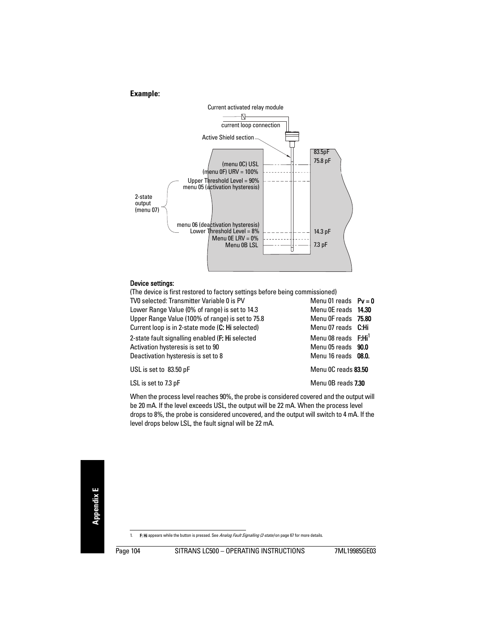### **Example:**



#### Device settings:

(The device is first restored to factory settings before being commissioned) TV0 selected: Transmitter Variable 0 is PV  $M$ enu 01 reads  $Pv = 0$ Lower Range Value (0% of range) is set to 14.3 Menu 0E reads 14.30 Upper Range Value (100% of range) is set to 75.8 Menu 0F reads 75.80 Current loop is in 2-state mode (C: Hi selected) Menu 07 reads C: Hi 2-state fault signalling enabled (F: Hi selected Menu 08 reads F: Hi<sup>1</sup> Activation hysteresis is set to 90 Menu 05 reads 90.0 Deactivation hysteresis is set to 8 Menu 16 reads 08.0. USL is set to 83.50 pF Menu 0C reads 83.50 LSL is set to 7.3 pF and 1.30 percent of the Menu 0B reads 7.30

When the process level reaches 90%, the probe is considered covered and the output will be 20 mA. If the level exceeds USL, the output will be 22 mA. When the process level drops to 8%, the probe is considered uncovered, and the output will switch to 4 mA. If the level drops below LSL, the fault signal will be 22 mA.

<sup>1.</sup> F: Hi appears while the button is pressed. See [Analog Fault Signalling \(2-state\)](#page-72-0) on [page 67](#page-72-0) for more details.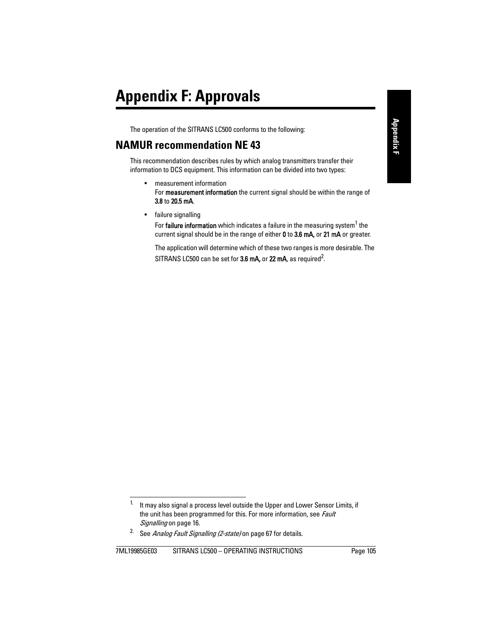<span id="page-110-0"></span>The operation of the SITRANS LC500 conforms to the following:

## **NAMUR recommendation NE 43**

This recommendation describes rules by which analog transmitters transfer their information to DCS equipment. This information can be divided into two types:

- <span id="page-110-1"></span>• measurement information For **measurement information** the current signal should be within the range of 3.8 to 20.5 mA.
- failure signalling

For failure information which indicates a failure in the measuring system<sup>1</sup> the current signal should be in the range of either 0 to 3.6 mA, or 21 mA or greater.

The application will determine which of these two ranges is more desirable. The SITRANS LC500 can be set for  $3.6$  mA, or  $22$  mA, as required<sup>2</sup>.

 $1.$  It may also signal a process level outside the Upper and Lower Sensor Limits, if the unit has been programmed for this. For more information, see *Fault* [Signalling](#page-21-0) on [page 16](#page-21-0).

<sup>&</sup>lt;sup>2.</sup> See [Analog Fault Signalling \(2-state\)](#page-72-0) on [page 67](#page-72-0) for details.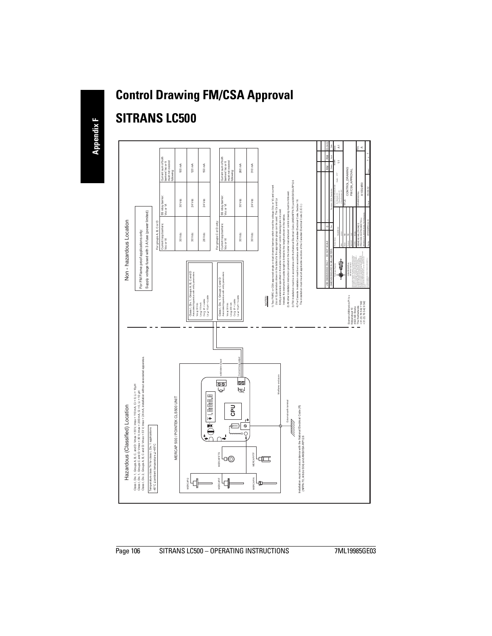# **Control Drawing FM/CSA Approval**

# **SITRANS LC500**

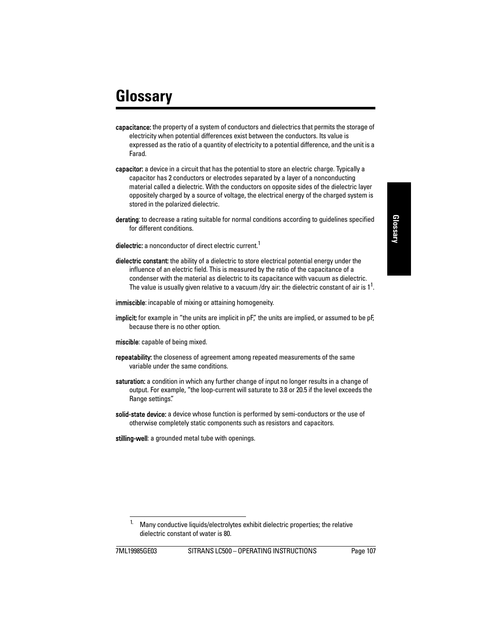# **Glossary**

- capacitance: the property of a system of conductors and dielectrics that permits the storage of electricity when potential differences exist between the conductors. Its value is expressed as the ratio of a quantity of electricity to a potential difference, and the unit is a Farad.
- capacitor: a device in a circuit that has the potential to store an electric charge. Typically a capacitor has 2 conductors or electrodes separated by a layer of a nonconducting material called a dielectric. With the conductors on opposite sides of the dielectric layer oppositely charged by a source of voltage, the electrical energy of the charged system is stored in the polarized dielectric.
- derating: to decrease a rating suitable for normal conditions according to guidelines specified for different conditions.
- dielectric: a nonconductor of direct electric current<sup>1</sup>
- dielectric constant: the ability of a dielectric to store electrical potential energy under the influence of an electric field. This is measured by the ratio of the capacitance of a condenser with the material as dielectric to its capacitance with vacuum as dielectric. The value is usually given relative to a vacuum /dry air: the dielectric constant of air is  $1^1$  $1^1$ .
- immiscible: incapable of mixing or attaining homogeneity.
- **implicit:** for example in "the units are implicit in  $pF$ ", the units are implied, or assumed to be  $pF$ because there is no other option.
- miscible: capable of being mixed.
- **repeatability:** the closeness of agreement among repeated measurements of the same variable under the same conditions.
- saturation: a condition in which any further change of input no longer results in a change of output. For example, "the loop-current will saturate to 3.8 or 20.5 if the level exceeds the Range settings".
- solid-state device: a device whose function is performed by semi-conductors or the use of otherwise completely static components such as resistors and capacitors.

stilling-well: a grounded metal tube with openings.

<span id="page-112-0"></span><sup>&</sup>lt;sup>1.</sup> Many conductive liquids/electrolytes exhibit dielectric properties; the relative dielectric constant of water is 80.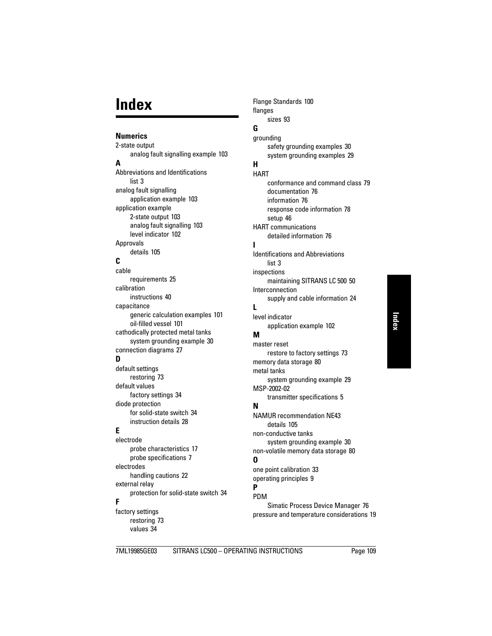# **Index**

### **Numerics**

2-state output analog fault signalling example [103](#page-108-0) **A** Abbrevi[ations and Identifications](#page-8-0) list<sub>3</sub> analog fault signalling application example [103](#page-108-0) application example 2-state output [103](#page-108-0) analog fault signalling [103](#page-108-0) level indicator [102](#page-107-0) Approvals details [105](#page-110-0)

### **C**

cable requirements [25](#page-30-0) calibration instructions [40](#page-45-0) capacitance generic calculation examples [101](#page-106-0) oil-filled vessel [101](#page-106-1) cathodically protected metal tanks system grounding example [30](#page-35-0) connection diagrams [27](#page-32-0) **D** default settings restoring [73](#page-78-0) default values factory settings [34](#page-39-0) diode protection for solid-state switch [34](#page-39-1) instruction details [28](#page-33-0) **E** electrode probe characteristics [17](#page-22-0) probe specifications [7](#page-12-0)

electrodes handling cautions [22](#page-27-0) external relay protection for solid-state switch [34](#page-39-1) **F**

factory settings restoring [73](#page-78-0) values [34](#page-39-0)

Flange Standards [100](#page-105-0) flanges sizes [93](#page-98-0)

## **G**

grounding safety grounding examples [30](#page-35-1) system grounding examples [29](#page-34-0) **H HART** conformance a[nd command class](#page-81-0) [79](#page-84-0) documentation 76 information [76](#page-81-1) respo[nse code information](#page-51-0) [78](#page-83-0) setup 46 HART communications detailed information [76](#page-81-2) **I** Identific[ations and Abbreviations](#page-8-0) list 3 inspections maintaining SITRANS LC 500 [50](#page-55-0) Interconnection supply and cable information [24](#page-29-0) **L** level indicator application example [102](#page-107-0) **M** master reset restore to factory settings [73](#page-78-0) memory data storage [80](#page-85-0) metal tanks system grounding example [29](#page-34-1) MSP-2002-02 transmitter specifications [5](#page-10-0)

## **N**

NAMUR rec[ommendation NE43](#page-110-1) details 105 non-conductive tanks system grounding example [30](#page-35-2) non-volatile memory data storage [80](#page-85-0) **O** one point calibration [33](#page-38-0) operating principles [9](#page-14-0) **P**

### PDM

Simatic Process Device Manager [76](#page-81-3) pressure and temperature considerations [19](#page-24-0)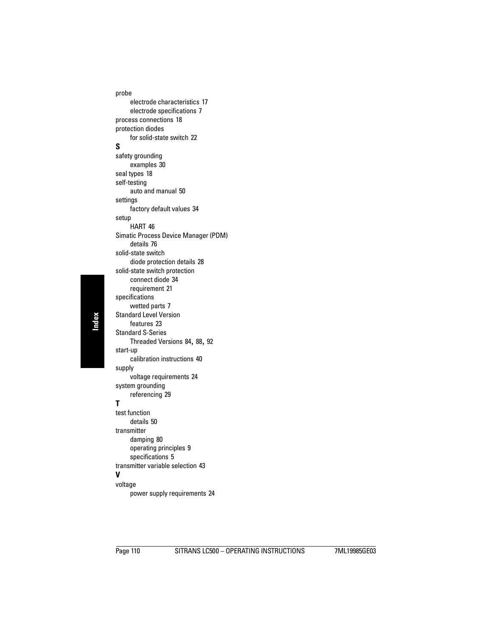probe electrode characteristics [17](#page-22-0) electrode specifications [7](#page-12-0) process connections [18](#page-23-0) protection diodes for solid-state switch [22](#page-27-1) **S** safety grounding examples [30](#page-35-1) seal types [18](#page-23-1) self-testing auto and manual [50](#page-55-1) settings factory default values [34](#page-39-0) setup HART [46](#page-51-0) Simatic Proc[ess Device Manager \(PDM\)](#page-81-4) details 76 solid-state switch diode protection details [28](#page-33-0) solid-state switch protection connect diode [34](#page-39-1) requirement [21](#page-26-0) specifications wetted parts [7](#page-12-1) Standard Level Version features [23](#page-28-0) Standard S-Series Threaded Versions [84](#page-89-0), [88](#page-93-0), [92](#page-97-0) start-up calibration instructions [40](#page-45-0) supply voltage requirements [24](#page-29-1) system grounding referencing [29](#page-34-0) **T** test function details [50](#page-55-1) transmitter damping [80](#page-85-0) operating principles [9](#page-14-1) specifications [5](#page-10-0) transmitter variable selection [43](#page-48-0) **V**

### voltage

power supply requirements [24](#page-29-1)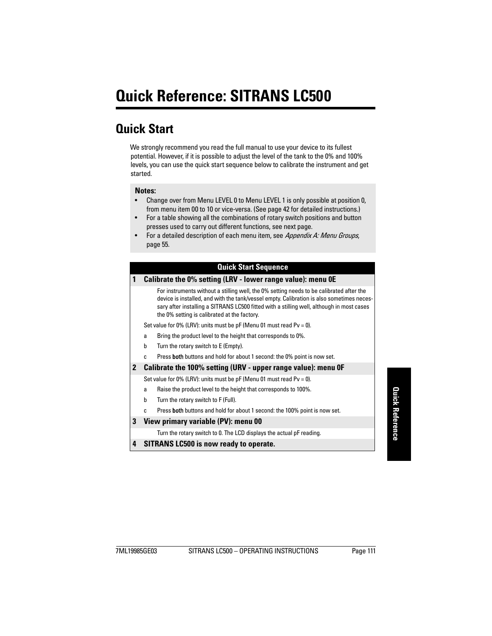# **Quick Reference: SITRANS LC500**

# **Quick Start**

We strongly recommend you read the full manual to use your device to its fullest potential. However, if it is possible to adjust the level of the tank to the 0% and 100% levels, you can use the quick start sequence below to calibrate the instrument and get started.

#### **Notes:**

- Change over from Menu LEVEL 0 to Menu LEVEL 1 is only possible at position 0, from menu item 00 to 10 or vice-versa. (See [page 42](#page-47-0) for detailed instructions.)
- For a table showing all the combinations of rotary switch positions and button presses used to carry out different functions, see next page.
- For a detailed description of each menu item, see [Appendix A: Menu Groups](#page-60-0), [page 55](#page-60-0).

### **Quick Start Sequence**

#### **1 Calibrate the 0% setting (LRV - lower range value): menu 0E**

For instruments without a stilling well, the 0% setting needs to be calibrated after the device is installed, and with the tank/vessel empty. Calibration is also sometimes necessary after installing a SITRANS LC500 fitted with a stilling well, although in most cases the 0% setting is calibrated at the factory.

Set value for 0% (LRV): units must be  $pF$  (Menu 01 must read Pv = 0).

- a Bring the product level to the height that corresponds to 0%.
- b Turn the rotary switch to E (Empty).
- c Press both buttons and hold for about 1 second: the 0% point is now set.

#### **2 Calibrate the 100% setting (URV - upper range value): menu 0F**

Set value for 0% (LRV): units must be  $pF$  (Menu 01 must read Pv = 0).

- a Raise the product level to the height that corresponds to 100%.
- b Turn the rotary switch to F (Full).
- c Press both buttons and hold for about 1 second: the 100% point is now set.

#### **3 View primary variable (PV): menu 00**

Turn the rotary switch to 0. The LCD displays the actual pF reading.

#### **4 SITRANS LC500 is now ready to operate.**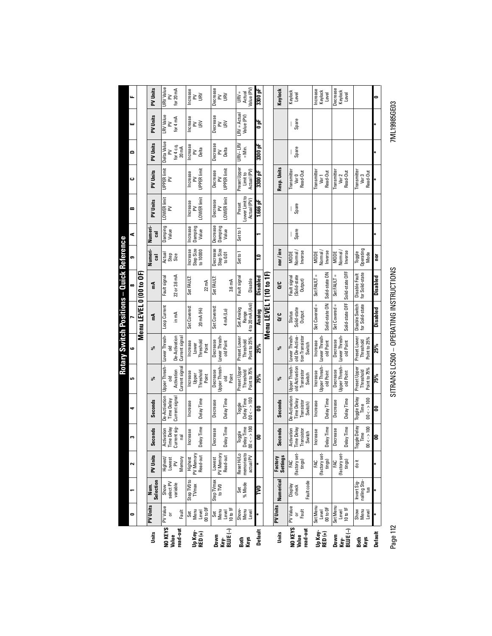Page 112 SITRANS LC500 – OPERATING INSTRUCTIONS 7ML19985GE03 SITRANS LC500 - OPERATING INSTRUCTIONS

Page 112

7ML19985GE03